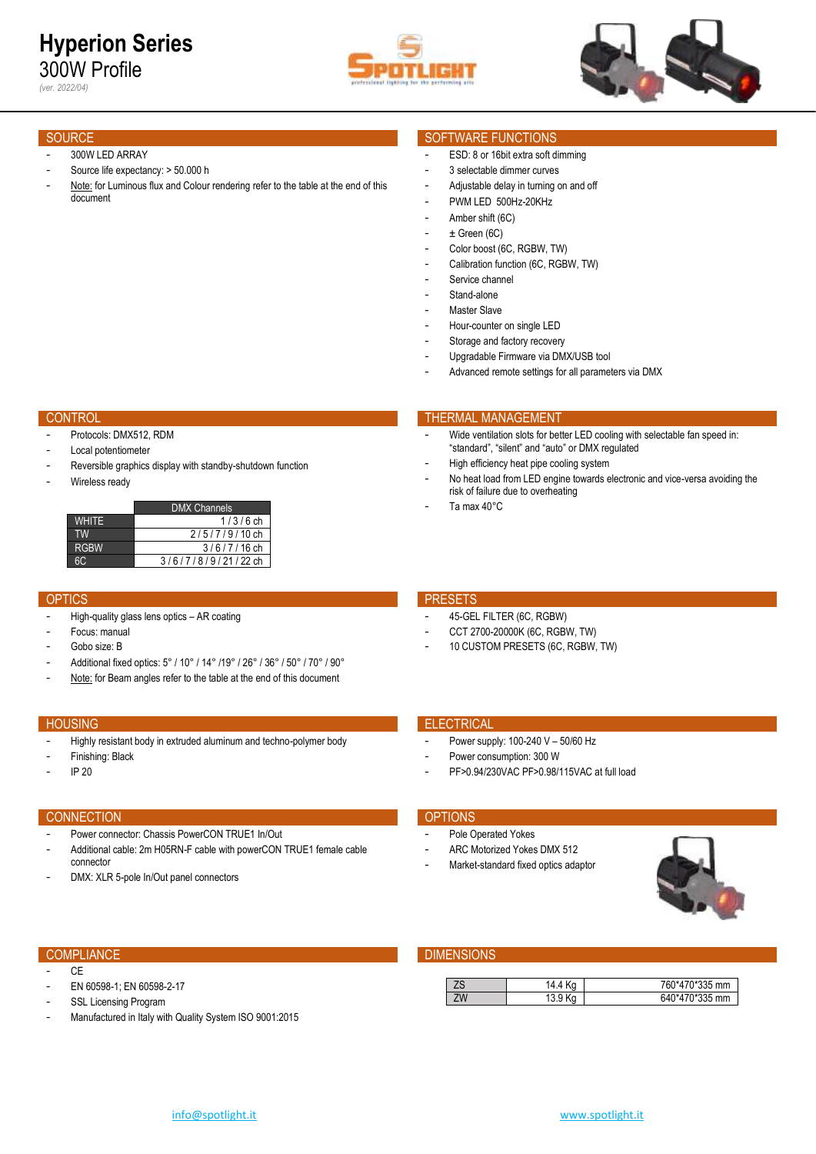

*(ver. 2022/04)*

### 300W LED ARRAY

- Source life expectancy: > 50.000 h
- Note: for Luminous flux and Colour rendering refer to the table at the end of this document

- Protocols: DMX512, RDM
- Local potentiometer
- Reversible graphics display with standby-shutdown function
- Wireless ready

| <b>DMX Channels</b> |
|---------------------|
| $1/3/6$ ch          |
| $2/5/7/9/10$ ch     |
| $3/6/7/16$ ch       |
| 3/6/7/8/9/21/22 ch  |
|                     |

- High-quality glass lens optics AR coating
- Focus: manual
- Gobo size: B
- Additional fixed optics: 5° / 10° / 14° /19° / 26° / 36° / 50° / 70° / 90°
- Note: for Beam angles refer to the table at the end of this document

- Highly resistant body in extruded aluminum and techno-polymer body
- Finishing: Black
- IP 20

### CONNECTION **CONNECTION**

- Power connector: Chassis PowerCON TRUE1 In/Out
- Additional cable: 2m H05RN-F cable with powerCON TRUE1 female cable connector
- DMX: XLR 5-pole In/Out panel connectors

- $C_{\text{F}}$
- EN 60598-1; EN 60598-2-17
- SSL Licensing Program
- Manufactured in Italy with Quality System ISO 9001:2015

### SOURCE SOURCE SOURCE SOURCE SOURCE SOURCE SOURCE SOURCE SOURCE SOURCE SOURCE SOURCE SOURCE SOURCE SOURCE SOURCE

- ESD: 8 or 16bit extra soft dimming
- 3 selectable dimmer curves
- Adjustable delay in turning on and off
- PWM LED 500Hz-20KHz
- Amber shift (6C)
- $\pm$  Green (6C)
- Color boost (6C, RGBW, TW)
- Calibration function (6C, RGBW, TW)
- Service channel
- Stand-alone
- Master Slave
- Hour-counter on single LED
- Storage and factory recovery
- Upgradable Firmware via DMX/USB tool
- Advanced remote settings for all parameters via DMX

### CONTROL THERMAL MANAGEMENT CONTROL THERMAL MANAGEMENT

- Wide ventilation slots for better LED cooling with selectable fan speed in: "standard", "silent" and "auto" or DMX regulated
- High efficiency heat pipe cooling system
- No heat load from LED engine towards electronic and vice-versa avoiding the risk of failure due to overheating
- Ta max 40°C

### OPTICS **PRESETS**

- 45-GEL FILTER (6C, RGBW)
- CCT 2700-20000K (6C, RGBW, TW)
- 10 CUSTOM PRESETS (6C, RGBW, TW)

## **HOUSING ELECTRICAL CONTRACT CONTRACT CONTRACT CONTRACT CONTRACT CONTRACT CONTRACT CONTRACT CONTRACT CONTRACT CONTRACT CONTRACT CONTRACT CONTRACT CONTRACT CONTRACT CONTRACT CONTRACT CONTRACT CONTRACT CONTRACT CONTRACT CONT**

- Power supply: 100-240 V 50/60 Hz
- Power consumption: 300 W
- PF>0.94/230VAC PF>0.98/115VAC at full load

- Pole Operated Yokes
- ARC Motorized Yokes DMX 512
- Market-standard fixed optics adaptor



## COMPLIANCE **COMPLIANCE COMPLIANCE**

| ∠ພ | ٠4.٠<br>$\overline{u}$ | $T^*$<br>5 mm<br>r60 |
|----|------------------------|----------------------|
| ZW | ບ.ບ                    | $\sim$ 1225 mm       |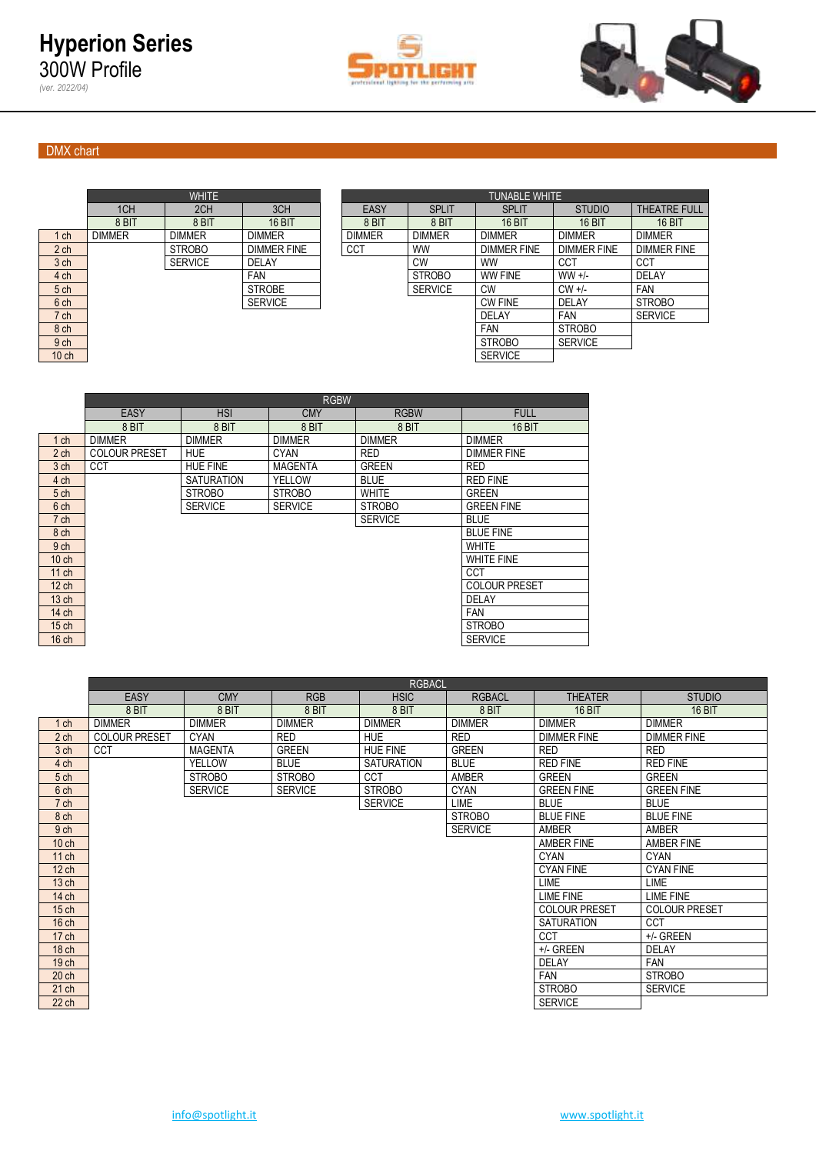



# DMX chart

*(ver. 2022/04)*

|                 |               | <b>WHITE</b>   |                    |               |                | <b>TUNABLE WHITE</b> |                |
|-----------------|---------------|----------------|--------------------|---------------|----------------|----------------------|----------------|
|                 | 1CH           | 2CH            | 3CH                | <b>EASY</b>   | <b>SPLIT</b>   | <b>SPLIT</b>         | <b>STUD</b>    |
|                 | 8 BIT         | 8 BIT          | 16 BIT             | 8 BIT         | 8 BIT          | <b>16 BIT</b>        | 16 B           |
| $1$ ch          | <b>DIMMER</b> | <b>DIMMER</b>  | <b>DIMMER</b>      | <b>DIMMER</b> | <b>DIMMER</b>  | <b>DIMMER</b>        | <b>DIMMER</b>  |
| 2 <sub>ch</sub> |               | <b>STROBO</b>  | <b>DIMMER FINE</b> | <b>CCT</b>    | <b>WW</b>      | <b>DIMMER FINE</b>   | <b>DIMMER</b>  |
| 3 <sub>ch</sub> |               | <b>SERVICE</b> | <b>DELAY</b>       |               | CW             | <b>WW</b>            | CCT            |
| 4 ch            |               |                | <b>FAN</b>         |               | <b>STROBO</b>  | <b>WW FINE</b>       | $WW +/-$       |
| 5 <sub>ch</sub> |               |                | <b>STROBE</b>      |               | <b>SERVICE</b> | <b>CW</b>            | $CW +/-$       |
| 6 ch            |               |                | <b>SERVICE</b>     |               |                | <b>CW FINE</b>       | DELAY          |
| 7 ch            |               |                |                    |               |                | <b>DELAY</b>         | <b>FAN</b>     |
| 8 ch            |               |                |                    |               |                | <b>FAN</b>           | <b>STROBO</b>  |
| 9 <sub>ch</sub> |               |                |                    |               |                | <b>STROBO</b>        | <b>SERVICE</b> |

|                  |               | <b>WHITE</b>   |                    | <b>TUNABLE WHITE</b> |                |                    |                    |                     |  |  |  |  |  |  |
|------------------|---------------|----------------|--------------------|----------------------|----------------|--------------------|--------------------|---------------------|--|--|--|--|--|--|
|                  | 1CH           | 2CH            | 3CH                | EASY                 | <b>SPLIT</b>   | <b>SPLIT</b>       | <b>STUDIO</b>      | <b>THEATRE FULL</b> |  |  |  |  |  |  |
|                  | 8 BIT         | 8 BIT          | 16 BIT             | 8 BIT                | 8 BIT          | 16 BIT             | <b>16 BIT</b>      | <b>16 BIT</b>       |  |  |  |  |  |  |
| $1$ ch           | <b>DIMMER</b> | <b>DIMMER</b>  | <b>DIMMER</b>      | <b>DIMMER</b>        | <b>DIMMER</b>  | <b>DIMMER</b>      | <b>DIMMER</b>      | <b>DIMMER</b>       |  |  |  |  |  |  |
| 2 <sub>ch</sub>  |               | <b>STROBO</b>  | <b>DIMMER FINE</b> | CCT                  | <b>WW</b>      | <b>DIMMER FINE</b> | <b>DIMMER FINE</b> | <b>DIMMER FINE</b>  |  |  |  |  |  |  |
| 3 <sub>ch</sub>  |               | <b>SERVICE</b> | DELAY              |                      | CW             | <b>WW</b>          | CCT                | CCT                 |  |  |  |  |  |  |
| 4 ch             |               |                | <b>FAN</b>         |                      | <b>STROBO</b>  | <b>WW FINE</b>     | $WW +/-$           | <b>DELAY</b>        |  |  |  |  |  |  |
| 5 ch             |               |                | <b>STROBE</b>      |                      | <b>SERVICE</b> | <b>CW</b>          | $CW +/-$           | <b>FAN</b>          |  |  |  |  |  |  |
| 6 ch             |               |                | <b>SERVICE</b>     |                      |                | <b>CW FINE</b>     | DELAY              | <b>STROBO</b>       |  |  |  |  |  |  |
| 7 ch             |               |                |                    |                      |                | <b>DELAY</b>       | <b>FAN</b>         | <b>SERVICE</b>      |  |  |  |  |  |  |
| 8 <sub>ch</sub>  |               |                |                    |                      |                | <b>FAN</b>         | <b>STROBO</b>      |                     |  |  |  |  |  |  |
| 9 ch             |               |                |                    |                      |                | <b>STROBO</b>      | <b>SERVICE</b>     |                     |  |  |  |  |  |  |
| 10 <sub>ch</sub> |               |                |                    |                      |                | <b>SERVICE</b>     |                    |                     |  |  |  |  |  |  |

|                  |                      |                   | <b>RGBW</b>    |                |                      |
|------------------|----------------------|-------------------|----------------|----------------|----------------------|
|                  | <b>EASY</b>          | <b>HSI</b>        | <b>CMY</b>     | <b>RGBW</b>    | <b>FULL</b>          |
|                  | 8 BIT                | 8 BIT             | 8 BIT          | 8 BIT          | <b>16 BIT</b>        |
| $1$ ch           | <b>DIMMER</b>        | <b>DIMMER</b>     | <b>DIMMER</b>  | <b>DIMMER</b>  | <b>DIMMER</b>        |
| 2 <sub>ch</sub>  | <b>COLOUR PRESET</b> | <b>HUE</b>        | <b>CYAN</b>    | <b>RED</b>     | <b>DIMMER FINE</b>   |
| 3 ch             | <b>CCT</b>           | <b>HUE FINE</b>   | <b>MAGENTA</b> | <b>GREEN</b>   | <b>RED</b>           |
| 4 ch             |                      | <b>SATURATION</b> | YELLOW         | <b>BLUE</b>    | <b>RED FINE</b>      |
| 5 <sub>ch</sub>  |                      | <b>STROBO</b>     | <b>STROBO</b>  | <b>WHITE</b>   | <b>GREEN</b>         |
| 6 ch             |                      | <b>SERVICE</b>    | <b>SERVICE</b> | <b>STROBO</b>  | <b>GREEN FINE</b>    |
| 7 ch             |                      |                   |                | <b>SERVICE</b> | <b>BLUE</b>          |
| 8 ch             |                      |                   |                |                | <b>BLUE FINE</b>     |
| 9 <sub>ch</sub>  |                      |                   |                |                | <b>WHITE</b>         |
| $10$ ch          |                      |                   |                |                | <b>WHITE FINE</b>    |
| $11$ ch          |                      |                   |                |                | <b>CCT</b>           |
| $12$ ch          |                      |                   |                |                | <b>COLOUR PRESET</b> |
| 13 <sub>ch</sub> |                      |                   |                |                | DELAY                |
| 14 ch            |                      |                   |                |                | <b>FAN</b>           |
| $15$ ch          |                      |                   |                |                | <b>STROBO</b>        |
| $16$ ch          |                      |                   |                |                | <b>SERVICE</b>       |
|                  |                      |                   |                |                |                      |

|                  |                      |                |                | <b>RGBACL</b>     |                |                      |                      |
|------------------|----------------------|----------------|----------------|-------------------|----------------|----------------------|----------------------|
|                  | <b>EASY</b>          | <b>CMY</b>     | <b>RGB</b>     | <b>HSIC</b>       | <b>RGBACL</b>  | <b>THEATER</b>       | <b>STUDIO</b>        |
|                  | 8 BIT                | 8 BIT          | 8 BIT          | 8 BIT             | 8 BIT          | <b>16 BIT</b>        | <b>16 BIT</b>        |
| $1$ ch           | <b>DIMMER</b>        | <b>DIMMER</b>  | <b>DIMMER</b>  | <b>DIMMER</b>     | <b>DIMMER</b>  | <b>DIMMER</b>        | <b>DIMMER</b>        |
| 2 <sub>ch</sub>  | <b>COLOUR PRESET</b> | <b>CYAN</b>    | <b>RED</b>     | <b>HUE</b>        | <b>RED</b>     | <b>DIMMER FINE</b>   | <b>DIMMER FINE</b>   |
| 3 ch             | <b>CCT</b>           | <b>MAGENTA</b> | <b>GREEN</b>   | <b>HUE FINE</b>   | <b>GREEN</b>   | <b>RED</b>           | <b>RED</b>           |
| 4 ch             |                      | <b>YELLOW</b>  | <b>BLUE</b>    | <b>SATURATION</b> | <b>BLUE</b>    | <b>RED FINE</b>      | <b>RED FINE</b>      |
| 5 ch             |                      | <b>STROBO</b>  | <b>STROBO</b>  | <b>CCT</b>        | AMBER          | <b>GREEN</b>         | <b>GREEN</b>         |
| 6 ch             |                      | <b>SERVICE</b> | <b>SERVICE</b> | <b>STROBO</b>     | <b>CYAN</b>    | <b>GREEN FINE</b>    | <b>GREEN FINE</b>    |
| 7 ch             |                      |                |                | <b>SERVICE</b>    | LIME           | <b>BLUE</b>          | <b>BLUE</b>          |
| 8 ch             |                      |                |                |                   | <b>STROBO</b>  | <b>BLUE FINE</b>     | <b>BLUE FINE</b>     |
| 9 <sub>ch</sub>  |                      |                |                |                   | <b>SERVICE</b> | AMBER                | AMBER                |
| $10$ ch          |                      |                |                |                   |                | AMBER FINE           | AMBER FINE           |
| $11$ ch          |                      |                |                |                   |                | <b>CYAN</b>          | <b>CYAN</b>          |
| $12$ ch          |                      |                |                |                   |                | <b>CYAN FINE</b>     | <b>CYAN FINE</b>     |
| 13 <sub>ch</sub> |                      |                |                |                   |                | LIME                 | <b>LIME</b>          |
| 14 ch            |                      |                |                |                   |                | <b>LIME FINE</b>     | <b>LIME FINE</b>     |
| $15$ ch          |                      |                |                |                   |                | <b>COLOUR PRESET</b> | <b>COLOUR PRESET</b> |
| $16$ ch          |                      |                |                |                   |                | <b>SATURATION</b>    | CCT                  |
| $17$ ch          |                      |                |                |                   |                | <b>CCT</b>           | +/- GREEN            |
| 18 <sub>ch</sub> |                      |                |                |                   |                | +/- GREEN            | <b>DELAY</b>         |
| 19 <sub>ch</sub> |                      |                |                |                   |                | <b>DELAY</b>         | FAN                  |
| 20 <sub>ch</sub> |                      |                |                |                   |                | <b>FAN</b>           | <b>STROBO</b>        |
| $21$ ch          |                      |                |                |                   |                | <b>STROBO</b>        | <b>SERVICE</b>       |
| 22 ch            |                      |                |                |                   |                | <b>SERVICE</b>       |                      |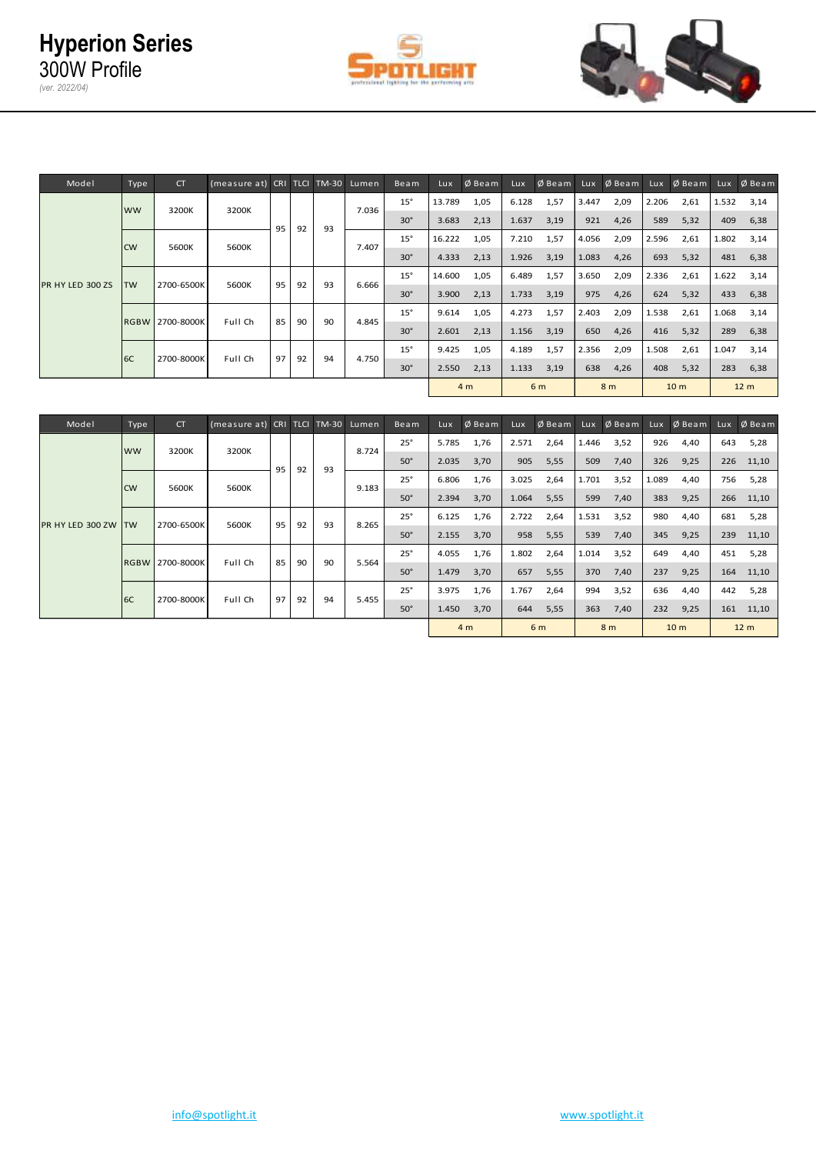



| Model            | Type                        | <b>CT</b> | (measure at) CRI TLCI TM-30 Lumen |    |       |            |            | Beam       | Lux    | $Ø$ Beam       | Lux   | $Ø$ Beam       | Lux.  | $Ø$ Beam       | Lux   | $\emptyset$ Beam | Lux   | $Ø$ Beam        |
|------------------|-----------------------------|-----------|-----------------------------------|----|-------|------------|------------|------------|--------|----------------|-------|----------------|-------|----------------|-------|------------------|-------|-----------------|
|                  | <b>WW</b>                   | 3200K     | 3200K                             |    |       |            | 7.036      | $15^\circ$ | 13.789 | 1,05           | 6.128 | 1,57           | 3.447 | 2,09           | 2.206 | 2,61             | 1.532 | 3,14            |
|                  |                             |           |                                   | 95 | 92    | 93         |            | $30^\circ$ | 3.683  | 2,13           | 1.637 | 3,19           | 921   | 4,26           | 589   | 5,32             | 409   | 6,38            |
|                  | CW                          | 5600K     | 5600K                             |    |       |            | 7.407      | $15^\circ$ | 16.222 | 1,05           | 7.210 | 1,57           | 4.056 | 2,09           | 2.596 | 2,61             | 1.802 | 3,14            |
|                  |                             |           |                                   |    |       |            |            | $30^\circ$ | 4.333  | 2,13           | 1.926 | 3,19           | 1.083 | 4,26           | 693   | 5,32             | 481   | 6,38            |
|                  | 2700-6500K<br><b>TW</b>     |           | 5600K                             | 95 | 92    | 93         | 6.666      | $15^\circ$ | 14.600 | 1,05           | 6.489 | 1,57           | 3.650 | 2,09           | 2.336 | 2,61             | 1.622 | 3,14            |
| PR HY LED 300 ZS |                             |           |                                   |    |       |            | $30^\circ$ | 3.900      | 2,13   | 1.733          | 3,19  | 975            | 4,26  | 624            | 5,32  | 433              | 6,38  |                 |
|                  | <b>RGBW 2700-8000K</b>      |           | Full Ch                           | 85 | 90    | 90         |            | $15^\circ$ | 9.614  | 1,05           | 4.273 | 1,57           | 2.403 | 2,09           | 1.538 | 2,61             | 1.068 | 3,14            |
|                  |                             |           |                                   |    |       |            | 4.845      | $30^\circ$ | 2.601  | 2,13           | 1.156 | 3,19           | 650   | 4,26           | 416   | 5,32             |       | 289 6,38        |
|                  | 2700-8000K<br>Full Ch<br>6C |           |                                   |    | 4.750 | $15^\circ$ | 9.425      | 1,05       | 4.189  | 1,57           | 2.356 | 2,09           | 1.508 | 2,61           | 1.047 | 3,14             |       |                 |
|                  |                             |           |                                   | 97 | 92    | 94         |            | $30^\circ$ | 2.550  | 2,13           | 1.133 | 3,19           | 638   | 4,26           | 408   | 5,32             |       | 283 6,38        |
|                  |                             |           |                                   |    |       |            |            |            |        | 4 <sub>m</sub> |       | 6 <sub>m</sub> |       | 8 <sub>m</sub> |       | 10 <sub>m</sub>  |       | 12 <sub>m</sub> |

| Model                   | Type                   | <b>CT</b>  | (measure at) CRI TLCI TM-30 Lumen |    |    |       |            | Beam       | Lux   | $Ø$ Beam       | Lux   | $Ø$ Beam | Lux   | $Ø$ Beam       | Lux   | $Ø$ Beam        | Lux  | $Ø$ Beam        |
|-------------------------|------------------------|------------|-----------------------------------|----|----|-------|------------|------------|-------|----------------|-------|----------|-------|----------------|-------|-----------------|------|-----------------|
|                         | <b>WW</b>              |            |                                   |    |    |       | 8.724      | $25^\circ$ | 5.785 | 1,76           | 2.571 | 2,64     | 1.446 | 3,52           | 926   | 4,40            | 643  | 5,28            |
|                         |                        | 3200K      | 3200K                             | 95 | 92 | 93    |            | $50^\circ$ | 2.035 | 3,70           | 905   | 5,55     | 509   | 7,40           | 326   | 9,25            | 226  | 11,10           |
|                         | <b>CW</b>              | 5600K      | 5600K                             |    |    |       | 9.183      | $25^\circ$ | 6.806 | 1,76           | 3.025 | 2,64     | 1.701 | 3,52           | 1.089 | 4,40            | 756  | 5,28            |
|                         |                        |            |                                   |    |    |       |            | $50^\circ$ | 2.394 | 3,70           | 1.064 | 5,55     | 599   | 7,40           | 383   | 9,25            |      | 266 11,10       |
| <b>PR HY LED 300 ZW</b> |                        | 2700-6500K | 5600K                             | 95 | 92 | 93    | 8.265      | $25^\circ$ | 6.125 | 1,76           | 2.722 | 2,64     | 1.531 | 3,52           | 980   | 4,40            | 681  | 5,28            |
|                         | <b>ITW</b>             |            |                                   |    |    |       |            | $50^\circ$ | 2.155 | 3,70           | 958   | 5,55     | 539   | 7,40           | 345   | 9,25            | 239  | 11,10           |
|                         | <b>RGBW 2700-8000K</b> | Full Ch    | 85                                |    | 90 | 5.564 | $25^\circ$ | 4.055      | 1,76  | 1.802          | 2,64  | 1.014    | 3,52  | 649            | 4,40  | 451             | 5,28 |                 |
|                         |                        |            |                                   |    | 90 |       |            | $50^\circ$ | 1.479 | 3,70           | 657   | 5,55     | 370   | 7,40           | 237   | 9,25            | 164  | 11,10           |
|                         | 6C                     | 2700-8000K | Full Ch                           | 97 |    | 94    | 5.455      | $25^\circ$ | 3.975 | 1,76           | 1.767 | 2,64     | 994   | 3,52           | 636   | 4,40            | 442  | 5,28            |
|                         |                        |            |                                   |    | 92 |       |            | $50^\circ$ | 1.450 | 3,70           | 644   | 5,55     | 363   | 7,40           | 232   | 9,25            | 161  | 11,10           |
|                         |                        |            |                                   |    |    |       |            |            |       | 4 <sub>m</sub> |       | 6 m      |       | 8 <sub>m</sub> |       | 10 <sub>m</sub> |      | 12 <sub>m</sub> |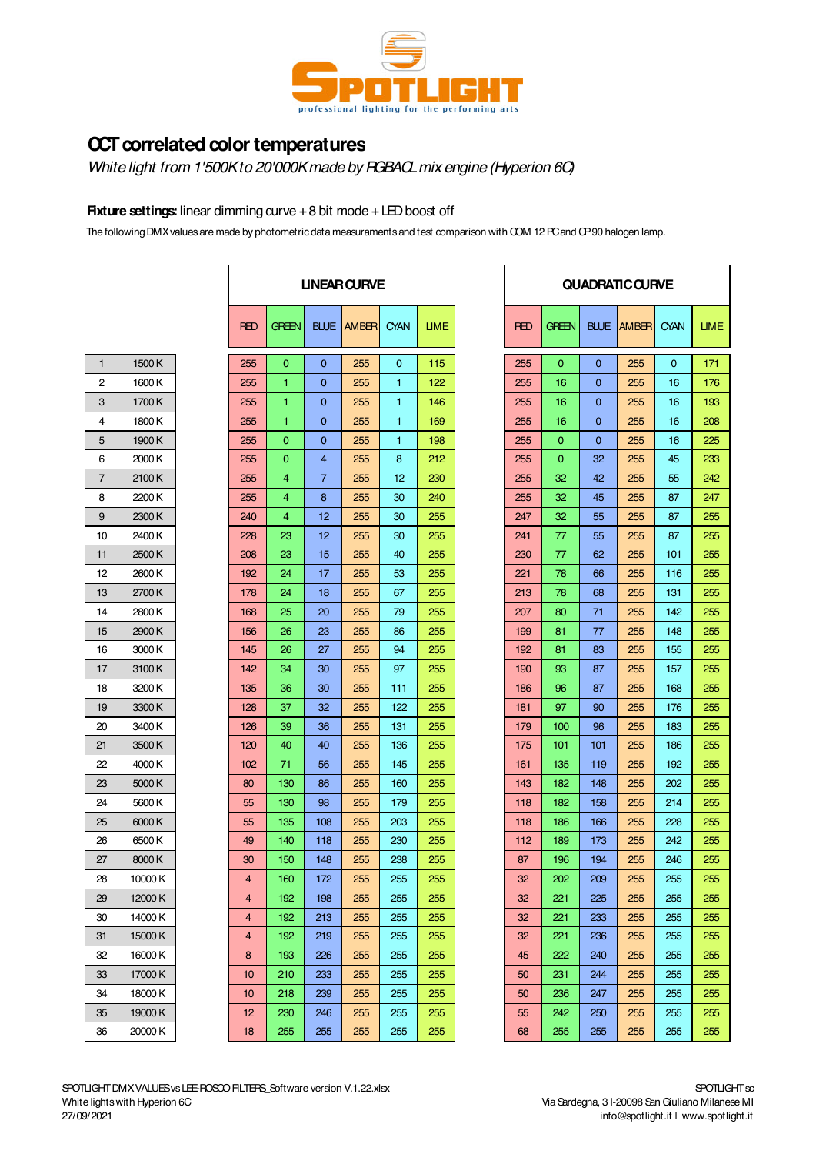

# **CCT correlated color temperatures**

*White light from 1'500K to 20'000K made by RGBACL mix engine (Hyperion 6C)*

## **Fixture settings:** linear dimming curve + 8 bit mode + LED boost off

The following DMX values are made by photometric data measuraments and test comparison with COM 12 PC and CP 90 halogen lamp.

| 1  | 1500K  |
|----|--------|
| 2  | 1600K  |
| 3  | 1700K  |
| 4  | 1800K  |
| 5  | 1900K  |
| 6  | 2000 K |
| 7  | 2100K  |
| 8  | 2200K  |
| 9  | 2300K  |
| 10 | 2400K  |
| 11 | 2500K  |
| 12 | 2600K  |
| 13 | 2700K  |
| 14 | 2800 K |
| 15 | 2900K  |
| 16 | 3000 K |
| 17 | 3100K  |
| 18 | 3200K  |
| 19 | 3300K  |
| 20 | 3400K  |
| 21 | 3500K  |
| 22 | 4000K  |
| 23 | 5000K  |
| 24 | 5600K  |
| 25 | 6000K  |
| 26 | 6500K  |
| 27 | 8000K  |
| 28 | 10000K |
| 29 | 12000K |
| 30 | 14000K |
| 31 | 15000K |
| 32 | 16000K |
| 33 | 17000K |
| 34 | 18000K |
| 35 | 19000K |
| 36 | 20000K |

|         | <b>UNEAR CURVE</b> |                |                |                   |             |             |  |  |
|---------|--------------------|----------------|----------------|-------------------|-------------|-------------|--|--|
|         | <b>RED</b>         | <b>GREEN</b>   |                | <b>BLUE AMBER</b> | <b>CYAN</b> | <b>LIME</b> |  |  |
| 1500K   | 255                | $\mathbf{0}$   | $\mathbf{0}$   | 255               | $\mathbf 0$ | 115         |  |  |
| 1600K   | 255                | 1              | $\mathbf{0}$   | 255               | 1           | 122         |  |  |
| 1700K   | 255                | 1              | $\mathbf{0}$   | 255               | 1           | 146         |  |  |
| 1800 K  | 255                | 1              | $\mathbf 0$    | 255               | 1           | 169         |  |  |
| 1900 K  | 255                | $\mathbf 0$    | $\mathbf 0$    | 255               | 1.          | 198         |  |  |
| 2000 K  | 255                | 0              | $\overline{4}$ | 255               | 8           | 212         |  |  |
| 2100K   | 255                | $\overline{4}$ | $\overline{7}$ | 255               | 12          | 230         |  |  |
| 2200 K  | 255                | 4              | 8              | 255               | 30          | 240         |  |  |
| 2300K   | 240                | 4              | 12             | 255               | 30          | 255         |  |  |
| 2400K   | 228                | 23             | 12             | 255               | 30          | 255         |  |  |
| 2500 K  | 208                | 23             | 15             | 255               | 40          | 255         |  |  |
| 2600 K  | 192                | 24             | 17             | 255               | 53          | 255         |  |  |
| 2700K   | 178                | 24             | 18             | 255               | 67          | 255         |  |  |
| 2800 K  | 168                | 25             | 20             | 255               | 79          | 255         |  |  |
| 2900 K  | 156                | 26             | 23             | 255               | 86          | 255         |  |  |
| 3000 K  | 145                | 26             | 27             | 255               | 94          | 255         |  |  |
| 3100K   | 142                | 34             | 30             | 255               | 97          | 255         |  |  |
| 3200 K  | 135                | 36             | 30             | 255               | 111         | 255         |  |  |
| 3300 K  | 128                | 37             | 32             | 255               | 122         | 255         |  |  |
| 3400 K  | 126                | 39             | 36             | 255               | 131         | 255         |  |  |
| 3500 K  | 120                | 40             | 40             | 255               | 136         | 255         |  |  |
| 4000 K  | 102                | 71             | 56             | 255               | 145         | 255         |  |  |
| 5000 K  | 80                 | 130            | 86             | 255               | 160         | 255         |  |  |
| 5600 K  | 55                 | 130            | 98             | 255               | 179         | 255         |  |  |
| 6000K   | 55                 | 135            | 108            | 255               | 203         | 255         |  |  |
| 6500 K  | 49                 | 140            | 118            | 255               | 230         | 255         |  |  |
| 8000 K  | 30                 | 150            | 148            | 255               | 238         | 255         |  |  |
| 10000K  | $\overline{4}$     | 160            | 172            | 255               | 255         | 255         |  |  |
| 12000 K | 4                  | 192            | 198            | 255               | 255         | 255         |  |  |
| 14000 K | 4                  | 192            | 213            | 255               | 255         | 255         |  |  |
| 15000 K | 4                  | 192            | 219            | 255               | 255         | 255         |  |  |
| 16000K  | 8                  | 193            | 226            | 255               | 255         | 255         |  |  |
| 17000 K | 10                 | 210            | 233            | 255               | 255         | 255         |  |  |
| 18000K  | 10                 | 218            | 239            | 255               | 255         | 255         |  |  |
| 19000K  | 12                 | 230            | 246            | 255               | 255         | 255         |  |  |
| 20000K  | 18                 | 255            | 255            | 255               | 255         | 255         |  |  |

|             | <b>UNEAR CURVE</b> |             |             | <b>QUADRATIC CURVE</b> |              |              |              |             |            |  |  |  |
|-------------|--------------------|-------------|-------------|------------------------|--------------|--------------|--------------|-------------|------------|--|--|--|
| <b>BLUE</b> | <b>AMBER</b>       | <b>CYAN</b> | <b>LIME</b> | <b>RED</b>             | <b>GREEN</b> | <b>BLUE</b>  | <b>AMBER</b> | <b>CYAN</b> | <b>UME</b> |  |  |  |
| 0           | 255                | 0           | 115         | 255                    | 0            | 0            | 255          | 0           | 171        |  |  |  |
| 0           | 255                | 1           | 122         | 255                    | 16           | 0            | 255          | 16          | 176        |  |  |  |
| 0           | 255                | 1           | 146         | 255                    | 16           | 0            | 255          | 16          | 193        |  |  |  |
| 0           | 255                | 1           | 169         | 255                    | 16           | 0            | 255          | 16          | 208        |  |  |  |
| 0           | 255                | 1           | 198         | 255                    | 0            | $\mathbf{0}$ | 255          | 16          | 225        |  |  |  |
| 4           | 255                | 8           | 212         | 255                    | 0            | 32           | 255          | 45          | 233        |  |  |  |
| 7           | 255                | 12          | 230         | 255                    | 32           | 42           | 255          | 55          | 242        |  |  |  |
| 8           | 255                | 30          | 240         | 255                    | 32           | 45           | 255          | 87          | 247        |  |  |  |
| 12          | 255                | 30          | 255         | 247                    | 32           | 55           | 255          | 87          | 255        |  |  |  |
| 12          | 255                | 30          | 255         | 241                    | 77           | 55           | 255          | 87          | 255        |  |  |  |
| 15          | 255                | 40          | 255         | 230                    | 77           | 62           | 255          | 101         | 255        |  |  |  |
| 17          | 255                | 53          | 255         | 221                    | 78           | 66           | 255          | 116         | 255        |  |  |  |
| 18          | 255                | 67          | 255         | 213                    | 78           | 68           | 255          | 131         | 255        |  |  |  |
| 20          | 255                | 79          | 255         | 207                    | 80           | 71           | 255          | 142         | 255        |  |  |  |
| 23          | 255                | 86          | 255         | 199                    | 81           | 77           | 255          | 148         | 255        |  |  |  |
| 27          | 255                | 94          | 255         | 192                    | 81           | 83           | 255          | 155         | 255        |  |  |  |
| 30          | 255                | 97          | 255         | 190                    | 93           | 87           | 255          | 157         | 255        |  |  |  |
| 30          | 255                | 111         | 255         | 186                    | 96           | 87           | 255          | 168         | 255        |  |  |  |
| 32          | 255                | 122         | 255         | 181                    | 97           | 90           | 255          | 176         | 255        |  |  |  |
| 36          | 255                | 131         | 255         | 179                    | 100          | 96           | 255          | 183         | 255        |  |  |  |
| 40          | 255                | 136         | 255         | 175                    | 101          | 101          | 255          | 186         | 255        |  |  |  |
| 56          | 255                | 145         | 255         | 161                    | 135          | 119          | 255          | 192         | 255        |  |  |  |
| 86          | 255                | 160         | 255         | 143                    | 182          | 148          | 255          | 202         | 255        |  |  |  |
| 98          | 255                | 179         | 255         | 118                    | 182          | 158          | 255          | 214         | 255        |  |  |  |
| 108         | 255                | 203         | 255         | 118                    | 186          | 166          | 255          | 228         | 255        |  |  |  |
| 118         | 255                | 230         | 255         | 112                    | 189          | 173          | 255          | 242         | 255        |  |  |  |
| 148         | 255                | 238         | 255         | 87                     | 196          | 194          | 255          | 246         | 255        |  |  |  |
| 172         | 255                | 255         | 255         | 32                     | 202          | 209          | 255          | 255         | 255        |  |  |  |
| 198         | 255                | 255         | 255         | 32                     | 221          | 225          | 255          | 255         | 255        |  |  |  |
| 213         | 255                | 255         | 255         | 32                     | 221          | 233          | 255          | 255         | 255        |  |  |  |
| 219         | 255                | 255         | 255         | 32                     | 221          | 236          | 255          | 255         | 255        |  |  |  |
| 226         | 255                | 255         | 255         | 45                     | 222          | 240          | 255          | 255         | 255        |  |  |  |
| 233         | 255                | 255         | 255         | 50                     | 231          | 244          | 255          | 255         | 255        |  |  |  |
| 239         | 255                | 255         | 255         | 50                     | 236          | 247          | 255          | 255         | 255        |  |  |  |
| 246         | 255                | 255         | 255         | 55                     | 242          | 250          | 255          | 255         | 255        |  |  |  |
| 255         | 255                | 255         | 255         | 68                     | 255          | 255          | 255          | 255         | 255        |  |  |  |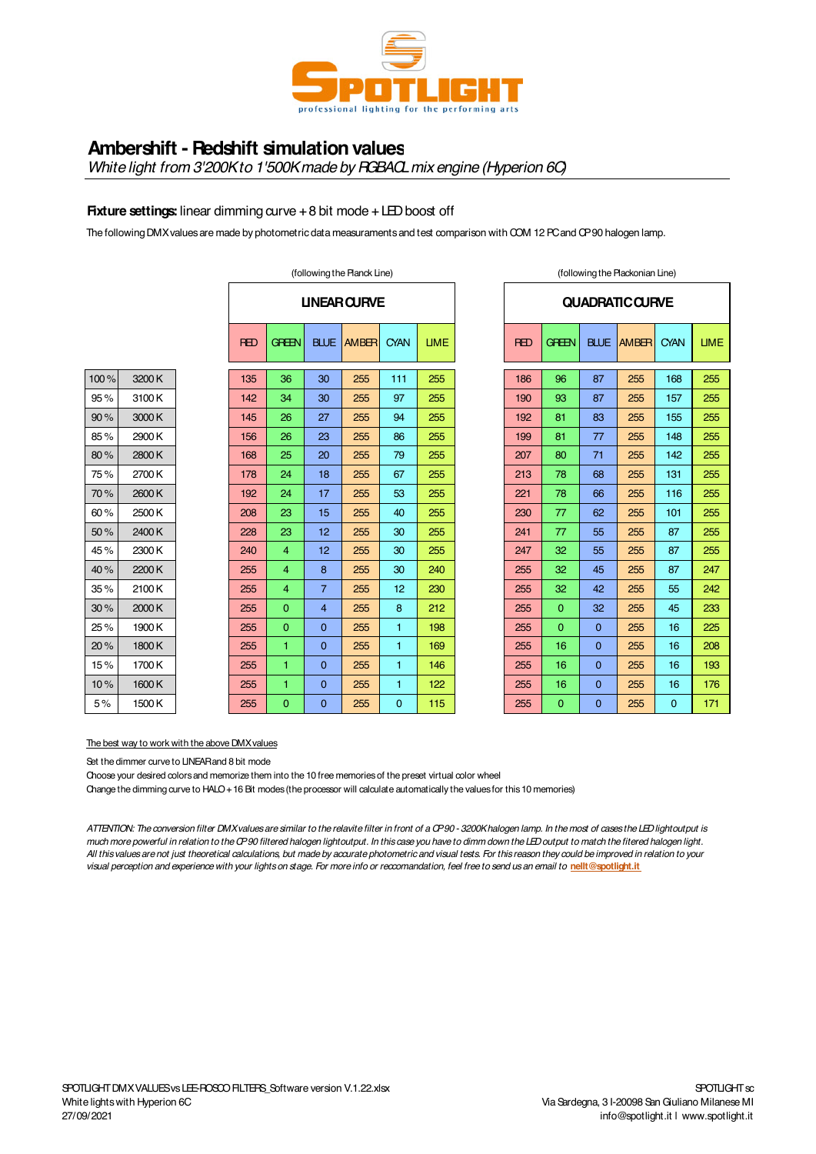

# **Ambershift - Redshift simulation values**

*White light from 3'200K to 1'500K made by RGBACL mix engine (Hyperion 6C)*

## **Fixture settings:** linear dimming curve + 8 bit mode + LED boost off

The following DMX values are made by photometric data measuraments and test comparison with COM 12 PC and CP 90 halogen lamp.

|      |        |                    |            | (following the Planck Line) |                |                   |              |             | (following the Plackonian Line) |            |                |              |                        |             |             |
|------|--------|--------------------|------------|-----------------------------|----------------|-------------------|--------------|-------------|---------------------------------|------------|----------------|--------------|------------------------|-------------|-------------|
|      |        | <b>UNEAR CURVE</b> |            |                             |                |                   |              |             |                                 |            |                |              | <b>QUADRATIC CURVE</b> |             |             |
|      |        |                    | <b>RED</b> | <b>GREEN</b>                |                | <b>BLUE AMBER</b> | <b>CYAN</b>  | <b>LIME</b> |                                 | <b>RED</b> | <b>GREEN</b>   | <b>BLUE</b>  | <b>AMBER</b>           | <b>CYAN</b> | <b>LIMI</b> |
| 100% | 3200K  |                    | 135        | 36                          | 30             | 255               | 111          | 255         |                                 | 186        | 96             | 87           | 255                    | 168         | 255         |
| 95%  | 3100K  |                    | 142        | 34                          | 30             | 255               | 97           | 255         |                                 | 190        | 93             | 87           | 255                    | 157         | 255         |
| 90%  | 3000K  |                    | 145        | 26                          | 27             | 255               | 94           | 255         |                                 | 192        | 81             | 83           | 255                    | 155         | 255         |
| 85%  | 2900 K |                    | 156        | 26                          | 23             | 255               | 86           | 255         |                                 | 199        | 81             | 77           | 255                    | 148         | 255         |
| 80%  | 2800K  |                    | 168        | 25                          | 20             | 255               | 79           | 255         |                                 | 207        | 80             | 71           | 255                    | 142         | 255         |
| 75%  | 2700K  |                    | 178        | 24                          | 18             | 255               | 67           | 255         |                                 | 213        | 78             | 68           | 255                    | 131         | 255         |
| 70%  | 2600K  |                    | 192        | 24                          | 17             | 255               | 53           | 255         |                                 | 221        | 78             | 66           | 255                    | 116         | 255         |
| 60%  | 2500K  |                    | 208        | 23                          | 15             | 255               | 40           | 255         |                                 | 230        | 77             | 62           | 255                    | 101         | 255         |
| 50%  | 2400K  |                    | 228        | 23                          | 12             | 255               | 30           | 255         |                                 | 241        | 77             | 55           | 255                    | 87          | 255         |
| 45%  | 2300K  |                    | 240        | 4                           | 12             | 255               | 30           | 255         |                                 | 247        | 32             | 55           | 255                    | 87          | 255         |
| 40%  | 2200K  |                    | 255        | 4                           | 8              | 255               | 30           | 240         |                                 | 255        | 32             | 45           | 255                    | 87          | 247         |
| 35%  | 2100K  |                    | 255        | $\overline{4}$              | $\overline{7}$ | 255               | 12           | 230         |                                 | 255        | 32             | 42           | 255                    | 55          | 242         |
| 30%  | 2000 K |                    | 255        | $\mathbf{O}$                | $\overline{4}$ | 255               | 8            | 212         |                                 | 255        | $\overline{0}$ | 32           | 255                    | 45          | 233         |
| 25%  | 1900 K |                    | 255        | $\Omega$                    | $\Omega$       | 255               | $\mathbf{1}$ | 198         |                                 | 255        | $\Omega$       | $\mathbf{0}$ | 255                    | 16          | 225         |
| 20%  | 1800K  |                    | 255        | 1                           | $\mathbf{0}$   | 255               | $\mathbf{1}$ | 169         |                                 | 255        | 16             | $\mathbf{0}$ | 255                    | 16          | 208         |
| 15%  | 1700 K |                    | 255        | 1                           | $\Omega$       | 255               | $\mathbf{1}$ | 146         |                                 | 255        | 16             | $\mathbf{0}$ | 255                    | 16          | 193         |
| 10%  | 1600K  |                    | 255        | 1                           | $\mathbf{0}$   | 255               | $\mathbf{1}$ | 122         |                                 | 255        | 16             | $\mathbf{0}$ | 255                    | 16          | 176         |
| 5%   | 1500K  |                    | 255        | $\mathbf{O}$                | $\Omega$       | 255               | $\mathbf{0}$ | 115         |                                 | 255        | $\overline{0}$ | $\Omega$     | 255                    | $\Omega$    | 171         |

|            |                |                | <b>UNEAR CURVE</b> |                |             |            |              |             | <b>QUADRATIC CURVE</b> |             |            |
|------------|----------------|----------------|--------------------|----------------|-------------|------------|--------------|-------------|------------------------|-------------|------------|
| <b>RED</b> | GREEN          | <b>BLUE</b>    | <b>AMBER</b>       | <b>CYAN</b>    | <b>LIME</b> | <b>RED</b> | <b>GREEN</b> | <b>BLUE</b> | <b>AMBER</b>           | <b>CYAN</b> | <b>UME</b> |
| 135        | 36             | 30             | 255                | 111            | 255         | 186        | 96           | 87          | 255                    | 168         | 255        |
| 142        | 34             | 30             | 255                | 97             | 255         | 190        | 93           | 87          | 255                    | 157         | 255        |
| 145        | 26             | 27             | 255                | 94             | 255         | 192        | 81           | 83          | 255                    | 155         | 255        |
| 156        | 26             | 23             | 255                | 86             | 255         | 199        | 81           | 77          | 255                    | 148         | 255        |
| 168        | 25             | 20             | 255                | 79             | 255         | 207        | 80           | 71          | 255                    | 142         | 255        |
| 178        | 24             | 18             | 255                | 67             | 255         | 213        | 78           | 68          | 255                    | 131         | 255        |
| 192        | 24             | 17             | 255                | 53             | 255         | 221        | 78           | 66          | 255                    | 116         | 255        |
| 208        | 23             | 15             | 255                | 40             | 255         | 230        | 77           | 62          | 255                    | 101         | 255        |
| 228        | 23             | 12             | 255                | 30             | 255         | 241        | 77           | 55          | 255                    | 87          | 255        |
| 240        | $\overline{4}$ | 12             | 255                | 30             | 255         | 247        | 32           | 55          | 255                    | 87          | 255        |
| 255        | 4              | 8              | 255                | 30             | 240         | 255        | 32           | 45          | 255                    | 87          | 247        |
| 255        | $\overline{4}$ | 7              | 255                | 12             | 230         | 255        | 32           | 42          | 255                    | 55          | 242        |
| 255        | $\Omega$       | $\overline{4}$ | 255                | 8              | 212         | 255        | $\Omega$     | 32          | 255                    | 45          | 233        |
| 255        | $\Omega$       | $\Omega$       | 255                | 1              | 198         | 255        | $\Omega$     | $\Omega$    | 255                    | 16          | 225        |
| 255        | 1              | $\Omega$       | 255                | 1              | 169         | 255        | 16           | $\Omega$    | 255                    | 16          | 208        |
| 255        | 1              | $\Omega$       | 255                | 1              | 146         | 255        | 16           | $\Omega$    | 255                    | 16          | 193        |
| 255        | 1              | 0              | 255                | 1              | 122         | 255        | 16           | 0           | 255                    | 16          | 176        |
| 255        | $\overline{0}$ | $\overline{0}$ | 255                | $\overline{0}$ | 115         | 255        | $\Omega$     | $\Omega$    | 255                    | $\Omega$    | 171        |

The best way to work with the above DMX values

Set the dimmer curve to LINEAR and 8 bit mode

Choose your desired colors and memorize them into the 10 free memories of the preset virtual color wheel

Change the dimming curve to HALO + 16 Bit modes (the processor will calculate automatically the values for this 10 memories)

*ATTENTION: The conversion filter DMX values are similar to the relavite filter in front of a CP 90 - 3200K halogen lamp. In the most of cases the LED lightoutput is much more powerful in relation to the CP 90 filtered halogen lightoutput. In this case you have to dimm down the LED output to match the fitered halogen light. All this values are not just theoretical calculations, but made by accurate photometric and visual tests. For this reason they could be improved in relation to your visual perception and experience with your lights on stage. For more info or reccomandation, feel free to send us an email to* **nellt@spotlight.it**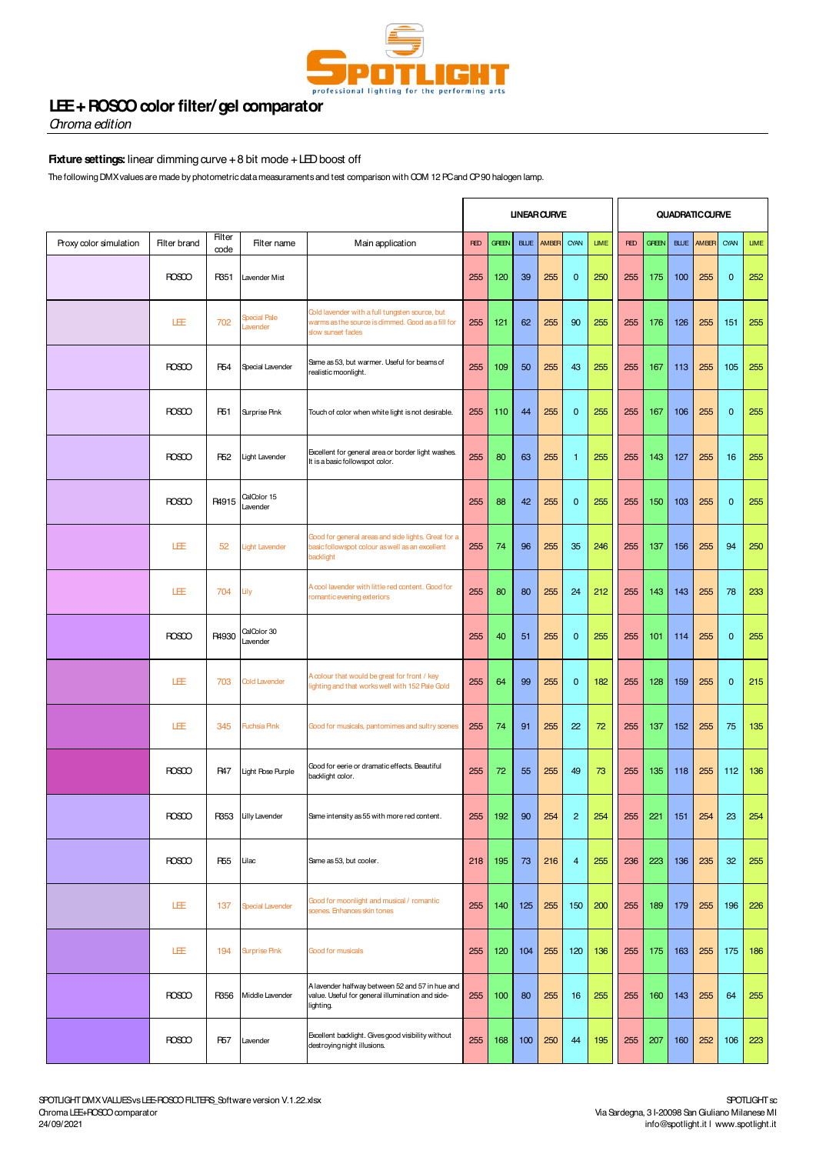

# **LEE + ROSCO color filter/ gel comparator**

*Chroma edition*

## **Fixture settings:** linear dimming curve + 8 bit mode + LED boost off

The following DMX values are made by photometric data measuraments and test comparison with COM 12 PC and CP 90 halogen lamp.

|                        |                     |                       |                         |                                                                                                                          |            |              |             | <b>UNEAR CURVE</b> |                |             |            |              |             | <b>QUADRATIC CURVE</b> |                 |             |
|------------------------|---------------------|-----------------------|-------------------------|--------------------------------------------------------------------------------------------------------------------------|------------|--------------|-------------|--------------------|----------------|-------------|------------|--------------|-------------|------------------------|-----------------|-------------|
| Proxy color simulation | <b>Filter brand</b> | <b>Filter</b><br>code | Filter name             | Main application                                                                                                         | <b>RED</b> | <b>GREEN</b> | <b>BLUE</b> | AMBER              | CYAN           | <b>LIME</b> | <b>RED</b> | <b>GREEN</b> | <b>BLUE</b> | AMBER                  | CYAN            | <b>LIME</b> |
|                        | <b>ROSCO</b>        | R351                  | Lavender Mist           |                                                                                                                          | 255        | 120          | 39          | 255                | $\mathbf 0$    | 250         | 255        | 175          | 100         | 255                    | $\mathbf 0$     | 252         |
|                        | LEE                 | 702                   | Special Pale<br>avender | Cold lavender with a full tungsten source, but<br>warms as the source is dimmed. Good as a fill for<br>slow sunset fades | 255        | 121          | 62          | 255                | 90             | 255         | 255        | 176          | 126         | 255                    | 151             | 255         |
|                        | ROSCO               | R <sub>54</sub>       | <b>Special Lavender</b> | Same as 53, but warmer. Useful for beams of<br>realistic moonlight.                                                      | 255        | 109          | 50          | 255                | 43             | 255         | 255        | 167          | 113         | 255                    | 105             | 255         |
|                        | <b>ROSCO</b>        | R <sub>51</sub>       | Surprise Pink           | Touch of color when white light is not desirable.                                                                        | 255        | 110          | 44          | 255                | $\mathbf{0}$   | 255         | 255        | 167          | 106         | 255                    | $\mathbf{0}$    | 255         |
|                        | <b>ROSCO</b>        | R <sub>52</sub>       | Light Lavender          | Excellent for general area or border light washes.<br>It is a basic followspot color.                                    | 255        | 80           | 63          | 255                | $\mathbf{1}$   | 255         | 255        | 143          | 127         | 255                    | 16              | 255         |
|                        | <b>ROSCO</b>        | R4915                 | CalColor 15<br>Lavender |                                                                                                                          | 255        | 88           | 42          | 255                | $\mathbf{0}$   | 255         | 255        | 150          | 103         | 255                    | $\mathbf{0}$    | 255         |
|                        | 旺                   | 52                    | <b>Light Lavender</b>   | Good for general areas and side lights. Great for a<br>basic followspot colour as well as an excellent<br>backlight      | 255        | 74           | 96          | 255                | 35             | 246         | 255        | 137          | 156         | 255                    | 94              | 250         |
|                        | 旺                   | 704                   | Lily                    | A cool lavender with little red content. Good for<br>romantic evening exteriors                                          | 255        | 80           | 80          | 255                | 24             | 212         | 255        | 143          | 143         | 255                    | 78              | 233         |
|                        | <b>ROSCO</b>        | R4930                 | CalColor 30<br>Lavender |                                                                                                                          | 255        | 40           | 51          | 255                | $\mathbf{0}$   | 255         | 255        | 101          | 114         | 255                    | $\mathbf 0$     | 255         |
|                        | LEE                 | 703                   | <b>Cold Lavender</b>    | A colour that would be great for front / key<br>lighting and that works well with 152 Pale Gold                          | 255        | 64           | 99          | 255                | $\mathbf{0}$   | 182         | 255        | 128          | 159         | 255                    | $\mathbf{0}$    | 215         |
|                        | LÆ                  | 345                   | <b>Fuchsia Pink</b>     | Good for musicals, pantomimes and sultry scenes                                                                          | 255        | 74           | 91          | 255                | 22             | 72          | 255        | 137          | 152         | 255                    | 75              | 135         |
|                        | <b>ROSCO</b>        | <b>R47</b>            | Light Rose Purple       | Good for eerie or dramatic effects. Beautiful<br>backlight color.                                                        | 255        | 72           | 55          | 255                | 49             | 73          | 255        | 135          | 118         | 255                    | 112             | 136         |
|                        | ROSCO               | R353                  | Lilly Lavender          | Same intensity as 55 with more red content.                                                                              | 255        | 192          | 90          | 254                | $\overline{c}$ | 254         | 255        | 221          | 151         | 254                    | 23              | 254         |
|                        | <b>ROSCO</b>        | <b>R55</b>            | Lilac                   | Same as 53, but cooler.                                                                                                  | 218        | 195          | 73          | 216                | $\overline{4}$ | 255         | 236        | 223          | 136         | 235                    | 32 <sub>2</sub> | 255         |
|                        | LEE                 | 137                   | <b>Special Lavender</b> | Good for moonlight and musical / romantic<br>scenes. Enhances skin tones                                                 | 255        | 140          | 125         | 255                | 150            | 200         | 255        | 189          | 179         | 255                    | 196             | 226         |
|                        | LEE                 | 194                   | <b>Surprise Pink</b>    | Good for musicals                                                                                                        | 255        | 120          | 104         | 255                | 120            | 136         | 255        | 175          | 163         | 255                    | 175             | 186         |
|                        | <b>ROSCO</b>        | R356                  | Middle Lavender         | A lavender halfway between 52 and 57 in hue and<br>value. Useful for general illumination and side-<br>lighting.         | 255        | 100          | 80          | 255                | 16             | 255         | 255        | 160          | 143         | 255                    | 64              | 255         |
|                        | <b>ROSCO</b>        | <b>R57</b>            | Lavender                | Excellent backlight. Gives good visibility without<br>destroying night illusions.                                        | 255        | 168          | 100         | 250                | 44             | 195         | 255        | 207          | 160         | 252                    | 106             | 223         |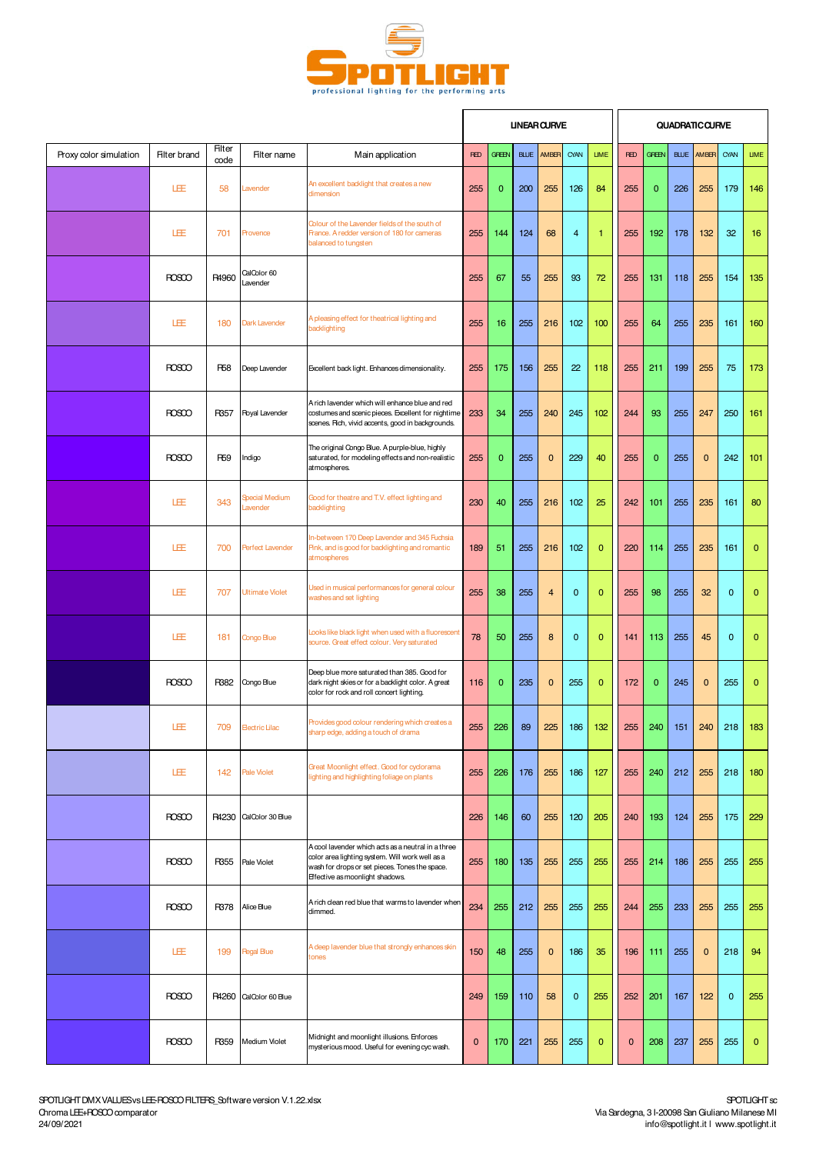

|                        |                     |                |                                  |                                                                                                                                                                                            |             |              |             | <b>UNEAR CURVE</b>      |                |              |              |              |             | <b>QUADRATIC CURVE</b> |             |              |
|------------------------|---------------------|----------------|----------------------------------|--------------------------------------------------------------------------------------------------------------------------------------------------------------------------------------------|-------------|--------------|-------------|-------------------------|----------------|--------------|--------------|--------------|-------------|------------------------|-------------|--------------|
| Proxy color simulation | <b>Filter brand</b> | Filter<br>code | Filter name                      | Main application                                                                                                                                                                           | <b>RED</b>  | <b>GREEN</b> | <b>BLUE</b> | AMBER                   | CYAN           | <b>LIME</b>  | <b>RED</b>   | <b>GREEN</b> | <b>BLUE</b> | AMBER                  | CYAN        | <b>LIME</b>  |
|                        | 旺                   | 58             | Lavender                         | An excellent backlight that creates a new<br>dimension                                                                                                                                     | 255         | $\mathbf{0}$ | 200         | 255                     | 126            | 84           | 255          | $\mathbf 0$  | 226         | 255                    | 179         | 146          |
|                        | 旺                   | 701            | Provence                         | Colour of the Lavender fields of the south of<br>France. A redder version of 180 for cameras<br>balanced to tungsten                                                                       | 255         | 144          | 124         | 68                      | $\overline{4}$ | $\mathbf{1}$ | 255          | 192          | 178         | 132                    | 32          | 16           |
|                        | <b>ROSCO</b>        | R4960          | CalColor 60<br>Lavender          |                                                                                                                                                                                            | 255         | 67           | 55          | 255                     | 93             | 72           | 255          | 131          | 118         | 255                    | 154         | 135          |
|                        | LEE                 | 180            | <b>Dark Lavender</b>             | A pleasing effect for theatrical lighting and<br>backlighting                                                                                                                              | 255         | 16           | 255         | 216                     | 102            | 100          | 255          | 64           | 255         | 235                    | 161         | 160          |
|                        | <b>ROSCO</b>        | <b>R58</b>     | Deep Lavender                    | Excellent back light. Enhances dimensionality.                                                                                                                                             | 255         | 175          | 156         | 255                     | 22             | 118          | 255          | 211          | 199         | 255                    | 75          | 173          |
|                        | <b>ROSCO</b>        | R357           | <b>Royal Lavender</b>            | A rich lavender which will enhance blue and red<br>costumes and scenic pieces. Excellent for nightime<br>scenes. Fich, vivid accents, good in backgrounds.                                 | 233         | 34           | 255         | 240                     | 245            | 102          | 244          | 93           | 255         | 247                    | 250         | 161          |
|                        | <b>ROSCO</b>        | <b>R59</b>     | Indigo                           | The original Congo Blue. A purple-blue, highly<br>saturated, for modeling effects and non-realistic<br>atmospheres.                                                                        | 255         | $\mathbf{0}$ | 255         | $\mathbf 0$             | 229            | 40           | 255          | $\mathbf{0}$ | 255         | $\mathbf{0}$           | 242         | 101          |
|                        | LEE                 | 343            | <b>Special Medium</b><br>avender | Good for theatre and T.V. effect lighting and<br>backlighting                                                                                                                              | 230         | 40           | 255         | 216                     | 102            | 25           | 242          | 101          | 255         | 235                    | 161         | 80           |
|                        | LEE                 | 700            | Perfect Lavender                 | In-between 170 Deep Lavender and 345 Fuchsia<br>Pink, and is good for backlighting and romantic<br>atmospheres                                                                             | 189         | 51           | 255         | 216                     | 102            | $\mathbf{0}$ | 220          | 114          | 255         | 235                    | 161         | $\mathbf{0}$ |
|                        | LEE                 | 707            | Ultimate Violet                  | Used in musical performances for general colour<br>washes and set lighting                                                                                                                 | 255         | 38           | 255         | $\overline{\mathbf{4}}$ | $\mathbf{0}$   | $\mathbf{0}$ | 255          | 98           | 255         | 32                     | $\mathbf 0$ | 0            |
|                        | 圧                   | 181            | Congo Blue                       | Looks like black light when used with a fluorescent<br>source. Great effect colour. Very saturated                                                                                         | 78          | 50           | 255         | 8                       | $\mathbf{0}$   | $\mathbf{0}$ | 141          | 113          | 255         | 45                     | $\mathbf 0$ | $\mathbf{0}$ |
|                        | <b>ROSCO</b>        | R382           | Congo Blue                       | Deep blue more saturated than 385. Good for<br>dark night skies or for a backlight color. A great<br>color for rock and roll concert lighting.                                             | 116         | $\mathbf{0}$ | 235         | $\mathbf 0$             | 255            | $\mathbf{0}$ | 172          | $\mathbf 0$  | 245         | $\mathbf{0}$           | 255         | $\mathbf 0$  |
|                        | LEE                 | 709            | <b>Electric Lilac</b>            | Provides good colour rendering which creates a<br>sharp edge, adding a touch of drama                                                                                                      | 255         | 226          | 89          | 225                     | 186            | 132          | 255          | 240          | 151         | 240                    | 218         | 183          |
|                        | LEE                 | 142            | <b>Pale Violet</b>               | Great Moonlight effect. Good for cyclorama<br>lighting and highlighting foliage on plants                                                                                                  | 255         | 226          | 176         | 255                     | 186            | 127          | 255          | 240          | 212         | 255                    | 218         | 180          |
|                        | <b>ROSCO</b>        | R4230          | CalColor 30 Blue                 |                                                                                                                                                                                            | 226         | 146          | 60          | 255                     | 120            | 205          | 240          | 193          | 124         | 255                    | 175         | 229          |
|                        | <b>ROSCO</b>        | R355           | Pale Violet                      | A cool lavender which acts as a neutral in a three<br>color area lighting system. Will work well as a<br>wash for drops or set pieces. Tones the space.<br>Effective as moonlight shadows. | 255         | 180          | 135         | 255                     | 255            | 255          | 255          | 214          | 186         | 255                    | 255         | 255          |
|                        | <b>ROSCO</b>        | R378           | Alice Blue                       | A rich clean red blue that warms to lavender when<br>dimmed.                                                                                                                               | 234         | 255          | 212         | 255                     | 255            | 255          | 244          | 255          | 233         | 255                    | 255         | 255          |
|                        | 圧                   | 199            | <b>Regal Blue</b>                | A deep lavender blue that strongly enhances skin<br>tones                                                                                                                                  | 150         | 48           | 255         | $\mathbf 0$             | 186            | 35           | 196          | 111          | 255         | $\mathbf{0}$           | 218         | 94           |
|                        | ROSCO               | R4260          | CalColor 60 Blue                 |                                                                                                                                                                                            | 249         | 159          | 110         | 58                      | $\mathbf 0$    | 255          | 252          | 201          | 167         | 122                    | $\mathbf 0$ | 255          |
|                        | <b>ROSCO</b>        | R359           | Medium Violet                    | Midnight and moonlight illusions. Enforces<br>mysterious mood. Useful for evening cyc wash.                                                                                                | $\mathbf 0$ | 170          | 221         | 255                     | 255            | $\mathbf{0}$ | $\mathbf{0}$ | 208          | 237         | 255                    | 255         | $\mathbf{0}$ |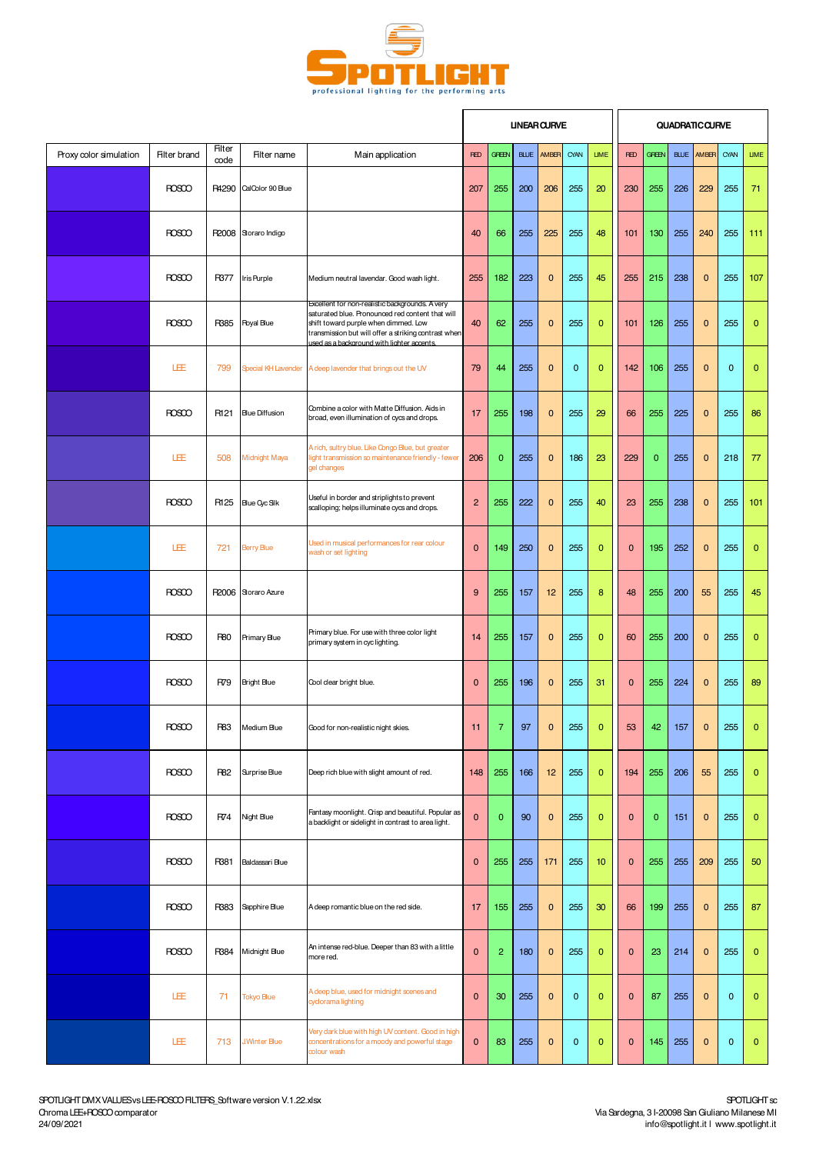

|                        |                     |                |                       |                                                                                                                                                                                                                                                   |                |                |             | <b>UNEAR CURVE</b> |              |              |              |              | <b>QUADRATIC CURVE</b> |              |              |              |
|------------------------|---------------------|----------------|-----------------------|---------------------------------------------------------------------------------------------------------------------------------------------------------------------------------------------------------------------------------------------------|----------------|----------------|-------------|--------------------|--------------|--------------|--------------|--------------|------------------------|--------------|--------------|--------------|
| Proxy color simulation | <b>Filter brand</b> | Filter<br>code | Filter name           | Main application                                                                                                                                                                                                                                  | <b>RED</b>     | <b>GREEN</b>   | <b>BLUE</b> | AMBER              | CYAN         | <b>LIME</b>  | <b>RED</b>   | <b>GREEN</b> | <b>BLUE</b>            | AMBER        | CYAN         | <b>LIME</b>  |
|                        | <b>ROSCO</b>        | R4290          | CalColor 90 Blue      |                                                                                                                                                                                                                                                   | 207            | 255            | 200         | 206                | 255          | 20           | 230          | 255          | 226                    | 229          | 255          | 71           |
|                        | <b>ROSCO</b>        | R2008          | Storaro Indigo        |                                                                                                                                                                                                                                                   | 40             | 66             | 255         | 225                | 255          | 48           | 101          | 130          | 255                    | 240          | 255          | 111          |
|                        | <b>ROSCO</b>        | R377           | Iris Purple           | Medium neutral lavendar. Good wash light.                                                                                                                                                                                                         | 255            | 182            | 223         | 0                  | 255          | 45           | 255          | 215          | 238                    | $\mathbf{0}$ | 255          | 107          |
|                        | <b>ROSCO</b>        | R385           | <b>Royal Blue</b>     | Excellent for non-realistic backgrounds. A very<br>saturated blue. Pronounced red content that will<br>shift toward purple when dimmed. Low<br>transmission but will offer a striking contrast when<br>used as a background with lighter accents. | 40             | 62             | 255         | $\mathbf 0$        | 255          | $\mathbf{0}$ | 101          | 126          | 255                    | $\mathbf{0}$ | 255          | $\mathbf{0}$ |
|                        | 旺                   | 799            | Special KH Lavender   | A deep lavender that brings out the UV                                                                                                                                                                                                            | 79             | 44             | 255         | 0                  | $\mathbf{0}$ | $\mathbf{0}$ | 142          | 106          | 255                    | $\mathbf{0}$ | $\mathbf{0}$ | $\mathbf{0}$ |
|                        | <b>ROSCO</b>        | R121           | <b>Blue Diffusion</b> | Combine a color with Matte Diffusion. Aids in<br>broad, even illumination of cycs and drops.                                                                                                                                                      | 17             | 255            | 198         | $\mathbf 0$        | 255          | 29           | 66           | 255          | 225                    | $\mathbf{0}$ | 255          | 86           |
|                        | LEE                 | 508            | Midnight Maya         | A rich, sultry blue. Like Congo Blue, but greater<br>light transmission so maintenance friendly - fewer<br>gel changes                                                                                                                            | 206            | $\mathbf{0}$   | 255         | $\mathbf 0$        | 186          | 23           | 229          | $\mathbf{0}$ | 255                    | $\mathbf{0}$ | 218          | 77           |
|                        | <b>ROSCO</b>        | R125           | Blue Cyc Silk         | Useful in border and striplights to prevent<br>scalloping; helps illuminate cycs and drops.                                                                                                                                                       | $\overline{2}$ | 255            | 222         | 0                  | 255          | 40           | 23           | 255          | 238                    | $\mathbf 0$  | 255          | 101          |
|                        | LEE                 | 721            | <b>Berry Blue</b>     | Used in musical performances for rear colour<br>wash or set lighting                                                                                                                                                                              | $\mathbf 0$    | 149            | 250         | $\mathbf 0$        | 255          | $\mathbf{0}$ | $\mathbf 0$  | 195          | 252                    | $\mathbf{0}$ | 255          | $\mathbf{0}$ |
|                        | <b>ROSCO</b>        | R2006          | Storaro Azure         |                                                                                                                                                                                                                                                   | 9              | 255            | 157         | 12                 | 255          | 8            | 48           | 255          | 200                    | 55           | 255          | 45           |
|                        | <b>ROSCO</b>        | <b>R80</b>     | Primary Blue          | Primary blue. For use with three color light<br>primary system in cyclighting.                                                                                                                                                                    | 14             | 255            | 157         | $\overline{0}$     | 255          | $\mathbf{0}$ | 60           | 255          | 200                    | $\mathbf{0}$ | 255          | $\mathbf{0}$ |
|                        | <b>ROSCO</b>        | R79            | <b>Bright Blue</b>    | Cool clear bright blue.                                                                                                                                                                                                                           | $\mathbf 0$    | 255            | 196         | 0                  | 255          | 31           | $\mathbf{0}$ | 255          | 224                    | $\mathbf{0}$ | 255          | 89           |
|                        | <b>ROSCO</b>        | <b>R83</b>     | Medium Blue           | 3ood for non-realistic night skies.                                                                                                                                                                                                               | 11             | $\overline{7}$ | 97          | 0                  | 255          | $\mathbf{0}$ | 53           | 42           | 157                    | $\mathbf 0$  | 255          | $\mathbf{0}$ |
|                        | <b>ROSCO</b>        | <b>R82</b>     | Surprise Blue         | Deep rich blue with slight amount of red.                                                                                                                                                                                                         | 148            | 255            | 166         | 12                 | 255          | $\mathbf{0}$ | 194          | 255          | 206                    | 55           | 255          | $\mathbf{0}$ |
|                        | <b>ROSCO</b>        | R74            | Night Blue            | Fantasy moonlight. Orisp and beautiful. Popular as<br>a backlight or sidelight in contrast to area light.                                                                                                                                         | $\mathbf 0$    | $\mathbf{0}$   | 90          | 0                  | 255          | $\mathbf{0}$ | $\mathbf 0$  | $\mathbf{0}$ | 151                    | $\mathbf{0}$ | 255          | $\mathbf{0}$ |
|                        | <b>ROSCO</b>        | R381           | Baldassari Blue       |                                                                                                                                                                                                                                                   | $\mathbf 0$    | 255            | 255         | 171                | 255          | 10           | $\mathbf 0$  | 255          | 255                    | 209          | 255          | 50           |
|                        | ROSCO               | R383           | Sapphire Blue         | A deep romantic blue on the red side.                                                                                                                                                                                                             | 17             | 155            | 255         | $\mathbf 0$        | 255          | 30           | 66           | 199          | 255                    | $\mathbf 0$  | 255          | 87           |
|                        | <b>ROSCO</b>        | R384           | Midnight Blue         | An intense red-blue. Deeper than 83 with a little<br>more red.                                                                                                                                                                                    | $\mathbf 0$    | $\overline{2}$ | 180         | 0                  | 255          | $\mathbf{0}$ | $\mathbf 0$  | 23           | 214                    | $\mathbf 0$  | 255          | $\mathbf 0$  |
|                        | 圧                   | 71             | <b>Tokyo Blue</b>     | A deep blue, used for midnight scenes and<br>cyclorama lighting                                                                                                                                                                                   | $\mathbf 0$    | 30             | 255         | $\mathbf 0$        | $\mathbf 0$  | $\mathbf{0}$ | $\mathbf 0$  | 87           | 255                    | $\mathbf 0$  | $\mathbf 0$  | $\mathbf{0}$ |
|                        | 旺                   | 713            | <b>JWinter Blue</b>   | Very dark blue with high UV content. Good in high<br>concentrations for a moody and powerful stage<br>colour wash                                                                                                                                 | $\mathbf 0$    | 83             | 255         | 0                  | $\mathbf 0$  | $\mathbf{0}$ | $\mathbf 0$  | 145          | 255                    | $\mathbf 0$  | $\mathbf 0$  | $\mathbf{0}$ |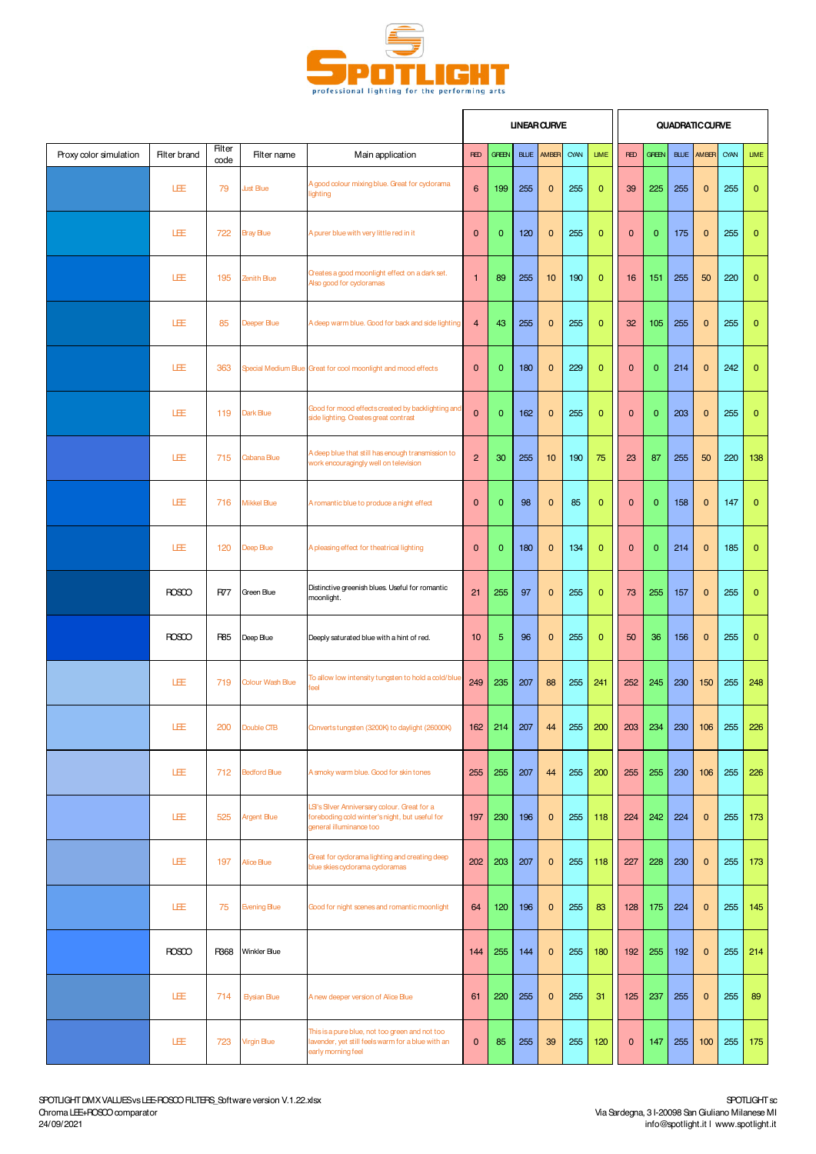

|                        |                     |                |                                 |                                                                                                                           |                |              |             | <b>UNEAR CURVE</b> |      |                |              |                |             | <b>QUADRATIC CURVE</b> |      |              |
|------------------------|---------------------|----------------|---------------------------------|---------------------------------------------------------------------------------------------------------------------------|----------------|--------------|-------------|--------------------|------|----------------|--------------|----------------|-------------|------------------------|------|--------------|
| Proxy color simulation | <b>Filter brand</b> | Filter<br>code | Filter name                     | Main application                                                                                                          | <b>RED</b>     | <b>GREEN</b> | <b>BLUE</b> | AMBER              | CYAN | <b>LIME</b>    | <b>RED</b>   | <b>GREEN</b>   | <b>BLUE</b> | AMBER                  | CYAN | <b>LIME</b>  |
|                        | 旺                   | 79             | <b>Just Blue</b>                | A good colour mixing blue. Great for cyclorama<br>lighting                                                                | 6              | 199          | 255         | $\mathbf 0$        | 255  | $\mathbf{0}$   | 39           | 225            | 255         | $\mathbf{0}$           | 255  | $\mathbf{0}$ |
|                        | 旺                   | 722            | <b>Bray Blue</b>                | A purer blue with very little red in it                                                                                   | $\mathbf{0}$   | $\mathbf{0}$ | 120         | $\mathbf{0}$       | 255  | $\mathbf 0$    | $\mathbf 0$  | $\mathbf{0}$   | 175         | $\mathbf{0}$           | 255  | $\mathbf{0}$ |
|                        | 旺                   | 195            | Zenith Blue                     | Creates a good moonlight effect on a dark set.<br>Also good for cycloramas                                                | $\mathbf{1}$   | 89           | 255         | 10                 | 190  | $\mathbf{0}$   | 16           | 151            | 255         | 50                     | 220  | $\mathbf{0}$ |
|                        | 旺                   | 85             | Deeper Blue                     | A deep warm blue. Good for back and side lighting                                                                         | $\overline{4}$ | 43           | 255         | $\mathbf{0}$       | 255  | $\overline{0}$ | 32           | 105            | 255         | $\mathbf 0$            | 255  | $\mathbf{0}$ |
|                        | LEE                 | 363            |                                 | Special Medium Blue Great for cool moonlight and mood effects                                                             | $\mathbf{0}$   | $\mathbf{0}$ | 180         | $\mathbf{0}$       | 229  | $\mathbf{0}$   | $\mathbf{0}$ | $\overline{0}$ | 214         | $\mathbf{0}$           | 242  | $\mathbf{0}$ |
|                        | 旺                   | 119            | Dark Blue                       | Good for mood effects created by backlighting and<br>side lighting. Creates great contrast                                | $\mathbf 0$    | $\mathbf{0}$ | 162         | $\mathbf{0}$       | 255  | $\mathbf{0}$   | $\mathbf{0}$ | $\mathbf{0}$   | 203         | $\mathbf{0}$           | 255  | $\mathbf{0}$ |
|                        | 旺                   | 715            | Cabana Blue                     | A deep blue that still has enough transmission to<br>work encouragingly well on television                                | $\overline{2}$ | 30           | 255         | 10                 | 190  | 75             | 23           | 87             | 255         | 50                     | 220  | 138          |
|                        | LÆ                  | 716            | <b>Mikkel Blue</b>              | A romantic blue to produce a night effect                                                                                 | $\mathbf{0}$   | $\mathbf 0$  | 98          | $\mathbf{0}$       | 85   | $\mathbf 0$    | $\mathbf{0}$ | 0              | 158         | $\mathbf{0}$           | 147  | $\mathbf{0}$ |
|                        | 旺                   | 120            | Deep Blue                       | A pleasing effect for theatrical lighting                                                                                 | $\mathbf{0}$   | $\mathbf{0}$ | 180         | $\mathbf{0}$       | 134  | $\mathbf{0}$   | $\mathbf{0}$ | $\overline{0}$ | 214         | $\mathbf{0}$           | 185  | $\mathbf{0}$ |
|                        | <b>ROSCO</b>        | <b>R77</b>     | Green Blue                      | Distinctive greenish blues. Useful for romantic<br>moonlight.                                                             | 21             | 255          | 97          | $\mathbf{0}$       | 255  | $\mathbf 0$    | 73           | 255            | 157         | $\mathbf{0}$           | 255  | $\mathbf{0}$ |
|                        | <b>ROSCO</b>        | <b>R85</b>     | Deep Blue                       | Deeply saturated blue with a hint of red.                                                                                 | 10             | 5            | 96          | $\mathbf{0}$       | 255  | $\overline{0}$ | 50           | 36             | 156         | $\mathbf{0}$           | 255  | $\mathbf 0$  |
|                        | LEE                 | 719            | <b>Colour Wash Blue</b>         | To allow low intensity tungsten to hold a cold/blue<br>feel                                                               | 249            | 235          | 207         | 88                 | 255  | 241            | 252          | 245            | 230         | 150                    | 255  | 248          |
|                        | LEE                 | 200            | Double CTB                      | Convertstungsten (3200K) to daylight (26000K)                                                                             | 162            | 214          | 207         | 44                 | 255  | 200            | 203          | 234            | 230         | 106                    | 255  | 226          |
|                        | LÆ                  | 712            | <b>Bedford Blue</b>             | A smoky warm blue. Good for skin tones                                                                                    | 255            | 255          | 207         | 44                 | 255  | 200            | 255          | 255            | 230         | 106                    | 255  | 226          |
|                        | LÆ                  | 525            | <b>Argent Blue</b>              | LSI's Silver Anniversary colour. Great for a<br>foreboding cold winter's night, but useful for<br>general illuminance too | 197            | 230          | 196         | $\mathbf{0}$       | 255  | 118            | 224          | 242            | 224         | $\mathbf{0}$           | 255  | 173          |
|                        | LÆ                  | 197            | <b>Alice Blue</b>               | Great for cyclorama lighting and creating deep<br>blue skies cyclorama cycloramas                                         | 202            | 203          | 207         | $\mathbf{0}$       | 255  | 118            | 227          | 228            | 230         | $\mathbf{0}$           | 255  | 173          |
|                        | LÆ                  | 75             | <b>Evening Blue</b>             | Good for night scenes and romantic moonlight                                                                              | 64             | 120          | 196         | $\mathbf{0}$       | 255  | 83             | 128          | 175            | 224         | $\mathbf{0}$           | 255  | 145          |
|                        | <b>ROSCO</b>        | R368           | Winkler Blue                    |                                                                                                                           | 144            | 255          | 144         | $\mathbf{0}$       | 255  | 180            | 192          | 255            | 192         | $\mathbf{0}$           | 255  | 214          |
|                        | LÆ                  | 714            | <b>Elysian Blue</b>             | A new deeper version of Alice Blue                                                                                        | 61             | 220          | 255         | $\mathbf{0}$       | 255  | 31             | 125          | 237            | 255         | $\mathbf{0}$           | 255  | 89           |
|                        | LÆ                  | 723            | <b><i><u>Argin Blue</u></i></b> | This is a pure blue, not too green and not too<br>lavender, yet still feels warm for a blue with an<br>early morning feel | $\mathbf{0}$   | 85           | 255         | 39                 | 255  | 120            | $\mathbf{0}$ | 147            | 255         | 100                    | 255  | 175          |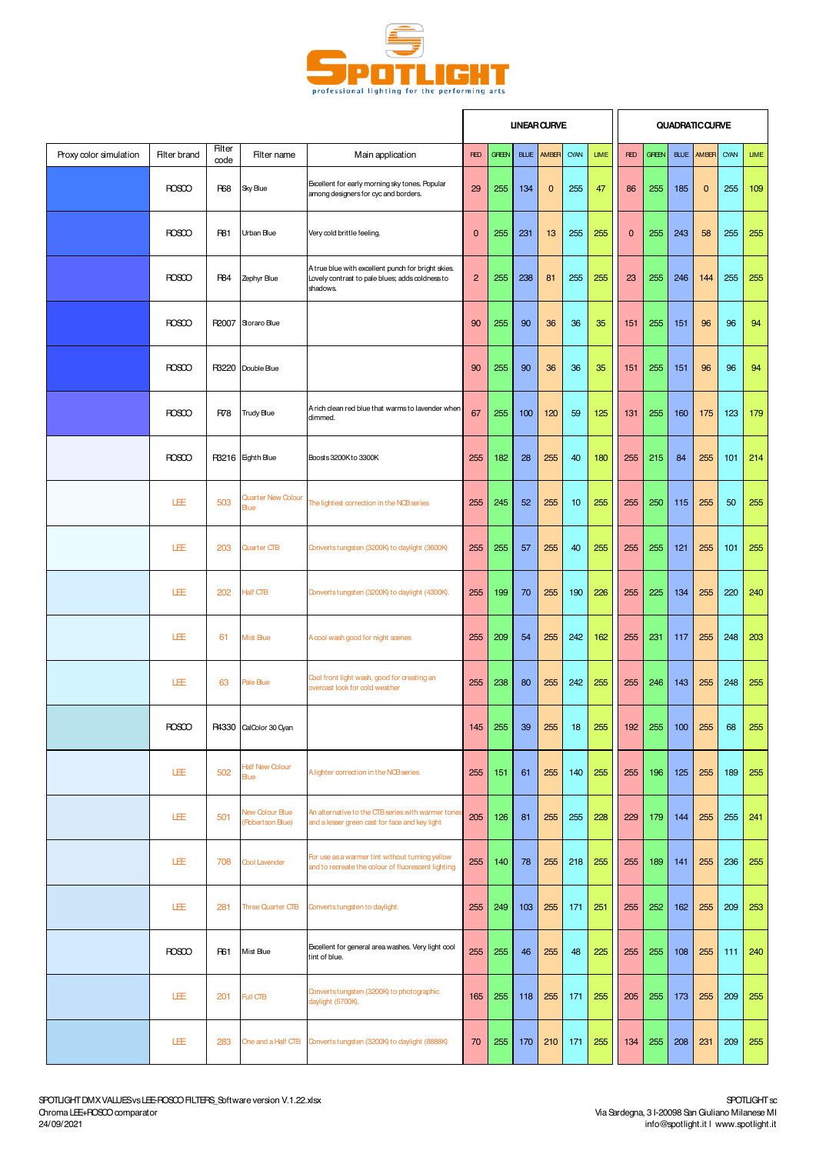

|                        |                     |                       |                                     |                                                                                                                   |                |              |             | <b>UNEAR CURVE</b> |          |             |              |              |             | <b>QUADRATIC CURVE</b> |          |             |
|------------------------|---------------------|-----------------------|-------------------------------------|-------------------------------------------------------------------------------------------------------------------|----------------|--------------|-------------|--------------------|----------|-------------|--------------|--------------|-------------|------------------------|----------|-------------|
| Proxy color simulation | <b>Filter brand</b> | <b>Filter</b><br>code | Filter name                         | Main application                                                                                                  | <b>RED</b>     | <b>GREEN</b> | <b>BLUE</b> | AMBER              | CYAN     | <b>LIME</b> | <b>RED</b>   | <b>GREEN</b> | <b>BLUE</b> | AMBER                  | CYAN     | <b>LIME</b> |
|                        | <b>ROSCO</b>        | <b>R68</b>            | Sky Blue                            | Excellent for early morning sky tones. Popular<br>among designers for cyc and borders.                            | 29             | 255          | 134         | $\mathbf 0$        | 255      | 47          | 86           | 255          | 185         | $\mathbf{0}$           | 255      | 109         |
|                        | <b>ROSCO</b>        | <b>R81</b>            | Urban Blue                          | Very cold brittle feeling.                                                                                        | $\mathbf 0$    | 255          | 231         | 13                 | 255      | 255         | $\mathbf{0}$ | 255          | 243         | 58                     | 255      | 255         |
|                        | <b>ROSCO</b>        | <b>R84</b>            | Zephyr Blue                         | A true blue with excellent punch for bright skies.<br>Lovely contrast to pale blues; adds coldness to<br>shadows. | $\overline{2}$ | 255          | 238         | 81                 | 255      | 255         | 23           | 255          | 246         | 144                    | 255      | 255         |
|                        | <b>ROSCO</b>        | R2007                 | Storaro Blue                        |                                                                                                                   | 90             | 255          | 90          | 36                 | 36       | 35          | 151          | 255          | 151         | 96                     | 96       | 94          |
|                        | <b>ROSCO</b>        |                       | R3220 Double Blue                   |                                                                                                                   | 90             | 255          | 90          | 36                 | 36       | 35          | 151          | 255          | 151         | 96                     | 96       | 94          |
|                        | <b>ROSCO</b>        | R78                   | <b>Trudy Blue</b>                   | A rich clean red blue that warms to lavender when<br>dimmed.                                                      | 67             | 255          | 100         | 120                | 59       | 125         | 131          | 255          | 160         | 175                    | 123      | 179         |
|                        | <b>ROSCO</b>        |                       | R3216 Eighth Blue                   | Boosts 3200Kto 3300K                                                                                              | 255            | 182          | 28          | 255                | 40       | 180         | 255          | 215          | 84          | 255                    | 101      | 214         |
|                        | LEE                 | 503                   | <b>Quarter New Colour</b><br>Blue   | The lightest correction in the NCB series                                                                         | 255            | 245          | 52          | 255                | 10       | 255         | 255          | 250          | 115         | 255                    | 50       | 255         |
|                        | LEE                 | 203                   | <b>Quarter CTB</b>                  | Convertstungsten (3200K) to daylight (3600K)                                                                      | 255            | 255          | 57          | 255                | 40       | 255         | 255          | 255          | 121         | 255                    | 101      | 255         |
|                        | LEE                 | 202                   | <b>Half CTB</b>                     | Convertstungsten (3200K) to daylight (4300K).                                                                     | 255            | 199          | 70          | 255                | 190      | 226         | 255          | 225          | 134         | 255                    | 220      | 240         |
|                        | 旺                   | 61                    | <b>Mist Blue</b>                    | A cool wash good for night scenes                                                                                 | 255            | 209          | 54          | 255                | 242      | 162         | 255          | 231          | 117         | 255                    | 248      | 203         |
|                        | 旺                   | 63                    | Pale Blue                           | Cool front light wash, good for creating an<br>overcast look for cold weather                                     | 255            | 238          | 80          | 255                | 242      | 255         | 255          | 246          | 143         | 255                    | 248      | 255         |
|                        | HOSOO               |                       | R4330 CalColor 30 Cyan              |                                                                                                                   | 145            | 255          | 39          |                    | $255$ 18 | 255         | 192          | 255          | 100         |                        | $255$ 68 | 255         |
|                        | LEE                 | 502                   | <b>Half New Colour</b><br>Blue      | A lighter correction in the NCB series                                                                            | 255            | 151          | 61          | 255                | 140      | 255         | 255          | 196          | 125         | 255                    | 189      | 255         |
|                        | LEE                 | 501                   | New Colour Blue<br>(Robertson Blue) | An alternative to the CTB series with warmer tones<br>and a lesser green cast for face and key light              | 205            | 126          | 81          | 255                | 255      | 228         | 229          | 179          | 144         | 255                    | 255      | 241         |
|                        | LEE                 | 708                   | Cool Lavender                       | For use as a warmer tint without turning yellow<br>and to recreate the colour of fluorescent lighting             | 255            | 140          | 78          | 255                | 218      | 255         | 255          | 189          | 141         | 255                    | 236      | 255         |
|                        | LEE                 | 281                   | <b>Three Quarter CTB</b>            | Converts tungsten to daylight.                                                                                    | 255            | 249          | 103         | 255                | 171      | 251         | 255          | 252          | 162         | 255                    | 209      | 253         |
|                        | <b>ROSCO</b>        | <b>R61</b>            | Mist Blue                           | Excellent for general area washes. Very light cool<br>tint of blue.                                               | 255            | 255          | 46          | 255                | 48       | 225         | 255          | 255          | 108         | 255                    | 111      | 240         |
|                        | 旺                   | 201                   | Full CTB                            | Converts tungsten (3200K) to photographic<br>daylight (5700K).                                                    | 165            | 255          | 118         | 255                | 171      | 255         | 205          | 255          | 173         | 255                    | 209      | 255         |
|                        | 旺                   | 283                   | One and a Half CTB                  | Convertstungsten (3200K) to daylight (8888K)                                                                      | 70             | 255          | 170         | 210                | 171      | 255         | 134          | 255          | 208         | 231                    | 209      | 255         |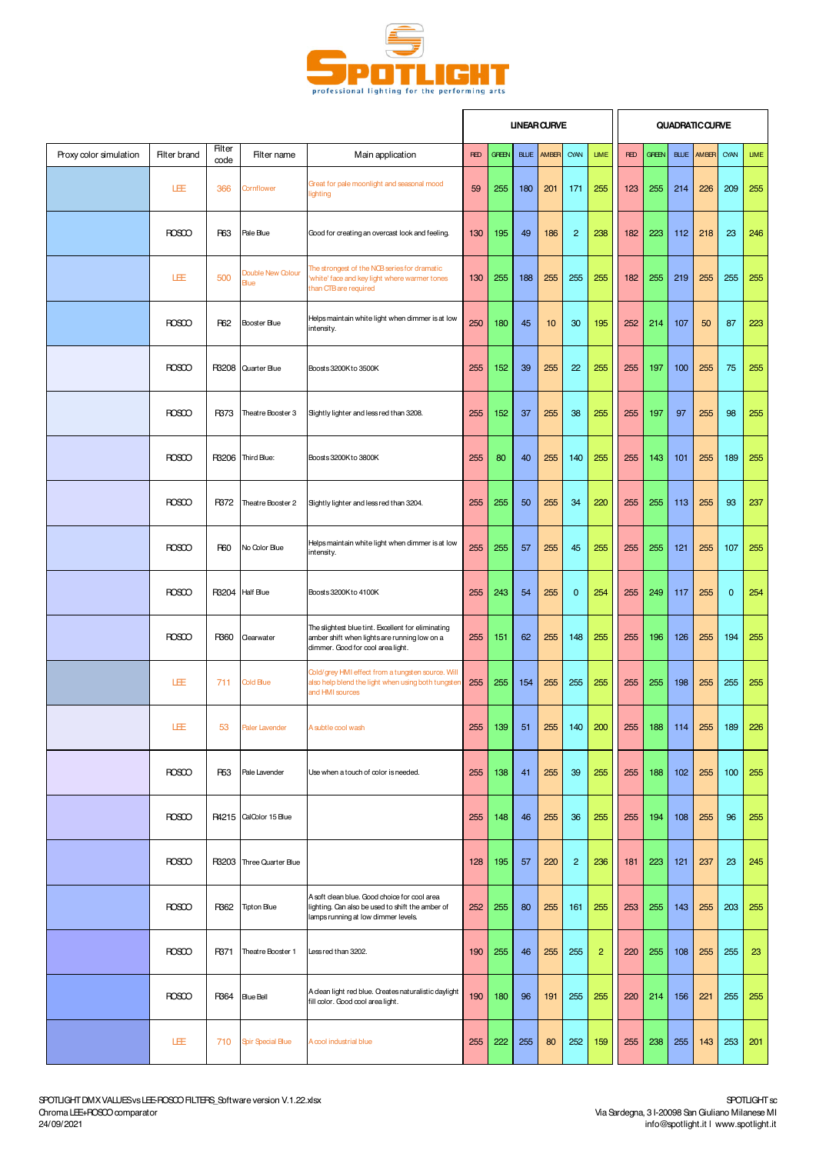

|                        |                     |                |                           |                                                                                                                                         |            |              | <b>UNEAR CURVE</b> |       |                |                |            |              |             | <b>QUADRATIC CURVE</b> |             |             |
|------------------------|---------------------|----------------|---------------------------|-----------------------------------------------------------------------------------------------------------------------------------------|------------|--------------|--------------------|-------|----------------|----------------|------------|--------------|-------------|------------------------|-------------|-------------|
| Proxy color simulation | <b>Filter brand</b> | Filter<br>code | Filter name               | Main application                                                                                                                        | <b>RED</b> | <b>GFEEN</b> | <b>BLUE</b>        | AMBER | CYAN           | <b>LIME</b>    | <b>RED</b> | <b>GREEN</b> | <b>BLUE</b> | AMBER                  | CYAN        | <b>LIME</b> |
|                        | LEE                 | 366            | <b>Cornflower</b>         | Great for pale moonlight and seasonal mood<br>lighting                                                                                  | 59         | 255          | 180                | 201   | 171            | 255            | 123        | 255          | 214         | 226                    | 209         | 255         |
|                        | <b>ROSCO</b>        | <b>R63</b>     | Pale Blue                 | Good for creating an overcast look and feeling.                                                                                         | 130        | 195          | 49                 | 186   | $\overline{c}$ | 238            | 182        | 223          | 112         | 218                    | 23          | 246         |
|                        | LEE                 | 500            | Double New Colour<br>Blue | The strongest of the NCB series for dramatic<br>'white' face and key light where warmer tones<br>than CTB are required                  | 130        | 255          | 188                | 255   | 255            | 255            | 182        | 255          | 219         | 255                    | 255         | 255         |
|                        | <b>ROSCO</b>        | <b>R62</b>     | Booster Blue              | Helps maintain white light when dimmer is at low<br>intensity.                                                                          | 250        | 180          | 45                 | 10    | 30             | 195            | 252        | 214          | 107         | 50                     | 87          | 223         |
|                        | <b>ROSCO</b>        | R3208          | Quarter Blue              | Boosts 3200Kto 3500K                                                                                                                    | 255        | 152          | 39                 | 255   | 22             | 255            | 255        | 197          | 100         | 255                    | 75          | 255         |
|                        | <b>ROSCO</b>        | R373           | Theatre Booster 3         | Sightly lighter and less red than 3208.                                                                                                 | 255        | 152          | 37                 | 255   | 38             | 255            | 255        | 197          | 97          | 255                    | 98          | 255         |
|                        | <b>ROSCO</b>        | R3206          | Third Blue:               | Boosts 3200Kto 3800K                                                                                                                    | 255        | 80           | 40                 | 255   | 140            | 255            | 255        | 143          | 101         | 255                    | 189         | 255         |
|                        | <b>ROSCO</b>        | R372           | Theatre Booster 2         | Sightly lighter and less red than 3204.                                                                                                 | 255        | 255          | 50                 | 255   | 34             | 220            | 255        | 255          | 113         | 255                    | 93          | 237         |
|                        | <b>ROSCO</b>        | <b>R60</b>     | No Color Blue             | Helps maintain white light when dimmer is at low<br>intensity.                                                                          | 255        | 255          | 57                 | 255   | 45             | 255            | 255        | 255          | 121         | 255                    | 107         | 255         |
|                        | <b>ROSCO</b>        | R3204          | <b>Half Blue</b>          | Boosts 3200K to 4100K                                                                                                                   | 255        | 243          | 54                 | 255   | $\mathbf 0$    | 254            | 255        | 249          | 117         | 255                    | $\mathbf 0$ | 254         |
|                        | <b>ROSCO</b>        | R360           | Clearwater                | The slightest blue tint. Excellent for eliminating<br>amber shift when lights are running low on a<br>dimmer. Good for cool area light. | 255        | 151          | 62                 | 255   | 148            | 255            | 255        | 196          | 126         | 255                    | 194         | 255         |
|                        | 圧                   | 711            | Cold Blue                 | Cold/grey HMI effect from a tungsten source. Will<br>also help blend the light when using both tungsten<br>and HMI sources              | 255        | 255          | 154                | 255   | 255            | 255            | 255        | 255          | 198         | 255                    | 255         | 255         |
|                        | LEE                 | 53             | Paler Lavender            | A subtle cool wash                                                                                                                      | 255        | 139          | 51                 | 255   | 140            | 200            | 255        | 188          | 114         | 255                    | 189         | 226         |
|                        | <b>ROSCO</b>        | <b>R53</b>     | Pale Lavender             | Use when a touch of color is needed.                                                                                                    | 255        | 138          | 41                 | 255   | 39             | 255            | 255        | 188          | 102         | 255                    | 100         | 255         |
|                        | <b>ROSCO</b>        | R4215          | CalColor 15 Blue          |                                                                                                                                         | 255        | 148          | 46                 | 255   | 36             | 255            | 255        | 194          | 108         | 255                    | 96          | 255         |
|                        | <b>ROSCO</b>        | R3203          | Three Quarter Blue        |                                                                                                                                         | 128        | 195          | 57                 | 220   | $\overline{2}$ | 236            | 181        | 223          | 121         | 237                    | 23          | 245         |
|                        | <b>ROSCO</b>        | R362           | <b>Tipton Blue</b>        | A soft clean blue. Good choice for cool area<br>lighting. Can also be used to shift the amber of<br>lamps running at low dimmer levels. | 252        | 255          | 80                 | 255   | 161            | 255            | 253        | 255          | 143         | 255                    | 203         | 255         |
|                        | <b>ROSCO</b>        | R371           | Theatre Booster 1         | Less red than 3202.                                                                                                                     | 190        | 255          | 46                 | 255   | 255            | $\overline{2}$ | 220        | 255          | 108         | 255                    | 255         | 23          |
|                        | <b>ROSCO</b>        | R364           | <b>Blue Bell</b>          | A clean light red blue. Creates naturalistic daylight<br>fill color. Good cool area light.                                              | 190        | 180          | 96                 | 191   | 255            | 255            | 220        | 214          | 156         | 221                    | 255         | 255         |
|                        | 圧                   | 710            | <b>Spir Special Blue</b>  | A cool industrial blue                                                                                                                  | 255        | 222          | 255                | 80    | 252            | 159            | 255        | 238          | 255         | 143                    | 253         | 201         |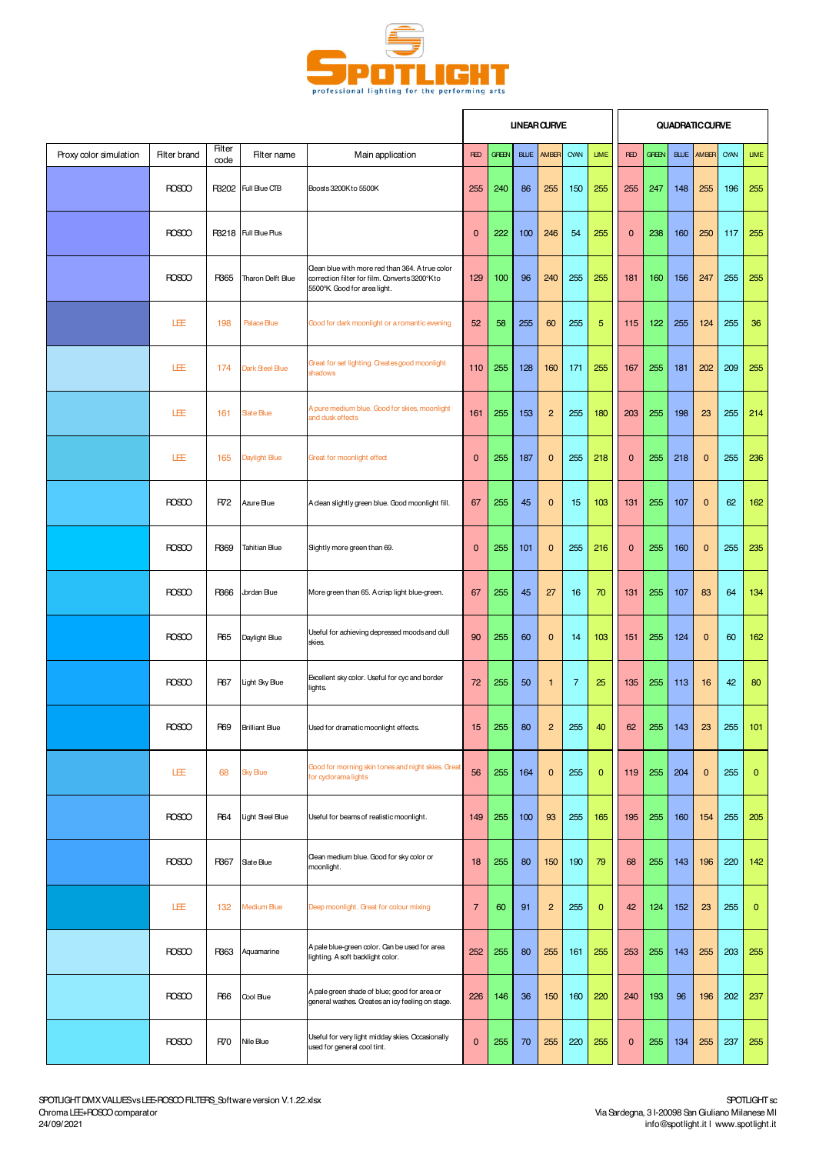

|                        |                     |                       |                       |                                                                                                                                  |                  |              |             | <b>UNEAR CURVE</b> |                |              |              |              |     | QUADRATIC CURVE   |      |              |
|------------------------|---------------------|-----------------------|-----------------------|----------------------------------------------------------------------------------------------------------------------------------|------------------|--------------|-------------|--------------------|----------------|--------------|--------------|--------------|-----|-------------------|------|--------------|
| Proxy color simulation | <b>Filter brand</b> | <b>Filter</b><br>code | Filter name           | Main application                                                                                                                 | <b>RED</b>       | <b>GREEN</b> | <b>BLUE</b> | AM <sub>BR</sub>   | CYAN           | <b>LIME</b>  | <b>RED</b>   | <b>GREEN</b> |     | <b>BLUE AMBER</b> | CYAN | <b>LIME</b>  |
|                        | <b>ROSCO</b>        |                       | R3202 Full Bue CTB    | Boosts 3200Kto 5500K                                                                                                             | 255              | 240          | 86          | 255                | 150            | 255          | 255          | 247          | 148 | 255               | 196  | 255          |
|                        | <b>ROSCO</b>        |                       | R3218 Full Bue Plus   |                                                                                                                                  | $\mathbf 0$      | 222          | 100         | 246                | 54             | 255          | $\mathbf{0}$ | 238          | 160 | 250               | 117  | 255          |
|                        | <b>ROSCO</b>        | R365                  | Tharon Delft Blue     | Clean blue with more red than 364. A true color<br>correction filter for film. Converts 3200°K to<br>5500°K Good for area light. | 129              | 100          | 96          | 240                | 255            | 255          | 181          | 160          | 156 | 247               | 255  | 255          |
|                        | LÆ                  | 198                   | Palace Blue           | Good for dark moonlight or a romantic evening                                                                                    | 52               | 58           | 255         | 60                 | 255            | 5            | 115          | 122          | 255 | 124               | 255  | 36           |
|                        | LÆ                  | 174                   | Dark Steel Blue       | Great for set lighting. Creates good moonlight<br>shadows                                                                        | 110              | 255          | 128         | 160                | 171            | 255          | 167          | 255          | 181 | 202               | 209  | 255          |
|                        | LEE                 | 161                   | <b>Sate Blue</b>      | A pure medium blue. Good for skies, moonlight<br>and dusk effects                                                                | 161              | 255          | 153         | $\overline{c}$     | 255            | 180          | 203          | 255          | 198 | 23                | 255  | 214          |
|                        | LEE                 | 165                   | Daylight Blue         | Great for moonlight effect                                                                                                       | $\mathbf 0$      | 255          | 187         | $\mathbf 0$        | 255            | 218          | $\mathbf{0}$ | 255          | 218 | $\mathbf{0}$      | 255  | 236          |
|                        | <b>ROSCO</b>        | R72                   | Azure Blue            | A clean slightly green blue. Good moonlight fill.                                                                                | 67               | 255          | 45          | $\mathbf 0$        | 15             | 103          | 131          | 255          | 107 | $\mathbf{0}$      | 62   | 162          |
|                        | <b>ROSCO</b>        | R369                  | Tahitian Blue         | Sightly more green than 69.                                                                                                      | $\mathbf 0$      | 255          | 101         | $\mathbf 0$        | 255            | 216          | $\mathbf{0}$ | 255          | 160 | $\mathbf{0}$      | 255  | 235          |
|                        | <b>ROSCO</b>        | R366                  | Jordan Blue           | More green than 65. A crisp light blue-green.                                                                                    | 67               | 255          | 45          | 27                 | 16             | 70           | 131          | 255          | 107 | 83                | 64   | 134          |
|                        | <b>ROSCO</b>        | <b>R65</b>            | Daylight Blue         | Useful for achieving depressed moods and dull<br>skies.                                                                          | 90               | 255          | 60          | $\mathbf 0$        | 14             | 103          | 151          | 255          | 124 | $\mathbf{0}$      | 60   | 162          |
|                        | <b>ROSCO</b>        | <b>R67</b>            | Light Sky Blue        | Excellent sky color. Useful for cyc and border<br>lights.                                                                        | 72               | 255          | 50          | $\mathbf{1}$       | $\overline{7}$ | 25           | 135          | 255          | 113 | 16                | 42   | 80           |
|                        | <b>ROSCO</b>        | <b>R69</b>            | <b>Brilliant Blue</b> | Used for dramatic moonlight effects.                                                                                             | 15 <sub>15</sub> | 255          | 80          | $\mathfrak{p}$     | 255            | 40           | 62           | 255          | 143 | 23                | 255  | 101          |
|                        | LEE                 | 68                    | <b>Sky Blue</b>       | Good for morning skin tones and night skies. Great<br>for cyclorama lights                                                       | 56               | 255          | 164         | $\mathbf 0$        | 255            | $\mathbf{0}$ | 119          | 255          | 204 | $\mathbf{0}$      | 255  | $\mathbf{0}$ |
|                        | <b>ROSCO</b>        | <b>R64</b>            | Light Steel Blue      | Useful for beams of realistic moonlight.                                                                                         | 149              | 255          | 100         | 93                 | 255            | 165          | 195          | 255          | 160 | 154               | 255  | 205          |
|                        | <b>ROSCO</b>        | R367                  | Sate Blue             | Clean medium blue. Good for sky color or<br>moonlight.                                                                           | 18               | 255          | 80          | 150                | 190            | 79           | 68           | 255          | 143 | 196               | 220  | 142          |
|                        | LEE                 | 132                   | Medium Blue           | Deep moonlight. Great for colour mixing                                                                                          | $\overline{7}$   | 60           | 91          | $\overline{c}$     | 255            | $\mathbf{0}$ | 42           | 124          | 152 | 23                | 255  | $\mathbf 0$  |
|                        | <b>ROSCO</b>        | R363                  | Aquamarine            | A pale blue-green color. Can be used for area<br>lighting. A soft backlight color.                                               | 252              | 255          | 80          | 255                | 161            | 255          | 253          | 255          | 143 | 255               | 203  | 255          |
|                        | <b>ROSCO</b>        | <b>R66</b>            | Cool Blue             | A pale green shade of blue; good for area or<br>general washes. Creates an icy feeling on stage.                                 | 226              | 146          | 36          | 150                | 160            | 220          | 240          | 193          | 96  | 196               | 202  | 237          |
|                        | <b>ROSCO</b>        | R70                   | Nile Blue             | Useful for very light midday skies. Occasionally<br>used for general cool tint.                                                  | $\mathbf 0$      | 255          | 70          | 255                | 220            | 255          | $\mathbf{0}$ | 255          | 134 | 255               | 237  | 255          |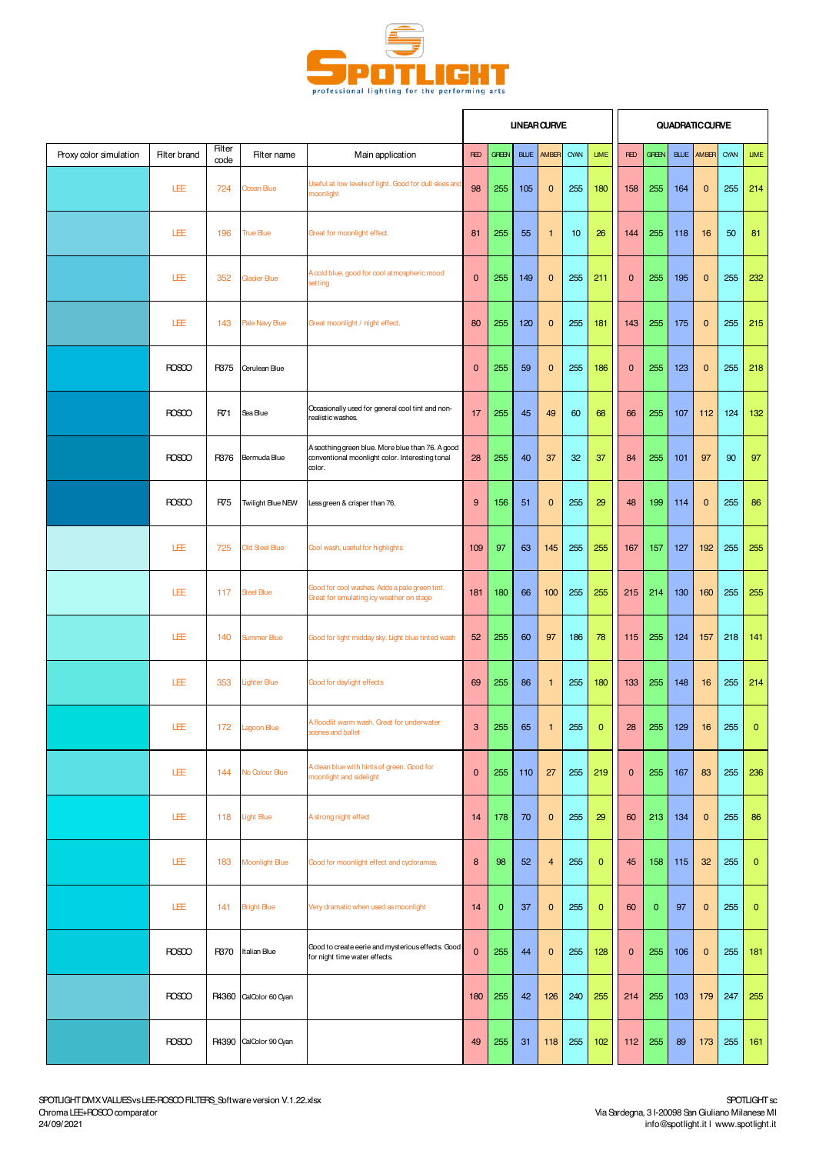

|                        |                     |                |                        |                                                                                                               |                           |              |             | <b>UNEAR CURVE</b> |      |              |              |              |             | <b>QUADRATIC CURVE</b> |      |                |
|------------------------|---------------------|----------------|------------------------|---------------------------------------------------------------------------------------------------------------|---------------------------|--------------|-------------|--------------------|------|--------------|--------------|--------------|-------------|------------------------|------|----------------|
| Proxy color simulation | <b>Filter brand</b> | Filter<br>code | Filter name            | Main application                                                                                              | <b>RED</b>                | <b>GREEN</b> | <b>BLUE</b> | AMBER              | CYAN | <b>LIME</b>  | <b>RED</b>   | <b>GREEN</b> | <b>BLUE</b> | AM <sub>BR</sub>       | CYAN | <b>LIME</b>    |
|                        | LEE                 | 724            | Ocean Blue             | Useful at low levels of light. Good for dull skies and<br>moonlight                                           | 98                        | 255          | 105         | $\pmb{0}$          | 255  | 180          | 158          | 255          | 164         | $\mathbf{0}$           | 255  | 214            |
|                        | LEE                 | 196            | <b>True Blue</b>       | Great for moonlight effect.                                                                                   | 81                        | 255          | 55          | $\mathbf{1}$       | 10   | 26           | 144          | 255          | 118         | 16                     | 50   | 81             |
|                        | LEE                 | 352            | Glacier Blue           | A cold blue, good for cool atmospheric mood<br>setting                                                        | $\mathbf 0$               | 255          | 149         | $\mathbf 0$        | 255  | 211          | $\mathbf{0}$ | 255          | 195         | $\mathbf{0}$           | 255  | 232            |
|                        | LEE                 | 143            | Pale Navy Blue         | Great moonlight / night effect.                                                                               | 80                        | 255          | 120         | $\mathbf 0$        | 255  | 181          | 143          | 255          | 175         | $\mathbf{0}$           | 255  | 215            |
|                        | <b>ROSCO</b>        | R375           | Cerulean Blue          |                                                                                                               | $\mathbf 0$               | 255          | 59          | $\mathbf 0$        | 255  | 186          | $\mathbf{0}$ | 255          | 123         | $\mathbf{0}$           | 255  | 218            |
|                        | <b>ROSCO</b>        | R71            | Sea Blue               | Occasionally used for general cool tint and non-<br>realistic washes.                                         | 17                        | 255          | 45          | 49                 | 60   | 68           | 66           | 255          | 107         | 112                    | 124  | 132            |
|                        | <b>ROSCO</b>        | R376           | Bermuda Blue           | A soothing green blue. More blue than 76. A good<br>conventional moonlight color. Interesting tonal<br>color. | 28                        | 255          | 40          | 37                 | 32   | 37           | 84           | 255          | 101         | 97                     | 90   | 97             |
|                        | <b>ROSCO</b>        | R75            | Twilight Blue NEW      | Less green & crisper than 76.                                                                                 | 9                         | 156          | 51          | $\pmb{0}$          | 255  | 29           | 48           | 199          | 114         | $\mathbf{0}$           | 255  | 86             |
|                        | LEE                 | 725            | Old Steel Blue         | Cool wash, useful for highlights                                                                              | 109                       | 97           | 63          | 145                | 255  | 255          | 167          | 157          | 127         | 192                    | 255  | 255            |
|                        | LEE                 | 117            | <b>Steel Blue</b>      | Good for cool washes. Adds a pale green tint.<br>Great for emulating icy weather on stage                     | 181                       | 180          | 66          | 100                | 255  | 255          | 215          | 214          | 130         | 160                    | 255  | 255            |
|                        | LEE                 | 140            | <b>Summer Blue</b>     | Good for light midday sky. Light blue tinted wash                                                             | 52                        | 255          | 60          | 97                 | 186  | 78           | 115          | 255          | 124         | 157                    | 218  | 141            |
|                        | LEE                 | 353            | <b>Lighter Blue</b>    | Good for daylight effects                                                                                     | 69                        | 255          | 86          | $\mathbf{1}$       | 255  | 180          | 133          | 255          | 148         | 16                     | 255  | 214            |
|                        | LEE                 | 172            | Lagoon Blue            | A floodlit warm wash. Great for underwater<br>scenes and ballet                                               | $\ensuremath{\mathsf{3}}$ | 255          | 65          | $\mathbf{1}$       | 255  | $\mathbf{0}$ | ${\bf 28}$   | 255          | 129         | 16                     | 255  | $\overline{0}$ |
|                        | LEE                 | 144            | No Colour Blue         | A clean blue with hints of green. Good for<br>moonlight and sidelight                                         | $\mathbf 0$               | 255          | 110         | 27                 | 255  | 219          | $\mathbf 0$  | 255          | 167         | 83                     | 255  | 236            |
|                        | LÆ                  | 118            | <b>Light Blue</b>      | A strong night effect                                                                                         | 14                        | 178          | 70          | $\mathbf 0$        | 255  | 29           | 60           | 213          | 134         | $\mathbf{0}$           | 255  | 86             |
|                        | LEE                 | 183            | <b>Moonlight Blue</b>  | Good for moonlight effect and cycloramas.                                                                     | $\bf 8$                   | 98           | 52          | $\overline{4}$     | 255  | $\mathbf{0}$ | 45           | 158          | 115         | 32                     | 255  | $\mathbf{0}$   |
|                        | LEE                 | 141            | <b>Bright Blue</b>     | Very dramatic when used as moonlight                                                                          | 14                        | $\mathbf 0$  | 37          | 0                  | 255  | $\mathbf{0}$ | 60           | $\mathbf{0}$ | 97          | $\mathbf 0$            | 255  | $\mathbf{0}$   |
|                        | <b>ROSCO</b>        | R370           | Italian Blue           | Good to create eerie and mysterious effects. Good<br>for night time water effects.                            | $\mathbf 0$               | 255          | 44          | $\mathbf 0$        | 255  | 128          | $\mathbf{0}$ | 255          | 106         | $\mathbf{0}$           | 255  | 181            |
|                        | <b>ROSCO</b>        |                | R4360 CalColor 60 Cyan |                                                                                                               | 180                       | 255          | 42          | 126                | 240  | 255          | 214          | 255          | 103         | 179                    | 247  | 255            |
|                        | <b>ROSCO</b>        | R4390          | CalColor 90 Cyan       |                                                                                                               | 49                        | 255          | 31          | 118                | 255  | 102          | 112          | 255          | 89          | 173                    | 255  | 161            |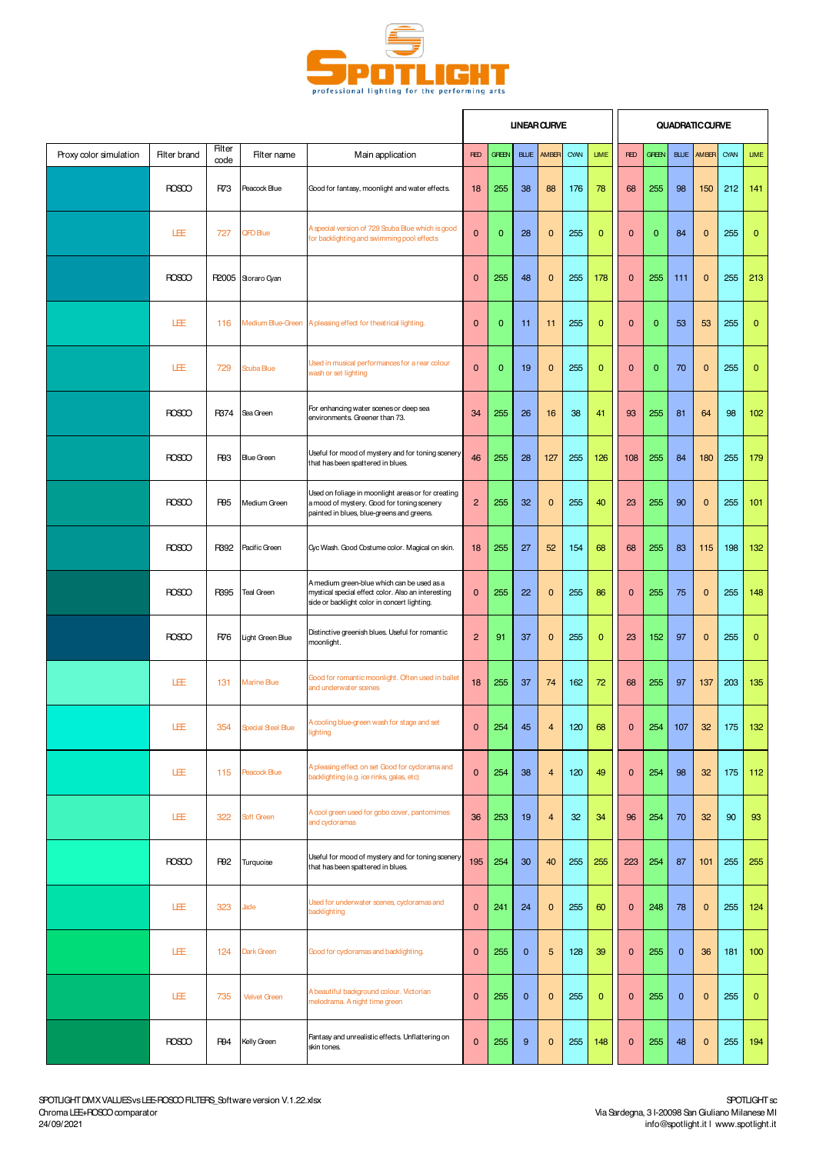

 $\mathbf{r}$ 

i r

|                        |                     |                       |                        |                                                                                                                                                  |                |              |              | <b>UNEAR CURVE</b>      |      |                |              |              |              | <b>QUADRATIC CURVE</b> |      |              |
|------------------------|---------------------|-----------------------|------------------------|--------------------------------------------------------------------------------------------------------------------------------------------------|----------------|--------------|--------------|-------------------------|------|----------------|--------------|--------------|--------------|------------------------|------|--------------|
| Proxy color simulation | <b>Filter brand</b> | <b>Filter</b><br>code | Filter name            | Main application                                                                                                                                 | <b>RED</b>     | <b>GFEEN</b> | <b>BLUE</b>  | AMBER                   | CYAN | <b>LIME</b>    | <b>RED</b>   | <b>GFEEN</b> | <b>BLUE</b>  | AMBER                  | CYAN | <b>LIME</b>  |
|                        | <b>ROSCO</b>        | R73                   | Peacock Blue           | Good for fantasy, moonlight and water effects.                                                                                                   | 18             | 255          | 38           | 88                      | 176  | 78             | 68           | 255          | 98           | 150                    | 212  | 141          |
|                        | LÆ                  | 727                   | QFD Blue               | A special version of 729 Scuba Blue which is good<br>for backlighting and swimming pool effects                                                  | $\pmb{0}$      | $\mathbf{0}$ | 28           | $\mathbf 0$             | 255  | $\mathbf{0}$   | $\mathbf{0}$ | 0            | 84           | $\mathbf{0}$           | 255  | 0            |
|                        | <b>ROSCO</b>        |                       | R2005 Storaro Cyan     |                                                                                                                                                  | $\mathbf{0}$   | 255          | 48           | $\mathbf 0$             | 255  | 178            | $\mathbf{0}$ | 255          | 111          | $\mathbf{0}$           | 255  | 213          |
|                        | 匪                   | 116                   |                        | Medium Blue-Green A pleasing effect for theatrical lighting.                                                                                     | $\mathbf 0$    | $\mathbf 0$  | 11           | 11                      | 255  | $\mathbf{0}$   | $\mathbf 0$  | 0            | 53           | 53                     | 255  | $\bf{0}$     |
|                        | 匪                   | 729                   | Scuba Blue             | Used in musical performances for a rear colour<br>wash or set lighting                                                                           | $\mathbf 0$    | $\mathbf{0}$ | 19           | $\mathbf 0$             | 255  | $\overline{0}$ | $\mathbf{0}$ | $\mathbf{0}$ | 70           | $\mathbf{0}$           | 255  | $\mathbf{0}$ |
|                        | <b>ROSCO</b>        | R374                  | Sea Green              | For enhancing water scenes or deep sea<br>environments. Greener than 73.                                                                         | 34             | 255          | 26           | 16                      | 38   | 41             | 93           | 255          | 81           | 64                     | 98   | 102          |
|                        | <b>ROSCO</b>        | <b>R93</b>            | <b>Blue Green</b>      | Useful for mood of mystery and for toning scenery<br>that has been spattered in blues.                                                           | 46             | 255          | 28           | 127                     | 255  | 126            | 108          | 255          | 84           | 180                    | 255  | 179          |
|                        | <b>ROSCO</b>        | <b>R95</b>            | Medium Green           | Used on foliage in moonlight areas or for creating<br>a mood of mystery. Good for toning scenery<br>painted in blues, blue-greens and greens.    | $\overline{c}$ | 255          | 32           | $\mathbf 0$             | 255  | 40             | 23           | 255          | 90           | $\mathbf{0}$           | 255  | 101          |
|                        | <b>ROSCO</b>        | R392                  | Pacific Green          | Cyc Wash. Good Costume color. Magical on skin.                                                                                                   | 18             | 255          | 27           | 52                      | 154  | 68             | 68           | 255          | 83           | 115                    | 198  | 132          |
|                        | <b>ROSCO</b>        | R395                  | <b>Teal Green</b>      | A medium green-blue which can be used as a<br>mystical special effect color. Also an interesting<br>side or backlight color in concert lighting. | $\mathbf{0}$   | 255          | 22           | $\bf{0}$                | 255  | 86             | $\mathbf{0}$ | 255          | 75           | $\mathbf 0$            | 255  | 148          |
|                        | <b>ROSCO</b>        | R76                   | Light Green Blue       | Distinctive greenish blues. Useful for romantic<br>moonlight.                                                                                    | $\overline{c}$ | 91           | 37           | $\pmb{0}$               | 255  | $\mathbf{0}$   | 23           | 152          | 97           | $\mathbf{0}$           | 255  | $\mathbf{0}$ |
|                        | LEE                 | 131                   | Marine Blue            | Good for romantic moonlight. Often used in ballet<br>and underwater scenes                                                                       | 18             | 255          | 37           | 74                      | 162  | 72             | 68           | 255          | 97           | 137                    | 203  | 135          |
|                        | LEE                 |                       | 354 Special Steel Blue | A cooling blue-green wash for stage and set<br>ighting                                                                                           | $\mathbf{0}$   | 254          | 45           | $\overline{4}$          | 120  | 68             | $\mathbf{0}$ | 254          | 107          | 32                     | 175  | 132          |
|                        | LEE                 | 115                   | <b>Peacock Blue</b>    | A pleasing effect on set Good for cyclorama and<br>backlighting (e.g. ice rinks, galas, etc)                                                     | $\mathbf 0$    | 254          | 38           | $\overline{\mathbf{4}}$ | 120  | 49             | $\mathbf{0}$ | 254          | 98           | 32                     | 175  | 112          |
|                        | LEE                 | 322                   | Soft Green             | A cool green used for gobo cover, pantomimes<br>and cycloramas                                                                                   | 36             | 253          | 19           | $\overline{\mathbf{4}}$ | 32   | 34             | 96           | 254          | 70           | 32                     | 90   | 93           |
|                        | <b>ROSCO</b>        | <b>R92</b>            | Turquoise              | Useful for mood of mystery and for toning scenery<br>that has been spattered in blues.                                                           | 195            | 254          | 30           | 40                      | 255  | 255            | 223          | 254          | 87           | 101                    | 255  | 255          |
|                        | LÆ                  | 323                   | Jade                   | Used for underwater scenes, cycloramas and<br>backlighting                                                                                       | $\mathbf 0$    | 241          | 24           | $\mathbf 0$             | 255  | 60             | $\mathbf 0$  | 248          | 78           | $\pmb{0}$              | 255  | 124          |
|                        | 旺                   | 124                   | Dark Green             | Good for cycloramas and backlighting.                                                                                                            | $\mathbf 0$    | 255          | $\mathbf{0}$ | 5                       | 128  | 39             | $\mathbf 0$  | 255          | $\mathbf{0}$ | 36                     | 181  | 100          |
|                        | LEE                 | 735                   | <b>Velvet Green</b>    | A beautiful background colour. Victorian<br>melodrama. A night time green                                                                        | $\mathbf 0$    | 255          | $\mathbf{0}$ | $\mathbf 0$             | 255  | $\mathbf{0}$   | $\mathbf 0$  | 255          | $\mathbf{0}$ | $\mathbf{0}$           | 255  | $\mathbf{0}$ |
|                        | <b>ROSCO</b>        | R94                   | Kelly Green            | Fantasy and unrealistic effects. Unflattering on<br>skin tones.                                                                                  | $\mathbf 0$    | 255          | 9            | $\mathbf 0$             | 255  | 148            | $\mathbf{0}$ | 255          | 48           | $\mathbf{0}$           | 255  | 194          |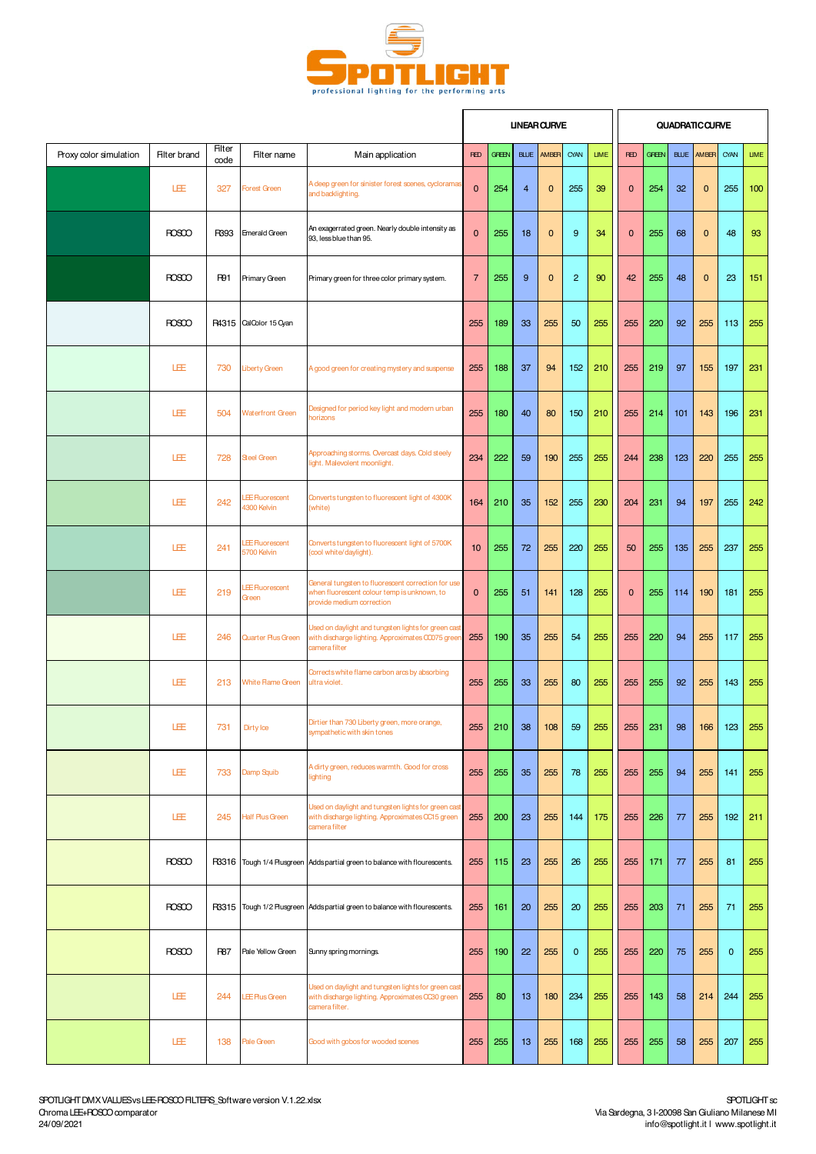

|                        |                     |                       |                                      |                                                                                                                                |                |              |                | <b>UNEAR CURVE</b> |                |             |              |              |             | <b>QUADRATIC CURVE</b> |             |             |
|------------------------|---------------------|-----------------------|--------------------------------------|--------------------------------------------------------------------------------------------------------------------------------|----------------|--------------|----------------|--------------------|----------------|-------------|--------------|--------------|-------------|------------------------|-------------|-------------|
| Proxy color simulation | <b>Filter brand</b> | <b>Filter</b><br>code | Filter name                          | Main application                                                                                                               | <b>RED</b>     | <b>GREEN</b> | <b>BLUE</b>    | AMBER              | CYAN           | <b>LIME</b> | <b>RED</b>   | <b>GREEN</b> | <b>BLUE</b> | AMBER                  | CYAN        | <b>LIME</b> |
|                        | LEE                 | 327                   | <b>Forest Green</b>                  | A deep green for sinister forest scenes, cyclorama:<br>and backlighting.                                                       | $\mathbf 0$    | 254          | $\overline{4}$ | $\mathbf 0$        | 255            | 39          | $\mathbf{0}$ | 254          | 32          | $\mathbf{0}$           | 255         | 100         |
|                        | <b>ROSCO</b>        | R393                  | <b>Emerald Green</b>                 | An exagerrated green. Nearly double intensity as<br>93, less blue than 95.                                                     | $\mathbf 0$    | 255          | 18             | $\mathbf 0$        | $9\,$          | 34          | $\mathbf{0}$ | 255          | 68          | $\mathbf{0}$           | 48          | 93          |
|                        | <b>ROSCO</b>        | R91                   | Primary Green                        | Primary green for three color primary system.                                                                                  | $\overline{7}$ | 255          | 9              | $\mathbf 0$        | $\overline{2}$ | 90          | 42           | 255          | 48          | $\mathbf{0}$           | 23          | 151         |
|                        | <b>ROSCO</b>        |                       | P4315 CalColor 15 Cyan               |                                                                                                                                | 255            | 189          | 33             | 255                | 50             | 255         | 255          | 220          | 92          | 255                    | 113         | 255         |
|                        | 旺                   | 730                   | <b>Liberty Green</b>                 | A good green for creating mystery and suspense                                                                                 | 255            | 188          | 37             | 94                 | 152            | 210         | 255          | 219          | 97          | 155                    | 197         | 231         |
|                        | LEE                 | 504                   | <b>Waterfront Green</b>              | Designed for period key light and modern urban<br><b>norizons</b>                                                              | 255            | 180          | 40             | 80                 | 150            | 210         | 255          | 214          | 101         | 143                    | 196         | 231         |
|                        | LEE                 | 728                   | Steel Green                          | Approaching storms. Overcast days. Cold steely<br>light. Malevolent moonlight.                                                 | 234            | 222          | 59             | 190                | 255            | 255         | 244          | 238          | 123         | 220                    | 255         | 255         |
|                        | LEE                 | 242                   | <b>EE</b> Fluorescent<br>4300 Kelvin | Converts tungsten to fluorescent light of 4300K<br>(white)                                                                     | 164            | 210          | 35             | 152                | 255            | 230         | 204          | 231          | 94          | 197                    | 255         | 242         |
|                        | LEE                 | 241                   | <b>EE</b> Fluorescent<br>5700 Kelvin | Converts tungsten to fluorescent light of 5700K<br>(cool white/daylight).                                                      | 10             | 255          | 72             | 255                | 220            | 255         | 50           | 255          | 135         | 255                    | 237         | 255         |
|                        | LÆ                  | 219                   | <b>EE</b> Fluorescent<br>Green       | General tungsten to fluorescent correction for use<br>when fluorescent colour temp is unknown, to<br>provide medium correction | $\mathbf 0$    | 255          | 51             | 141                | 128            | 255         | $\mathbf{0}$ | 255          | 114         | 190                    | 181         | 255         |
|                        | LEE                 | 246                   | Quarter Plus Green                   | Used on daylight and tungsten lights for green cast<br>with discharge lighting. Approximates CCO75 greer<br>camera filter      | 255            | 190          | 35             | 255                | 54             | 255         | 255          | 220          | 94          | 255                    | 117         | 255         |
|                        | LEE                 | 213                   | White Flame Green                    | Corrects white flame carbon arcs by absorbing<br>ultra violet.                                                                 | 255            | 255          | 33             | 255                | 80             | 255         | 255          | 255          | 92          | 255                    | 143         | 255         |
|                        | LEE                 | 731                   | Dirty loe                            | Dirtier than 730 Liberty green, more orange,<br>sympathetic with skin tones                                                    | 255            | 210          | 38             | 108                | 59             | 255         | 255          | 231          | 98          | 166                    | 123         | 255         |
|                        | LEE                 | 733                   | Damp Squib                           | A dirty green, reduces warmth. Good for cross<br>lighting                                                                      | 255            | 255          | 35             | 255                | 78             | 255         | 255          | 255          | 94          | 255                    | 141         | 255         |
|                        | LEE                 | 245                   | <b>Half Plus Green</b>               | Used on daylight and tungsten lights for green cast<br>with discharge lighting. Approximates CC15 green<br>camera filter       | 255            | 200          | 23             | 255                | 144            | 175         | 255          | 226          | 77          | 255                    | 192         | 211         |
|                        | <b>ROSCO</b>        |                       |                                      | R3316 Tough 1/4 Plusgreen Adds partial green to balance with flourescents.                                                     | 255            | 115          | 23             | 255                | 26             | 255         | 255          | 171          | 77          | 255                    | 81          | 255         |
|                        | <b>ROSCO</b>        |                       |                                      | R3315 Tough 1/2 Plusgreen Adds partial green to balance with flourescents.                                                     | 255            | 161          | 20             | 255                | 20             | 255         | 255          | 203          | 71          | 255                    | 71          | 255         |
|                        | <b>ROSCO</b>        | <b>R87</b>            | Pale Yellow Green                    | Sunny spring mornings.                                                                                                         | 255            | 190          | 22             | 255                | $\mathbf 0$    | 255         | 255          | 220          | 75          | 255                    | $\mathbf 0$ | 255         |
|                        | LEE                 | 244                   | LEE Plus Green                       | Used on daylight and tungsten lights for green cast<br>with discharge lighting. Approximates CC30 green<br>camera filter.      | 255            | 80           | 13             | 180                | 234            | 255         | 255          | 143          | 58          | 214                    | 244         | 255         |
|                        | LEE                 | 138                   | Pale Green                           | Good with gobos for wooded scenes                                                                                              | 255            | 255          | 13             | 255                | 168            | 255         | 255          | 255          | 58          | 255                    | 207         | 255         |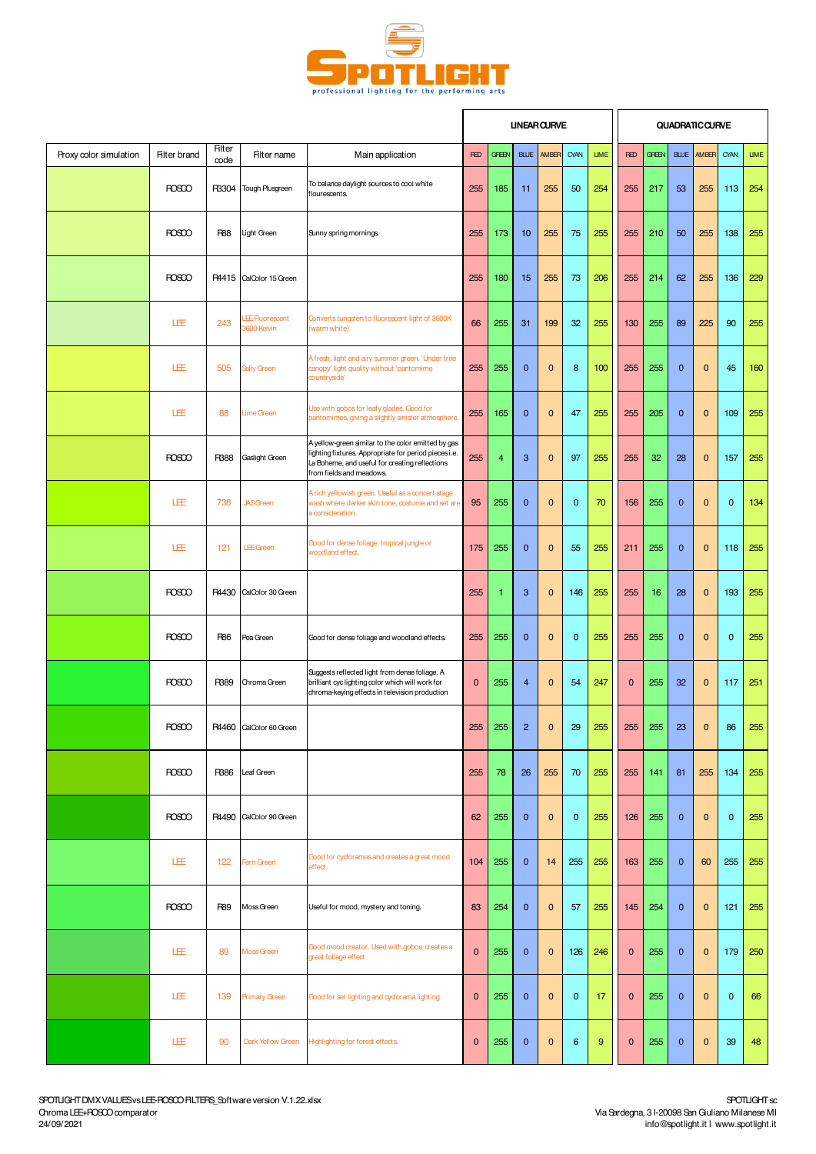

|                        |                     |                       |                                      |                                                                                                                                                                                          | <b>UNEAR CURVE</b> |              |                |              |              |                  |              |              |              | <b>QUADRATIC CURVE</b> |             |             |
|------------------------|---------------------|-----------------------|--------------------------------------|------------------------------------------------------------------------------------------------------------------------------------------------------------------------------------------|--------------------|--------------|----------------|--------------|--------------|------------------|--------------|--------------|--------------|------------------------|-------------|-------------|
| Proxy color simulation | <b>Filter brand</b> | <b>Filter</b><br>code | Filter name                          | Main application                                                                                                                                                                         | <b>RED</b>         | <b>GREEN</b> | <b>BLUE</b>    | AMBER        | CYAN         | <b>LIME</b>      | <b>RED</b>   | <b>GREEN</b> | <b>BLUE</b>  | AMBER                  | CYAN        | <b>LIME</b> |
|                        | <b>ROSCO</b>        | R3304                 | Tough Plusgreen                      | To balance daylight sources to cool white<br>flourescents.                                                                                                                               | 255                | 185          | 11             | 255          | 50           | 254              | 255          | 217          | 53           | 255                    | 113         | 254         |
|                        | <b>ROSCO</b>        | <b>R88</b>            | Light Green                          | Sunny spring mornings.                                                                                                                                                                   | 255                | 173          | 10             | 255          | 75           | 255              | 255          | 210          | 50           | 255                    | 138         | 255         |
|                        | <b>ROSCO</b>        |                       | R4415 CalColor 15 Green              |                                                                                                                                                                                          | 255                | 180          | 15             | 255          | 73           | 206              | 255          | 214          | 62           | 255                    | 136         | 229         |
|                        | LÆ                  | 243                   | <b>EE Fluorescent</b><br>3600 Kelvin | Converts tungsten to fluorescent light of 3600K<br>(warm white)                                                                                                                          | 66                 | 255          | 31             | 199          | 32           | 255              | 130          | 255          | 89           | 225                    | 90          | 255         |
|                        | LEE                 | 505                   | Sally Green                          | A fresh, light and airy summer green. 'Under tree<br>canopy' light quality without 'pantomime<br>countryside'                                                                            | 255                | 255          | $\mathbf 0$    | $\mathbf 0$  | 8            | 100              | 255          | 255          | $\mathbf 0$  | $\mathbf 0$            | 45          | 160         |
|                        | LEE                 | 88                    | Lime Green                           | Use with gobos for leafy glades. Good for<br>pantomimes, giving a slightly sinister atmosphere.                                                                                          | 255                | 165          | $\mathbf{0}$   | $\bf{0}$     | 47           | 255              | 255          | 205          | $\mathbf 0$  | 0                      | 109         | 255         |
|                        | <b>ROSCO</b>        | <b>R388</b>           | Gaslight Green                       | A yellow-green similar to the color emitted by gas<br>lighting fixtures. Appropriate for period piecesi.e.<br>La Boheme, and useful for creating reflections<br>from fields and meadows. | 255                | 4            | 3              | $\mathbf 0$  | 97           | 255              | 255          | 32           | 28           | $\mathbf 0$            | 157         | 255         |
|                        | LEE                 | 738                   | <b>JASGreen</b>                      | A rich yellowish green. Useful as a concert stage<br>wash where darker skin tone, costume and set are<br>a consideration.                                                                | 95                 | 255          | $\mathbf 0$    | $\bf{0}$     | $\mathbf{0}$ | 70               | 156          | 255          | $\mathbf 0$  | $\mathbf 0$            | $\mathbf 0$ | 134         |
|                        | LEE                 | 121                   | <b>LEE</b> Green                     | Good for dense foliage, tropical jungle or<br>woodland effect.                                                                                                                           | 175                | 255          | $\mathbf{0}$   | $\mathbf{0}$ | 55           | 255              | 211          | 255          | $\mathbf{0}$ | $\mathbf{0}$           | 118         | 255         |
|                        | <b>ROSCO</b>        |                       | R4430 CalColor 30 Green              |                                                                                                                                                                                          | 255                | ٦            | 3              | $\bf{0}$     | 146          | 255              | 255          | 16           | 28           | 0                      | 193         | 255         |
|                        | <b>ROSCO</b>        | <b>R86</b>            | Pea Green                            | Good for dense foliage and woodland effects.                                                                                                                                             | 255                | 255          | $\mathbf{0}$   | $\mathbf 0$  | $\mathbf{0}$ | 255              | 255          | 255          | $\mathbf 0$  | $\mathbf 0$            | $\mathbf 0$ | 255         |
|                        | <b>ROSCO</b>        | R389                  | Chroma Green                         | Suggests reflected light from dense foliage. A<br>brilliant cyclighting color which will work for<br>chroma-keying effects in television production                                      | $\mathbf{0}$       | 255          | $\overline{4}$ | $\mathbf 0$  | 54           | 247              | $\mathbf{0}$ | 255          | 32           | $\mathbf 0$            | 117         | 251         |
|                        | <b>ROSCO</b>        |                       | R4460 CalColor 60 Green              |                                                                                                                                                                                          | 255                | 255          | $\overline{2}$ | $\mathbf 0$  | 29           | 255              | 255          | 255          | 23           | $\mathbf 0$            | 86          | 255         |
|                        | <b>ROSCO</b>        | R386                  | Leaf Green                           |                                                                                                                                                                                          | 255                | 78           | 26             | 255          | 70           | 255              | 255          | 141          | 81           | 255                    | 134         | 255         |
|                        | <b>ROSCO</b>        |                       | R4490 CalColor 90 Green              |                                                                                                                                                                                          | 62                 | 255          | $\mathbf 0$    | $\mathbf{0}$ | $\mathbf 0$  | 255              | 126          | 255          | $\mathbf{0}$ | $\mathbf 0$            | $\mathbf 0$ | 255         |
|                        | 圧                   | 122                   | Fern Green                           | Good for cycloramas and creates a great mood<br>effect.                                                                                                                                  | 104                | 255          | $\mathbf 0$    | 14           | 255          | 255              | 163          | 255          | $\mathbf 0$  | 60                     | 255         | 255         |
|                        | <b>ROSCO</b>        | <b>R89</b>            | Moss Green                           | Useful for mood, mystery and toning.                                                                                                                                                     | 83                 | 254          | $\mathbf{0}$   | $\mathbf{0}$ | 57           | 255              | 145          | 254          | $\mathbf{0}$ | $\mathbf 0$            | 121         | 255         |
|                        | LEE                 | 89                    | Moss Green                           | Good mood creator. Used with gobos, creates a<br>great foliage effect                                                                                                                    | $\mathbf 0$        | 255          | $\mathbf{0}$   | $\mathbf{0}$ | 126          | 246              | $\mathbf{0}$ | 255          | $\mathbf 0$  | $\mathbf 0$            | 179         | 250         |
|                        | LEE                 | 139                   | <b>Primary Green</b>                 | Good for set lighting and cyclorama lighting                                                                                                                                             | $\mathbf{0}$       | 255          | $\mathbf{0}$   | $\mathbf{0}$ | $\mathbf{0}$ | 17               | $\mathbf{0}$ | 255          | $\mathbf{0}$ | $\mathbf 0$            | $\mathbf 0$ | 66          |
|                        | LÆ                  | 90                    | Dark Yellow Green                    | Highlighting for forest effects.                                                                                                                                                         | $\pmb{0}$          | 255          | $\pmb{0}$      | $\mathbf{0}$ | 6            | $\boldsymbol{9}$ | $\mathbf 0$  | 255          | $\pmb{0}$    | $\mathbf 0$            | 39          | 48          |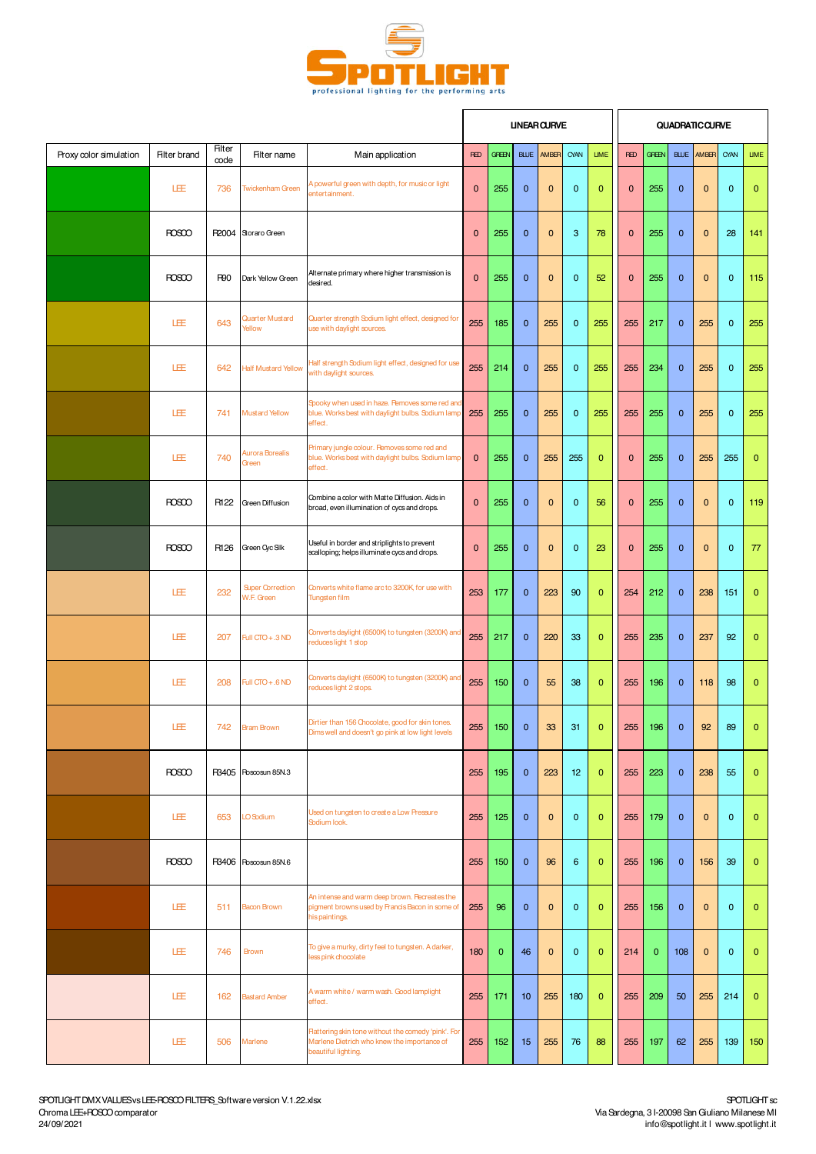

|                        |                     |                |                                       |                                                                                                                           |              |              |              | <b>UNEAR CURVE</b> |              |              |              |              |              | <b>QUADRATIC CURVE</b> |              |              |
|------------------------|---------------------|----------------|---------------------------------------|---------------------------------------------------------------------------------------------------------------------------|--------------|--------------|--------------|--------------------|--------------|--------------|--------------|--------------|--------------|------------------------|--------------|--------------|
| Proxy color simulation | <b>Filter brand</b> | Filter<br>code | Filter name                           | Main application                                                                                                          | <b>RED</b>   | <b>GREEN</b> | <b>BLUE</b>  | AMBER              | CYAN         | <b>LIME</b>  | <b>RED</b>   | <b>GREEN</b> | <b>BLUE</b>  | AM <sub>BR</sub>       | CYAN         | <b>LIME</b>  |
|                        | LEE                 | 736            | <b>Twickenham Green</b>               | A powerful green with depth, for music or light<br>entertainment.                                                         | $\mathbf 0$  | 255          | $\mathbf 0$  | 0                  | $\mathbf 0$  | $\mathbf{0}$ | $\mathbf{0}$ | 255          | $\mathbf 0$  | $\bf{0}$               | $\mathbf 0$  | $\mathbf 0$  |
|                        | <b>ROSCO</b>        | R2004          | Storaro Green                         |                                                                                                                           | $\mathbf 0$  | 255          | $\mathbf 0$  | 0                  | 3            | 78           | $\mathbf 0$  | 255          | $\mathbf 0$  | $\bf{0}$               | 28           | 141          |
|                        | <b>ROSCO</b>        | <b>R90</b>     | Dark Yellow Green                     | Alternate primary where higher transmission is<br>desired.                                                                | $\mathbf{0}$ | 255          | $\mathbf{0}$ | 0                  | $\mathbf{0}$ | 52           | $\mathbf{0}$ | 255          | $\mathbf{0}$ | $\mathbf{0}$           | $\mathbf 0$  | 115          |
|                        | LÆ                  | 643            | Quarter Mustard<br>Yellow             | Quarter strength Sodium light effect, designed for<br>use with daylight sources.                                          | 255          | 185          | $\mathbf{0}$ | 255                | $\mathbf 0$  | 255          | 255          | 217          | $\mathbf{0}$ | 255                    | $\mathbf 0$  | 255          |
|                        | LÆ                  | 642            | <b>Half Mustard Yellow</b>            | Half strength Sodium light effect, designed for use<br>with daylight sources.                                             | 255          | 214          | $\mathbf{0}$ | 255                | $\mathbf{0}$ | 255          | 255          | 234          | $\mathbf{0}$ | 255                    | $\mathbf 0$  | 255          |
|                        | LÆ                  | 741            | Mustard Yellow                        | Spooky when used in haze. Pemoves some red and<br>blue. Works best with daylight bulbs. Sodium lamp<br>effect.            | 255          | 255          | $\mathbf 0$  | 255                | $\mathbf 0$  | 255          | 255          | 255          | $\mathbf 0$  | 255                    | $\mathbf 0$  | 255          |
|                        | LÆ                  | 740            | Aurora Borealis<br>Green              | Primary jungle colour. Pemoves some red and<br>blue. Works best with daylight bulbs. Sodium lamp<br>effect.               | $\mathbf{0}$ | 255          | $\mathbf 0$  | 255                | 255          | $\mathbf{0}$ | $\mathbf 0$  | 255          | $\mathbf 0$  | 255                    | 255          | $\mathbf{0}$ |
|                        | <b>ROSCO</b>        | R122           | Green Diffusion                       | Combine a color with Matte Diffusion. Aids in<br>broad, even illumination of cycs and drops.                              | $\mathbf 0$  | 255          | $\mathbf{0}$ | 0                  | $\mathbf 0$  | 56           | $\mathbf 0$  | 255          | $\mathbf 0$  | $\mathbf 0$            | $\mathbf 0$  | 119          |
|                        | <b>ROSCO</b>        | R126           | Green Cyc Slk                         | Useful in border and striplights to prevent<br>scalloping; helps illuminate cycs and drops.                               | $\mathbf 0$  | 255          | $\mathbf{0}$ | 0                  | $\mathbf{0}$ | 23           | $\mathbf{0}$ | 255          | $\mathbf{0}$ | $\mathbf{0}$           | $\mathbf{0}$ | 77           |
|                        | 旺                   | 232            | <b>Super Correction</b><br>W.F. Green | Converts white flame arc to 3200K, for use with<br>Tungsten film                                                          | 253          | 177          | $\mathbf{0}$ | 223                | 90           | $\mathbf{0}$ | 254          | 212          | $\mathbf{0}$ | 238                    | 151          | $\mathbf{0}$ |
|                        | LÆ                  | 207            | Full CTO + .3 ND                      | Converts daylight (6500K) to tungsten (3200K) and<br>reduces light 1 stop                                                 | 255          | 217          | $\mathbf 0$  | 220                | 33           | $\mathbf{0}$ | 255          | 235          | $\mathbf{0}$ | 237                    | 92           | $\mathbf{0}$ |
|                        | 圧                   | 208            | Full $CTO + .6 ND$                    | Converts daylight (6500K) to tungsten (3200K) and<br>reduces light 2 stops.                                               | 255          | 150          | $\mathbf{0}$ | 55                 | 38           | $\mathbf{0}$ | 255          | 196          | $\mathbf{0}$ | 118                    | 98           | $\mathbf{0}$ |
|                        | LEE                 |                | 742 Bram Brown                        | Dirtier than 156 Chocolate, good for skin tones.<br>Dims well and doesn't go pink at low light levels                     | 255          | 150          | $\mathbf{0}$ | 33                 | 31           | $\mathbf{0}$ | 255          | 196          | $\mathbf{0}$ | 92                     | 89           | $\Omega$     |
|                        | <b>ROSCO</b>        |                | R3405 Roscosun 85N.3                  |                                                                                                                           | 255          | 195          | $\mathbf{0}$ | 223                | 12           | $\mathbf{0}$ | 255          | 223          | $\mathbf 0$  | 238                    | 55           | $\mathbf{0}$ |
|                        | 圧                   | 653            | LO Sodium                             | Used on tungsten to create a Low Pressure<br>Sodium look.                                                                 | 255          | 125          | $\mathbf{0}$ | $\mathbf 0$        | $\mathbf{0}$ | $\mathbf{0}$ | 255          | 179          | $\mathbf{0}$ | $\mathbf 0$            | $\mathbf{0}$ | $\mathbf{0}$ |
|                        | <b>ROSCO</b>        | R3406          | Roscosun 85N.6                        |                                                                                                                           | 255          | 150          | $\mathbf{0}$ | 96                 | 6            | $\mathbf{0}$ | 255          | 196          | $\mathbf{0}$ | 156                    | 39           | $\mathbf{0}$ |
|                        | 圧                   | 511            | Bacon Brown                           | An intense and warm deep brown. Recreates the<br>pigment browns used by Francis Bacon in some of<br>his paintings.        | 255          | 96           | $\mathbf{0}$ | $\mathbf 0$        | $\mathbf{0}$ | $\mathbf{0}$ | 255          | 156          | $\mathbf{0}$ | $\pmb{0}$              | $\mathbf{0}$ | $\mathbf 0$  |
|                        | 圧                   | 746            | Brown                                 | To give a murky, dirty feel to tungsten. A darker,<br>less pink chocolate                                                 | 180          | $\mathbf{0}$ | 46           | $\mathbf 0$        | $\mathbf{0}$ | $\mathbf{0}$ | 214          | $\mathbf{0}$ | 108          | $\mathbf 0$            | $\mathbf{0}$ | $\mathbf{0}$ |
|                        | 圧                   | 162            | <b>Bastard Amber</b>                  | A warm white / warm wash. Good lamplight<br>effect.                                                                       | 255          | 171          | 10           | 255                | 180          | $\mathbf{0}$ | 255          | 209          | 50           | 255                    | 214          | $\mathbf{0}$ |
|                        | 圧                   | 506            | Marlene                               | Flattering skin tone without the comedy 'pink'. For<br>Marlene Dietrich who knew the importance of<br>beautiful lighting. | 255          | 152          | 15           | 255                | 76           | 88           | 255          | 197          | 62           | 255                    | 139          | 150          |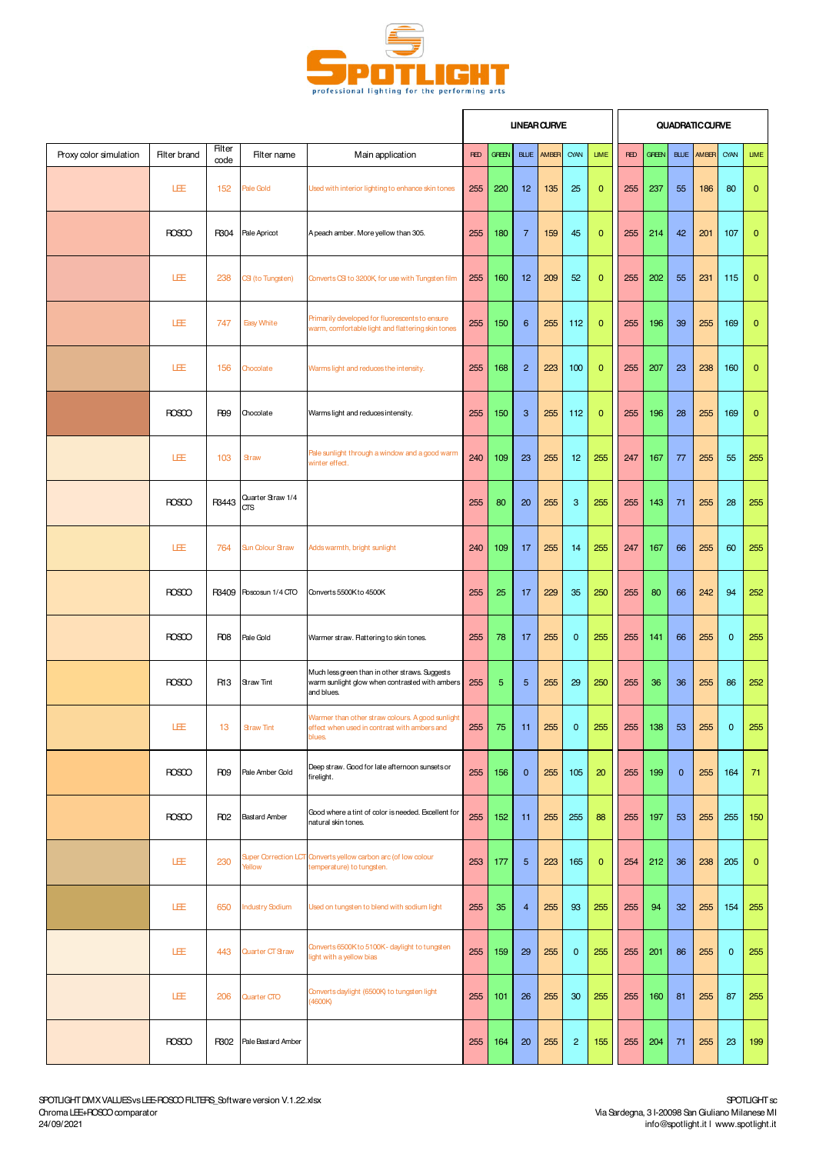

|                        |                     |                 |                                 |                                                                                                                |            |              |                | <b>UNEAR CURVE</b> |                         |              |            |              |             | QUADRATICOURVE |                         |              |
|------------------------|---------------------|-----------------|---------------------------------|----------------------------------------------------------------------------------------------------------------|------------|--------------|----------------|--------------------|-------------------------|--------------|------------|--------------|-------------|----------------|-------------------------|--------------|
| Proxy color simulation | <b>Filter brand</b> | Filter<br>code  | Filter name                     | Main application                                                                                               | <b>RED</b> | <b>GREEN</b> |                | <b>BLUE</b> AMBER  | CYAN                    | <b>LIME</b>  | <b>RED</b> | <b>GREEN</b> | BLUE        | AMBER          | CYAN                    | <b>LIME</b>  |
|                        | LEE                 | 152             | Pale Gold                       | Used with interior lighting to enhance skin tones                                                              | 255        | 220          | 12             | 135                | 25                      | 0            | 255        | 237          | 55          | 186            | 80                      | $\mathbf 0$  |
|                        | <b>ROSCO</b>        | R304            | Pale Apricot                    | A peach amber. More yellow than 305.                                                                           | 255        | 180          | 7              | 159                | 45                      | $\mathbf 0$  | 255        | 214          | 42          | 201            | 107                     | $\mathbf{0}$ |
|                        | LEE                 | 238             | CSI (to Tungsten)               | Converts CSI to 3200K, for use with Tungsten film                                                              | 255        | 160          | 12             | 209                | 52                      | $\mathbf{0}$ | 255        | 202          | 55          | 231            | 115                     | $\mathbf{0}$ |
|                        | LEE                 | 747             | <b>Easy White</b>               | Primarily developed for fluorescents to ensure<br>warm, comfortable light and flattering skin tones            | 255        | 150          | 6              | 255                | 112                     | $\mathbf 0$  | 255        | 196          | 39          | 255            | 169                     | $\mathbf{0}$ |
|                        | LÆ                  | 156             | Chocolate                       | Warms light and reduces the intensity.                                                                         | 255        | 168          | $\overline{2}$ | 223                | 100                     | $\mathbf{0}$ | 255        | 207          | 23          | 238            | 160                     | $\mathbf{0}$ |
|                        | <b>ROSCO</b>        | <b>R99</b>      | Chocolate                       | Warms light and reduces intensity.                                                                             | 255        | 150          | 3              | 255                | 112                     | $\mathbf 0$  | 255        | 196          | 28          | 255            | 169                     | $\mathbf{0}$ |
|                        | LÆ                  | 103             | Straw                           | Pale sunlight through a window and a good warm<br>winter effect.                                               | 240        | 109          | 23             | 255                | 12                      | 255          | 247        | 167          | 77          | 255            | 55                      | 255          |
|                        | <b>ROSCO</b>        | R3443           | Quarter Straw 1/4<br><b>CTS</b> |                                                                                                                | 255        | 80           | 20             | 255                | 3                       | 255          | 255        | 143          | 71          | 255            | 28                      | 255          |
|                        | 旺                   | 764             | <b>Sun Colour Straw</b>         | Adds warmth, bright sunlight                                                                                   | 240        | 109          | 17             | 255                | 14                      | 255          | 247        | 167          | 66          | 255            | 60                      | 255          |
|                        | <b>ROSCO</b>        |                 | R3409 Roscosun 1/4 CTO          | Converts 5500K to 4500K                                                                                        | 255        | 25           | 17             | 229                | 35                      | 250          | 255        | 80           | 66          | 242            | 94                      | 252          |
|                        | <b>ROSCO</b>        | R <sub>08</sub> | Pale Gold                       | Warmer straw. Flattering to skin tones.                                                                        | 255        | 78           | 17             | 255                | $\mathbf 0$             | 255          | 255        | 141          | 66          | 255            | 0                       | 255          |
|                        | <b>ROSCO</b>        | R <sub>13</sub> | <b>Straw Tint</b>               | Much less green than in other straws. Suggests<br>warm sunlight glow when contrasted with ambers<br>and blues. | 255        | 5            | 5              | 255                | 29                      | 250          | 255        | 36           | 36          | 255            | 86                      | 252          |
|                        | LEE                 | 13 <sup>7</sup> | <b>Straw Tint</b>               | Warmer than other straw colours. A good sunlight<br>fect when used in contrast with ambers and<br>blues.       | 255        | 75           | 11             | 255                | $\overline{\mathbf{0}}$ | 255          | 255        | 138          | 53          | 255            | $\overline{\mathbf{0}}$ | 255          |
|                        | <b>ROSCO</b>        | R <sub>09</sub> | Pale Amber Gold                 | Deep straw. Good for late afternoon sunsets or<br>firelight.                                                   | 255        | 156          | $\mathbf 0$    | 255                | 105                     | 20           | 255        | 199          | $\mathbf 0$ | 255            | 164                     | 71           |
|                        | <b>ROSCO</b>        | <b>R02</b>      | <b>Bastard Amber</b>            | Good where a tint of color is needed. Excellent for<br>natural skin tones.                                     | 255        | 152          | 11             | 255                | 255                     | 88           | 255        | 197          | 53          | 255            | 255                     | 150          |
|                        | LEE                 | 230             | Yellow                          | Super Correction LCT Converts yellow carbon arc (of low colour<br>temperature) to tungsten.                    | 253        | 177          | $5\phantom{1}$ | 223                | 165                     | $\mathbf{0}$ | 254        | 212          | 36          | 238            | 205                     | $\mathbf{0}$ |
|                        | LEE                 | 650             | <b>Industry Sodium</b>          | Used on tungsten to blend with sodium light                                                                    | 255        | 35           | $\overline{4}$ | 255                | 93                      | 255          | 255        | 94           | 32          | 255            | 154                     | 255          |
|                        | LEE                 | 443             | Quarter CT Straw                | Converts 6500K to 5100K - daylight to tungsten<br>light with a yellow bias                                     | 255        | 159          | 29             | 255                | $\mathbf{0}$            | 255          | 255        | 201          | 86          | 255            | $\mathbf 0$             | 255          |
|                        | LEE                 | 206             | Quarter CTO                     | Converts daylight (6500K) to tungsten light<br>(4600K)                                                         | 255        | 101          | 26             | 255                | 30                      | 255          | 255        | 160          | 81          | 255            | 87                      | 255          |
|                        | ROSCO               | R302            | Pale Bastard Amber              |                                                                                                                | 255        | 164          | 20             | 255                | $\overline{2}$          | 155          | 255        | 204          | 71          | 255            | 23                      | 199          |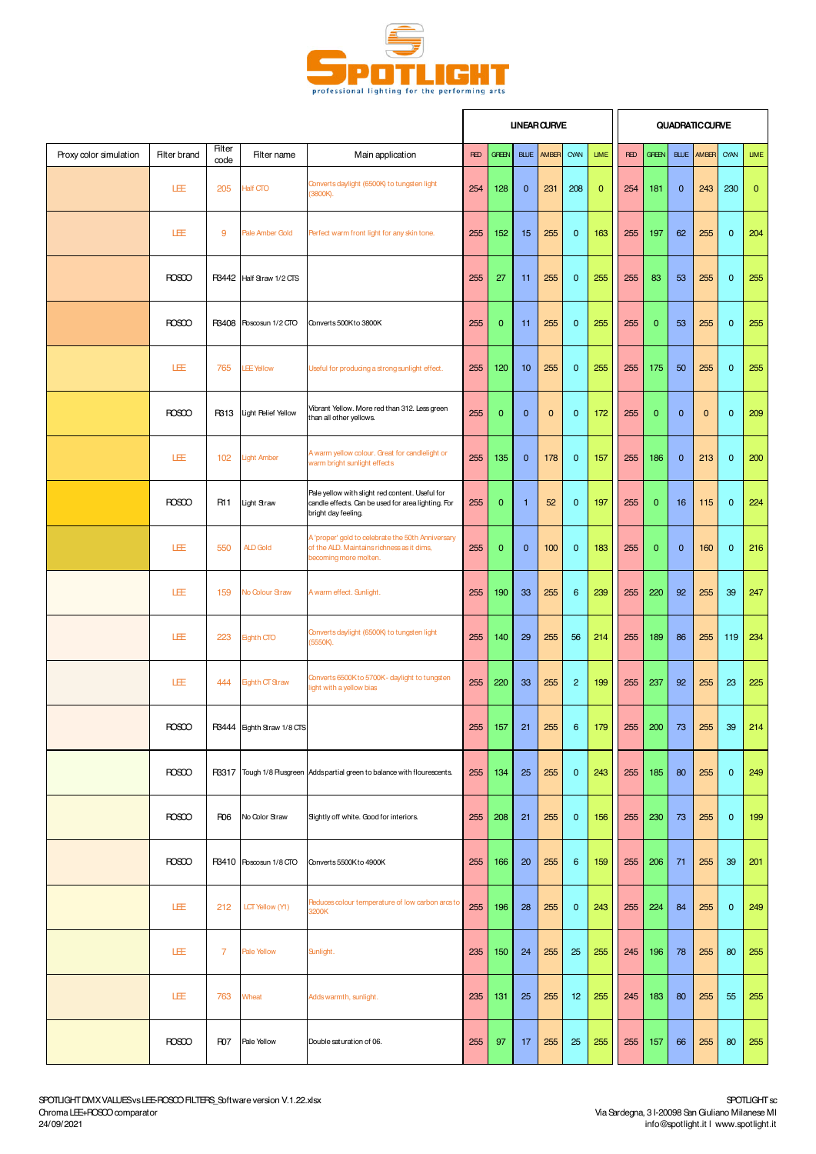

|                        |                     |                       |                            |                                                                                                                              |            |              | <b>UNEAR CURVE</b> |                   |                |              |            |              |              | QUADRATIC CURVE   |              |             |
|------------------------|---------------------|-----------------------|----------------------------|------------------------------------------------------------------------------------------------------------------------------|------------|--------------|--------------------|-------------------|----------------|--------------|------------|--------------|--------------|-------------------|--------------|-------------|
| Proxy color simulation | <b>Filter brand</b> | <b>Filter</b><br>code | Filter name                | Main application                                                                                                             | <b>RED</b> | <b>GREEN</b> |                    | <b>BLUE</b> AMBER | CYAN           | <b>LIME</b>  | <b>RED</b> | <b>GREEN</b> |              | <b>BLUE AMBER</b> | CYAN         | <b>LIME</b> |
|                        | LEE                 | 205                   | <b>Half CTO</b>            | Converts daylight (6500K) to tungsten light<br>(3800K).                                                                      | 254        | 128          | $\mathbf{0}$       | 231               | 208            | $\mathbf{0}$ | 254        | 181          | $\mathbf{0}$ | 243               | 230          | $\mathbf 0$ |
|                        | LEE                 | 9                     | Pale Amber Gold            | Perfect warm front light for any skin tone.                                                                                  | 255        | 152          | 15                 | 255               | $\mathbf 0$    | 163          | 255        | 197          | 62           | 255               | $\mathbf 0$  | 204         |
|                        | <b>ROSCO</b>        | R3442                 | Half Straw 1/2 CTS         |                                                                                                                              | 255        | 27           | 11                 | 255               | $\mathbf 0$    | 255          | 255        | 83           | 53           | 255               | $\mathbf 0$  | 255         |
|                        | <b>ROSCO</b>        | R3408                 | Roscosun 1/2 CTO           | Converts 500K to 3800K                                                                                                       | 255        | $\mathbf{0}$ | 11                 | 255               | $\mathbf 0$    | 255          | 255        | $\mathbf 0$  | 53           | 255               | $\mathbf 0$  | 255         |
|                        | LEE                 | 765                   | <b>LEE Yellow</b>          | Useful for producing a strong sunlight effect.                                                                               | 255        | 120          | 10                 | 255               | $\mathbf 0$    | 255          | 255        | 175          | 50           | 255               | $\mathbf{0}$ | 255         |
|                        | <b>ROSCO</b>        | R313                  | Light Relief Yellow        | Vibrant Yellow. More red than 312. Less green<br>than all other yellows.                                                     | 255        | $\mathbf{0}$ | $\mathbf{0}$       | $\mathbf 0$       | $\mathbf{0}$   | 172          | 255        | $\mathbf 0$  | $\mathbf{0}$ | $\mathbf{0}$      | $\mathbf{0}$ | 209         |
|                        | LEE                 | 102                   | <b>Light Amber</b>         | A warm yellow colour. Great for candlelight or<br>warm bright sunlight effects                                               | 255        | 135          | $\mathbf{0}$       | 178               | $\mathbf 0$    | 157          | 255        | 186          | $\mathbf{0}$ | 213               | $\mathbf 0$  | 200         |
|                        | <b>ROSCO</b>        | R11                   | Light Straw                | Pale yellow with slight red content. Useful for<br>candle effects. Can be used for area lighting. For<br>bright day feeling. | 255        | $\mathbf{0}$ | $\mathbf{1}$       | 52                | $\mathbf{0}$   | 197          | 255        | $\mathbf{0}$ | 16           | 115               | $\mathbf 0$  | 224         |
|                        | 圧                   | 550                   | ALD Gold                   | A 'proper' gold to celebrate the 50th Anniversary<br>of the ALD. Maintains richness as it dims,<br>becoming more molten.     | 255        | $\mathbf{0}$ | $\mathbf{0}$       | 100               | $\mathbf 0$    | 183          | 255        | $\mathbf{0}$ | $\mathbf 0$  | 160               | $\mathbf 0$  | 216         |
|                        | LEE                 | 159                   | No Colour Straw            | A warm effect. Sunlight.                                                                                                     | 255        | 190          | 33                 | 255               | 6              | 239          | 255        | 220          | 92           | 255               | 39           | 247         |
|                        | LEE                 | 223                   | <b>Eighth CTO</b>          | Converts daylight (6500K) to tungsten light<br>(5550K).                                                                      | 255        | 140          | 29                 | 255               | 56             | 214          | 255        | 189          | 86           | 255               | 119          | 234         |
|                        | LEE                 | 444                   | <b>Eighth CT Straw</b>     | Converts 6500K to 5700K - daylight to tungsten<br>light with a yellow bias                                                   | 255        | 220          | 33                 | 255               | $\overline{2}$ | 199          | 255        | 237          | 92           | 255               | 23           | 225         |
|                        | <b>ROSCO</b>        |                       | R3444 Eighth Straw 1/8 CTS |                                                                                                                              |            | $255$ 157    | 21                 |                   |                | 255 6 179    | 255        | 200          | 73           |                   | $255$ 39     | 214         |
|                        | <b>ROSCO</b>        |                       |                            | R3317 Tough 1/8 Plusgreen Adds partial green to balance with flourescents.                                                   | 255        | 134          | 25                 | 255               | $\mathbf 0$    | 243          | 255        | 185          | 80           | 255               | $\mathbf 0$  | 249         |
|                        | <b>ROSCO</b>        | R <sub>06</sub>       | No Color Straw             | Sightly off white. Good for interiors.                                                                                       | 255        | 208          | 21                 | 255               | $\mathbf 0$    | 156          | 255        | 230          | 73           | 255               | $\mathbf 0$  | 199         |
|                        | <b>ROSCO</b>        |                       | R3410 Roscosun 1/8 CTO     | Converts 5500K to 4900K                                                                                                      | 255        | 166          | 20                 | 255               | 6              | 159          | 255        | 206          | 71           | 255               | 39           | 201         |
|                        | 圧                   | 212                   | LCT Yellow (Y1)            | Reduces colour temperature of low carbon arcs to<br>3200K                                                                    | 255        | 196          | 28                 | 255               | $\mathbf 0$    | 243          | 255        | 224          | 84           | 255               | $\mathbf 0$  | 249         |
|                        | 圧                   | $\overline{7}$        | Pale Yellow                | Sunlight.                                                                                                                    | 235        | 150          | 24                 | 255               | 25             | 255          | 245        | 196          | 78           | 255               | 80           | 255         |
|                        | 圧                   | 763                   | Wheat                      | Adds warmth, sunlight.                                                                                                       | 235        | 131          | 25                 | 255               | 12             | 255          | 245        | 183          | 80           | 255               | 55           | 255         |
|                        | <b>ROSCO</b>        | <b>R07</b>            | Pale Yellow                | Double saturation of 06.                                                                                                     | 255        | 97           | 17                 | 255               | 25             | 255          | 255        | 157          | 66           | 255               | 80           | 255         |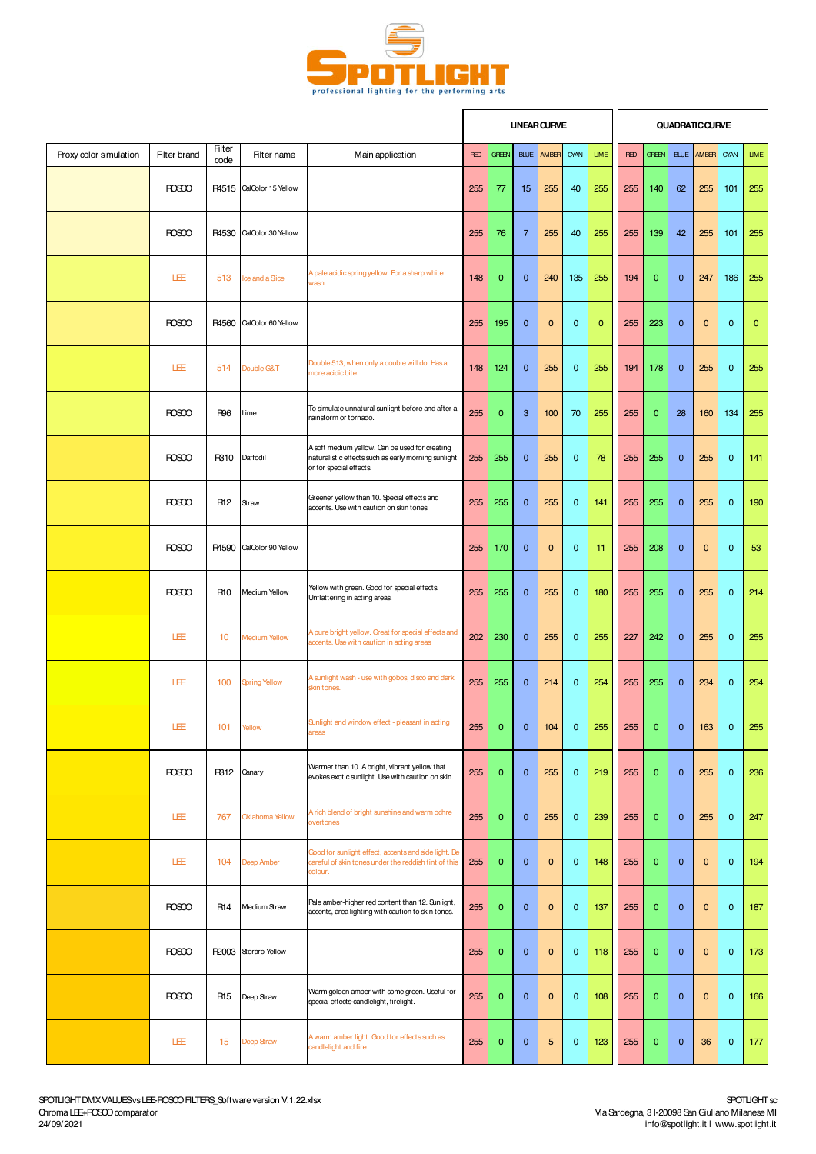

|                        |                     |                 |                        |                                                                                                                                  |            |                |                | <b>UNEAR CURVE</b> |                |              |            |              |              | <b>QUADRATIC CURVE</b> |                         |              |
|------------------------|---------------------|-----------------|------------------------|----------------------------------------------------------------------------------------------------------------------------------|------------|----------------|----------------|--------------------|----------------|--------------|------------|--------------|--------------|------------------------|-------------------------|--------------|
| Proxy color simulation | <b>Filter brand</b> | Filter<br>code  | Filter name            | Main application                                                                                                                 | <b>RED</b> | <b>GREEN</b>   | <b>BLUE</b>    | AMBER              | CYAN           | <b>LIME</b>  | <b>RED</b> | <b>GREEN</b> | <b>BLUE</b>  | AM <sub>BR</sub>       | CYAN                    | <b>LIME</b>  |
|                        | <b>ROSCO</b>        | R4515           | CalColor 15 Yellow     |                                                                                                                                  | 255        | 77             | 15             | 255                | 40             | 255          | 255        | 140          | 62           | 255                    | 101                     | 255          |
|                        | <b>ROSCO</b>        | R4530           | CalColor 30 Yellow     |                                                                                                                                  | 255        | 76             | $\overline{7}$ | 255                | 40             | 255          | 255        | 139          | 42           | 255                    | 101                     | 255          |
|                        | LEE                 | 513             | lœ and a Slice         | A pale acidic spring yellow. For a sharp white<br>wash.                                                                          | 148        | $\mathbf{0}$   | $\mathbf{0}$   | 240                | 135            | 255          | 194        | $\mathbf{0}$ | $\mathbf{0}$ | 247                    | 186                     | 255          |
|                        | <b>ROSCO</b>        | R4560           | CalColor 60 Yellow     |                                                                                                                                  | 255        | 195            | $\mathbf{0}$   | 0                  | $\mathbf 0$    | $\mathbf{0}$ | 255        | 223          | $\mathbf 0$  | $\mathbf 0$            | $\mathbf 0$             | $\mathbf{0}$ |
|                        | LÆ                  | 514             | Double G&T             | Double 513, when only a double will do. Has a<br>more acidic bite.                                                               | 148        | 124            | $\mathbf{0}$   | 255                | $\mathbf{0}$   | 255          | 194        | 178          | $\mathbf 0$  | 255                    | $\mathbf 0$             | 255          |
|                        | <b>ROSCO</b>        | <b>R96</b>      | Lime                   | To simulate unnatural sunlight before and after a<br>rainstorm or tornado.                                                       | 255        | 0              | 3              | 100                | 70             | 255          | 255        | $\mathbf{0}$ | 28           | 160                    | 134                     | 255          |
|                        | <b>ROSCO</b>        | R310            | Daffodil               | A soft medium yellow. Can be used for creating<br>naturalistic effects such as early morning sunlight<br>or for special effects. | 255        | 255            | $\mathbf{0}$   | 255                | $\mathbf{0}$   | 78           | 255        | 255          | $\mathbf 0$  | 255                    | $\mathbf 0$             | 141          |
|                        | <b>ROSCO</b>        | R <sub>12</sub> | Straw                  | Greener yellow than 10. Special effects and<br>accents. Use with caution on skin tones.                                          | 255        | 255            | $\mathbf{0}$   | 255                | $\mathbf 0$    | 141          | 255        | 255          | $\mathbf 0$  | 255                    | $\mathbf 0$             | 190          |
|                        | <b>ROSCO</b>        | R4590           | CalColor 90 Yellow     |                                                                                                                                  | 255        | 170            | $\mathbf{0}$   | $\overline{0}$     | $\mathbf{0}$   | 11           | 255        | 208          | $\mathbf{0}$ | $\mathbf{0}$           | $\mathbf{0}$            | 53           |
|                        | <b>ROSCO</b>        | R <sub>10</sub> | Medium Yellow          | Yellow with green. Good for special effects.<br>Unflattering in acting areas.                                                    | 255        | 255            | $\mathbf{0}$   | 255                | $\mathbf{0}$   | 180          | 255        | 255          | $\mathbf{0}$ | 255                    | $\mathbf{0}$            | 214          |
|                        | 圧                   | 10              | <b>Medium Yellow</b>   | A pure bright yellow. Great for special effects and<br>accents. Use with caution in acting areas                                 | 202        | 230            | $\mathbf{0}$   | 255                | $\mathbf{0}$   | 255          | 227        | 242          | $\mathbf{0}$ | 255                    | $\mathbf{0}$            | 255          |
|                        | 圧                   | 100             | <b>Spring Yellow</b>   | A sunlight wash - use with gobos, disco and dark<br>skin tones.                                                                  | 255        | 255            | $\mathbf{0}$   | 214                | $\mathbf{0}$   | 254          | 255        | 255          | $\mathbf 0$  | 234                    | $\mathbf 0$             | 254          |
|                        | LEE                 | 101             | Yellow                 | Sunlight and window effect - pleasant in acting<br>areas                                                                         | 255        | $\overline{0}$ | $\mathbf{0}$   | 104                | $\overline{0}$ | 255          | 255        | $\mathbf{0}$ | $\mathbf{0}$ | 163                    | $\overline{\mathbf{0}}$ | 255          |
|                        | <b>ROSCO</b>        | R312            | Canary                 | Warmer than 10. A bright, vibrant yellow that<br>evokes exotic sunlight. Use with caution on skin.                               | 255        | $\mathbf{0}$   | $\mathbf{0}$   | 255                | $\mathbf 0$    | 219          | 255        | $\mathbf{0}$ | $\mathbf 0$  | 255                    | $\mathbf 0$             | 236          |
|                        | 圧                   | 767             | <b>Oklahoma Yellow</b> | A rich blend of bright sunshine and warm ochre<br>overtones                                                                      | 255        | $\mathbf{0}$   | $\mathbf{0}$   | 255                | $\mathbf 0$    | 239          | 255        | $\mathbf{0}$ | $\mathbf 0$  | 255                    | $\mathbf 0$             | 247          |
|                        | 圧                   | 104             | Deep Amber             | Good for sunlight effect, accents and side light. Be<br>careful of skin tones under the reddish tint of this<br>colour.          | 255        | $\overline{0}$ | $\mathbf{0}$   | 0                  | $\mathbf{0}$   | 148          | 255        | $\mathbf{0}$ | $\mathbf{0}$ | $\mathbf 0$            | $\mathbf{0}$            | 194          |
|                        | <b>ROSCO</b>        | R14             | Medium Straw           | Pale amber-higher red content than 12. Sunlight,<br>accents, area lighting with caution to skin tones.                           | 255        | $\mathbf{0}$   | $\mathbf{0}$   | 0                  | $\mathbf 0$    | 137          | 255        | $\mathbf{0}$ | $\mathbf 0$  | $\pmb{0}$              | $\mathbf{0}$            | 187          |
|                        | <b>ROSCO</b>        |                 | R2003 Storaro Yellow   |                                                                                                                                  | 255        | $\mathbf{0}$   | $\mathbf{0}$   | 0                  | $\mathbf 0$    | 118          | 255        | $\mathbf{0}$ | $\mathbf 0$  | $\mathbf 0$            | $\mathbf 0$             | 173          |
|                        | <b>ROSCO</b>        | R <sub>15</sub> | Deep Straw             | Warm golden amber with some green. Useful for<br>special effects-candlelight, firelight.                                         | 255        | $\mathbf{0}$   | $\mathbf{0}$   | 0                  | $\mathbf 0$    | 108          | 255        | $\mathbf{0}$ | $\mathbf 0$  | $\pmb{0}$              | $\mathbf 0$             | 166          |
|                        | 圧                   | 15              | Deep Straw             | A warm amber light. Good for effects such as<br>candlelight and fire.                                                            | 255        | $\mathbf{0}$   | $\mathbf{0}$   | 5                  | $\mathbf 0$    | 123          | 255        | $\mathbf{0}$ | $\mathbf 0$  | 36                     | $\mathbf 0$             | 177          |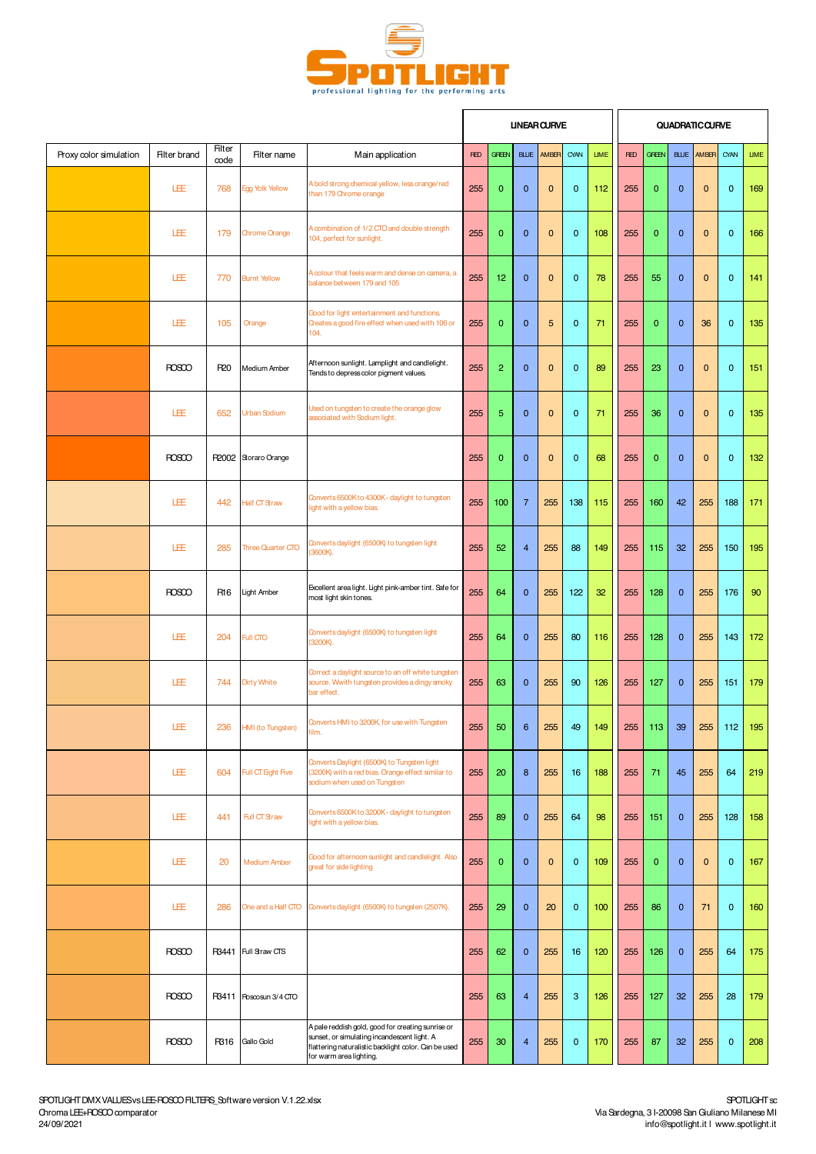

|                        |                     |                       |                          |                                                                                                                                                                                     |            |                 |                | <b>UNEAR CURVE</b> |              |             |            |              |              | <b>QUADRATIC CURVE</b> |              |             |
|------------------------|---------------------|-----------------------|--------------------------|-------------------------------------------------------------------------------------------------------------------------------------------------------------------------------------|------------|-----------------|----------------|--------------------|--------------|-------------|------------|--------------|--------------|------------------------|--------------|-------------|
| Proxy color simulation | <b>Filter brand</b> | <b>Filter</b><br>code | Filter name              | Main application                                                                                                                                                                    | <b>RED</b> | <b>GREEN</b>    | <b>BLUE</b>    | AMBER              | CYAN         | <b>LIME</b> | <b>RED</b> | <b>GREEN</b> | <b>BLUE</b>  | AMBER                  | CYAN         | <b>LIME</b> |
|                        | LEE                 | 768                   | Egg Yolk Yellow          | A bold strong chemical yellow, less orange/red<br>than 179 Chrome orange                                                                                                            | 255        | $\mathbf{0}$    | $\mathbf 0$    | $\mathbf 0$        | $\mathbf{0}$ | 112         | 255        | $\mathbf 0$  | $\mathbf{0}$ | $\mathbf{0}$           | $\mathbf{0}$ | 169         |
|                        | LEE                 | 179                   | <b>Chrome Orange</b>     | A combination of 1/2 CTO and double strength<br>104, perfect for sunlight.                                                                                                          | 255        | $\mathbf{0}$    | $\mathbf 0$    | $\mathbf 0$        | $\mathbf{0}$ | 108         | 255        | $\mathbf 0$  | $\mathbf{0}$ | $\mathbf{0}$           | $\mathbf 0$  | 166         |
|                        | LEE                 | 770                   | <b>Burnt Yellow</b>      | A colour that feels warm and dense on camera, a<br>balance between 179 and 105                                                                                                      | 255        | 12 <sub>2</sub> | $\mathbf 0$    | $\mathbf 0$        | $\mathbf{0}$ | 78          | 255        | 55           | $\mathbf{0}$ | $\mathbf{0}$           | $\mathbf{0}$ | 141         |
|                        | LEE                 | 105                   | Orange                   | Good for light entertainment and functions.<br>Creates a good fire effect when used with 106 or<br>104.                                                                             | 255        | $\mathbf{0}$    | $\mathbf 0$    | 5                  | $\mathbf{0}$ | 71          | 255        | $\mathbf 0$  | $\mathbf{0}$ | 36                     | $\mathbf 0$  | 135         |
|                        | <b>ROSCO</b>        | R <sub>20</sub>       | Medium Amber             | Afternoon sunlight. Lamplight and candlelight.<br>Tends to depress color pigment values.                                                                                            | 255        | $\overline{2}$  | $\mathbf{0}$   | $\mathbf 0$        | $\mathbf{0}$ | 89          | 255        | 23           | $\mathbf{0}$ | $\mathbf{0}$           | $\mathbf{0}$ | 151         |
|                        | LEE                 | 652                   | Urban Sodium             | Used on tungsten to create the orange glow<br>associated with Sodium light.                                                                                                         | 255        | 5               | $\mathbf{0}$   | $\mathbf 0$        | $\mathbf{0}$ | 71          | 255        | 36           | $\mathbf{0}$ | $\mathbf{0}$           | $\mathbf 0$  | 135         |
|                        | <b>ROSCO</b>        |                       | R2002 Storaro Orange     |                                                                                                                                                                                     | 255        | $\mathbf{0}$    | $\mathbf{0}$   | $\mathbf 0$        | $\mathbf{0}$ | 68          | 255        | $\mathbf 0$  | $\mathbf{0}$ | $\mathbf 0$            | $\mathbf{0}$ | 132         |
|                        | 圧                   | 442                   | Half CT Straw            | Converts 6500Kto 4300K- daylight to tungsten<br>light with a yellow bias.                                                                                                           | 255        | 100             | $\overline{7}$ | 255                | 138          | 115         | 255        | 160          | 42           | 255                    | 188          | 171         |
|                        | 圧                   | 285                   | <b>Three Quarter CTO</b> | Converts daylight (6500K) to tungsten light<br>(3600K).                                                                                                                             | 255        | 52              | $\overline{4}$ | 255                | 88           | 149         | 255        | 115          | 32           | 255                    | 150          | 195         |
|                        | <b>ROSCO</b>        | R <sub>16</sub>       | <b>Light Amber</b>       | Excellent area light. Light pink-amber tint. Safe for<br>most light skin tones.                                                                                                     | 255        | 64              | $\mathbf 0$    | 255                | 122          | 32          | 255        | 128          | $\mathbf 0$  | 255                    | 176          | 90          |
|                        | LEE                 | 204                   | Full CTO                 | Converts daylight (6500K) to tungsten light<br>(3200K).                                                                                                                             | 255        | 64              | $\mathbf{0}$   | 255                | 80           | 116         | 255        | 128          | $\mathbf{0}$ | 255                    | 143          | 172         |
|                        | LEE                 | 744                   | <b>Dirty White</b>       | Correct a daylight source to an off white tungsten<br>source. Wwith tungsten provides a dingy smoky<br>bar effect.                                                                  | 255        | 63              | $\mathbf{0}$   | 255                | 90           | 126         | 255        | 127          | $\mathbf{0}$ | 255                    | 151          | 179         |
|                        | LEE                 |                       | 236 HMI (to Tungsten)    | Converts HMI to 3200K, for use with Tungsten<br>film.                                                                                                                               | 255        | 50              | 6              | 255                | 49           | 149         |            | $255$ 113    | 39           |                        | 255 112 195  |             |
|                        | 圧                   | 604                   | Full CT Eight Five       | Converts Daylight (6500K) to Tungsten light<br>(3200K) with a red bias. Orange effect similar to<br>sodium when used on Tungsten                                                    | 255        | 20              | 8              | 255                | 16           | 188         | 255        | 71           | 45           | 255                    | 64           | 219         |
|                        | 圧                   | 441                   | Full CT Straw            | Converts 6500K to 3200K - daylight to tungsten<br>light with a yellow bias.                                                                                                         | 255        | 89              | $\mathbf{0}$   | 255                | 64           | 98          | 255        | 151          | $\mathbf{0}$ | 255                    | 128          | 158         |
|                        | 圧                   | 20                    | <b>Medium Amber</b>      | Good for afternoon sunlight and candlelight. Also<br>great for side lighting                                                                                                        | 255        | $\mathbf{0}$    | $\mathbf{0}$   | $\mathbf 0$        | $\mathbf{0}$ | 109         | 255        | $\mathbf{0}$ | $\mathbf{0}$ | $\mathbf{0}$           | $\mathbf{0}$ | 167         |
|                        | 圧                   | 286                   | One and a Half CTO       | Converts daylight (6500K) to tungsten (2507K).                                                                                                                                      | 255        | 29              | $\mathbf 0$    | 20                 | $\mathbf{0}$ | 100         | 255        | 86           | $\mathbf{0}$ | 71                     | $\mathbf 0$  | 160         |
|                        | <b>ROSCO</b>        | R3441                 | Full Straw CTS           |                                                                                                                                                                                     | 255        | 62              | $\mathbf{0}$   | 255                | 16           | 120         | 255        | 126          | $\mathbf{0}$ | 255                    | 64           | 175         |
|                        | <b>ROSCO</b>        | R3411                 | Roscosun 3/4 CTO         |                                                                                                                                                                                     | 255        | 63              | $\overline{4}$ | 255                | 3            | 126         | 255        | 127          | 32           | 255                    | 28           | 179         |
|                        | <b>ROSCO</b>        | R316                  | Gallo Gold               | A pale reddish gold, good for creating sunrise or<br>sunset, or simulating incandescent light. A<br>flattering naturalistic backlight color. Can be used<br>for warm area lighting. | 255        | 30              | $\overline{4}$ | 255                | $\mathbf 0$  | 170         | 255        | 87           | 32           | 255                    | $\mathbf 0$  | 208         |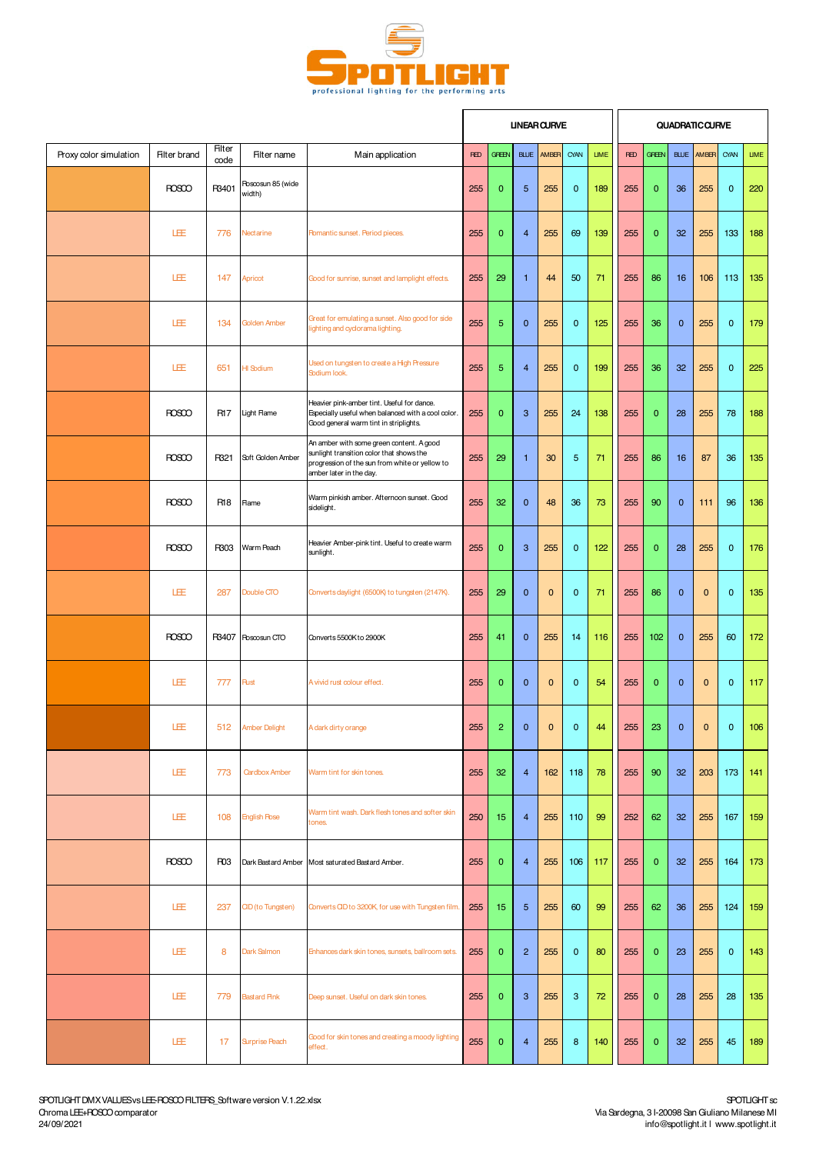

|                        |              |                       |                             |                                                                                                                                                                   |            |                  |                | <b>UNEAR CURVE</b> |                |             |            |              |              | <b>QUADRATIC CURVE</b> |              |             |
|------------------------|--------------|-----------------------|-----------------------------|-------------------------------------------------------------------------------------------------------------------------------------------------------------------|------------|------------------|----------------|--------------------|----------------|-------------|------------|--------------|--------------|------------------------|--------------|-------------|
| Proxy color simulation | Filter brand | <b>Filter</b><br>code | Filter name                 | Main application                                                                                                                                                  | <b>RED</b> | <b>GREEN</b>     | <b>BLUE</b>    | AMBER              | CYAN           | <b>LIME</b> | <b>RED</b> | <b>GREEN</b> | <b>BLUE</b>  | AMBER                  | CYAN         | <b>LIME</b> |
|                        | <b>ROSCO</b> | R3401                 | Roscosun 85 (wide<br>width) |                                                                                                                                                                   | 255        | $\mathbf{0}$     | $\overline{5}$ | 255                | $\mathbf{0}$   | 189         | 255        | $\mathbf{0}$ | 36           | 255                    | $\mathbf 0$  | 220         |
|                        | 旺            | 776                   | Nectarine                   | <b>Romantic sunset. Period pieces.</b>                                                                                                                            | 255        | $\overline{0}$   | $\overline{4}$ | 255                | 69             | 139         | 255        | $\mathbf{0}$ | 32           | 255                    | 133          | 188         |
|                        | 旺            | 147                   | Apricot                     | Good for sunrise, sunset and lamplight effects.                                                                                                                   | 255        | 29               | $\mathbf{1}$   | 44                 | 50             | 71          | 255        | 86           | 16           | 106                    | 113          | 135         |
|                        | 圧            | 134                   | Golden Amber                | Great for emulating a sunset. Also good for side<br>lighting and cyclorama lighting.                                                                              | 255        | 5                | $\mathbf{0}$   | 255                | $\mathbf{0}$   | 125         | 255        | 36           | $\mathbf{0}$ | 255                    | $\mathbf 0$  | 179         |
|                        | LEE          | 651                   | HI Sodium                   | Used on tungsten to create a High Pressure<br>Sodium look.                                                                                                        | 255        | 5                | $\overline{4}$ | 255                | $\mathbf{0}$   | 199         | 255        | 36           | 32           | 255                    | $\mathbf 0$  | 225         |
|                        | <b>ROSCO</b> | R17                   | Light Flame                 | Heavier pink-amber tint. Useful for dance.<br>Especially useful when balanced with a cool color.<br>Good general warm tint in striplights.                        | 255        | $\mathbf{0}$     | 3              | 255                | 24             | 138         | 255        | $\mathbf{0}$ | 28           | 255                    | 78           | 188         |
|                        | <b>ROSCO</b> | R321                  | Soft Golden Amber           | An amber with some green content. A good<br>sunlight transition color that shows the<br>progression of the sun from white or yellow to<br>amber later in the day. | 255        | 29               | $\overline{1}$ | 30                 | $\overline{5}$ | 71          | 255        | 86           | 16           | 87                     | 36           | 135         |
|                        | <b>ROSCO</b> | R18                   | Rame                        | Warm pinkish amber. Afternoon sunset. Good<br>sidelight.                                                                                                          | 255        | 32               | $\mathbf{0}$   | 48                 | 36             | 73          | 255        | 90           | $\mathbf{0}$ | 111                    | 96           | 136         |
|                        | <b>ROSCO</b> | R303                  | Warm Peach                  | Heavier Amber-pink tint. Useful to create warm<br>sunlight.                                                                                                       | 255        | $\overline{0}$   | 3              | 255                | $\mathbf{0}$   | 122         | 255        | $\mathbf{0}$ | 28           | 255                    | $\mathbf{0}$ | 176         |
|                        | LÆ           | 287                   | Double CTO                  | Converts daylight (6500K) to tungsten (2147K).                                                                                                                    | 255        | 29               | $\mathbf{0}$   | 0                  | $\mathbf 0$    | 71          | 255        | 86           | $\mathbf 0$  | $\mathbf{0}$           | $\mathbf 0$  | 135         |
|                        | <b>ROSCO</b> | R3407                 | Roscosun CTO                | Converts 5500K to 2900K                                                                                                                                           | 255        | 41               | $\mathbf{0}$   | 255                | 14             | 116         | 255        | 102          | $\mathbf{0}$ | 255                    | 60           | 172         |
|                        | LÆ           | 777                   | Rust                        | A vivid rust colour effect.                                                                                                                                       | 255        | $\mathbf{0}$     | $\mathbf{0}$   | 0                  | $\mathbf{0}$   | 54          | 255        | $\mathbf{0}$ | $\mathbf 0$  | $\mathbf{0}$           | $\mathbf 0$  | 117         |
|                        | LEE          |                       | 512 Amber Delight           | A dark dirty orange                                                                                                                                               | 255        | $\overline{c}$   | $\pmb{0}$      | $\pmb{0}$          | $\pmb{0}$      | 44          | 255        | 23           | 0            | $\mathbf 0$            | $\pmb{0}$    | 106         |
|                        | LEE          | 773                   | Cardbox Amber               | Warm tint for skin tones.                                                                                                                                         | 255        | 32               | $\overline{4}$ | 162                | 118            | 78          | 255        | 90           | 32           | 203                    | 173          | 141         |
|                        | LÆ           | 108                   | <b>English Rose</b>         | Warm tint wash. Dark flesh tones and softer skin<br>tones.                                                                                                        | 250        | 15 <sub>15</sub> | 4              | 255                | 110            | 99          | 252        | 62           | 32           | 255                    | 167          | 159         |
|                        | <b>ROSCO</b> | R <sub>03</sub>       | Dark Bastard Amber          | Most saturated Bastard Amber.                                                                                                                                     | 255        | $\mathbf{0}$     | $\overline{4}$ | 255                | 106            | 117         | 255        | $\mathbf{0}$ | 32           | 255                    | 164          | 173         |
|                        | 旺            | 237                   | <b>CID</b> (to Tungsten)    | Converts CID to 3200K, for use with Tungsten film.                                                                                                                | 255        | 15               | 5              | 255                | 60             | 99          | 255        | 62           | 36           | 255                    | 124          | 159         |
|                        | LEE          | 8                     | Dark Salmon                 | Enhances dark skin tones, sunsets, ballroom sets.                                                                                                                 | 255        | $\mathbf 0$      | $\overline{2}$ | 255                | $\mathbf 0$    | 80          | 255        | $\mathbf{0}$ | 23           | 255                    | $\mathbf 0$  | 143         |
|                        | 圧            | 779                   | <b>Bastard Pink</b>         | Deep sunset. Useful on dark skin tones.                                                                                                                           | 255        | $\mathbf 0$      | 3              | 255                | 3              | 72          | 255        | $\mathbf{0}$ | 28           | 255                    | 28           | 135         |
|                        | LEE          | 17                    | <b>Surprise Peach</b>       | Good for skin tones and creating a moody lighting<br>effect.                                                                                                      | 255        | $\mathbf 0$      | $\overline{4}$ | 255                | 8              | 140         | 255        | $\mathbf 0$  | 32           | 255                    | 45           | 189         |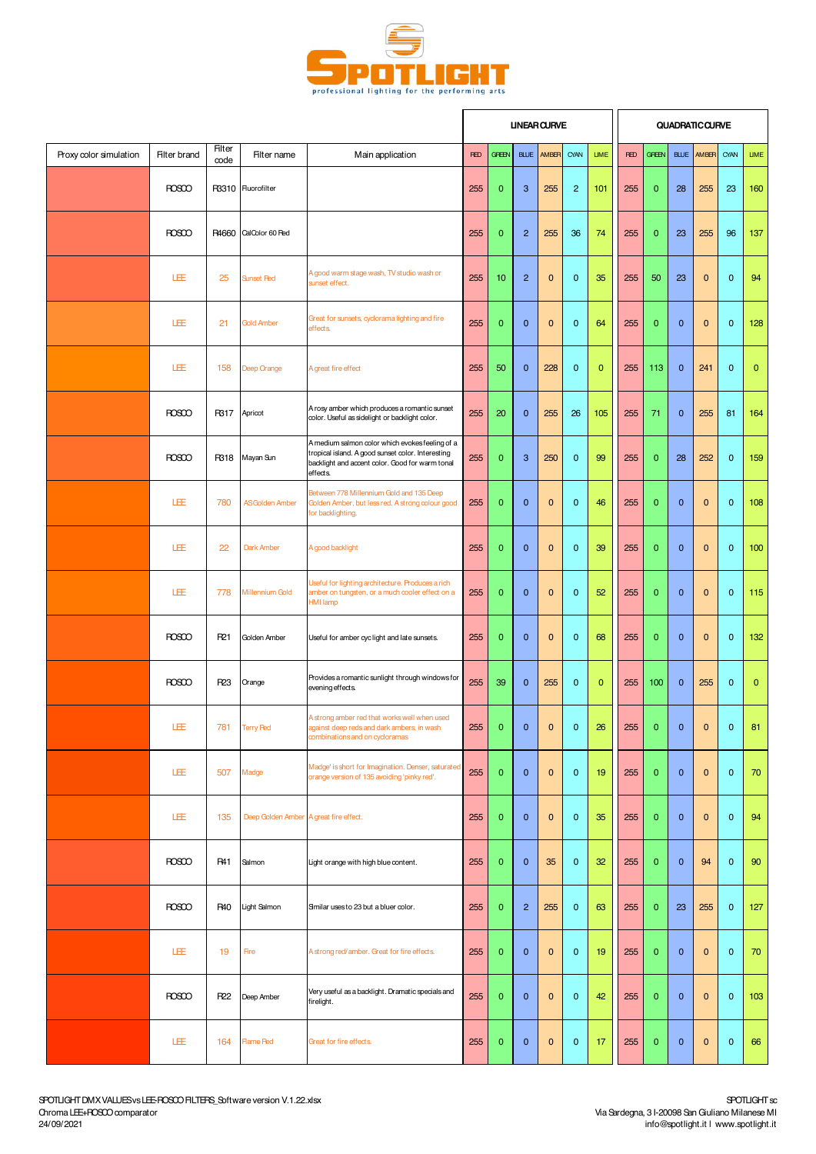

|                        |              |                       |                                        |                                                                                                                                                                     |            |                         | <b>UNEAR CURVE</b> |                |                |              |            |              |              | <b>QUADRATIC CURVE</b> |                |              |
|------------------------|--------------|-----------------------|----------------------------------------|---------------------------------------------------------------------------------------------------------------------------------------------------------------------|------------|-------------------------|--------------------|----------------|----------------|--------------|------------|--------------|--------------|------------------------|----------------|--------------|
| Proxy color simulation | Filter brand | <b>Filter</b><br>code | Filter name                            | Main application                                                                                                                                                    | <b>RED</b> | <b>GREEN</b>            | <b>BLUE</b>        | AMBER          | CYAN           | <b>LIME</b>  | <b>RED</b> | <b>GREEN</b> | <b>BLUE</b>  | AM <sub>BR</sub>       | CYAN           | <b>LIME</b>  |
|                        | <b>ROSCO</b> |                       | R3310 Fluorofilter                     |                                                                                                                                                                     | 255        | $\mathbf{0}$            | 3                  | 255            | $\overline{c}$ | 101          | 255        | $\mathbf{0}$ | 28           | 255                    | 23             | 160          |
|                        | <b>ROSCO</b> | R4660                 | CalColor 60 Fed                        |                                                                                                                                                                     | 255        | $\mathbf{0}$            | $\overline{2}$     | 255            | 36             | 74           | 255        | $\mathbf{0}$ | 23           | 255                    | 96             | 137          |
|                        | LEE          | 25                    | <b>Sunset Red</b>                      | A good warm stage wash, TV studio wash or<br>sunset effect.                                                                                                         | 255        | 10                      | $\overline{2}$     | 0              | $\mathbf{0}$   | 35           | 255        | 50           | 23           | $\mathbf{0}$           | $\mathbf{0}$   | 94           |
|                        | LÆ           | 21                    | <b>Gold Amber</b>                      | Great for sunsets, cyclorama lighting and fire<br>effects.                                                                                                          | 255        | $\mathbf{0}$            | $\mathbf{0}$       | 0              | $\mathbf 0$    | 64           | 255        | $\mathbf{0}$ | $\mathbf 0$  | $\mathbf 0$            | $\mathbf 0$    | 128          |
|                        | LÆ           | 158                   | Deep Orange                            | A great fire effect                                                                                                                                                 | 255        | 50                      | $\mathbf{0}$       | 228            | $\mathbf 0$    | $\mathbf{0}$ | 255        | 113          | $\mathbf{0}$ | 241                    | $\mathbf 0$    | $\mathbf{0}$ |
|                        | <b>ROSCO</b> | R317                  | Apricot                                | A rosy amber which produces a romantic sunset<br>color. Useful as sidelight or backlight color.                                                                     | 255        | 20                      | $\mathbf 0$        | 255            | 26             | 105          | 255        | 71           | $\mathbf{0}$ | 255                    | 81             | 164          |
|                        | <b>ROSCO</b> | R318                  | Mayan Sun                              | A medium salmon color which evokes feeling of a<br>tropical island. A good sunset color. Interesting<br>backlight and accent color. Good for warm tonal<br>effects. | 255        | $\mathbf{0}$            | 3                  | 250            | $\mathbf 0$    | 99           | 255        | $\mathbf{0}$ | 28           | 252                    | $\mathbf 0$    | 159          |
|                        | LÆ           | 780                   | <b>ASGolden Amber</b>                  | Between 778 Millennium Gold and 135 Deep<br>Golden Amber, but less red. A strong colour good<br>for backlighting.                                                   | 255        | $\mathbf 0$             | $\mathbf{0}$       | 0              | $\mathbf 0$    | 46           | 255        | $\mathbf{0}$ | $\mathbf 0$  | $\mathbf 0$            | $\mathbf 0$    | 108          |
|                        | LÆ           | 22                    | Dark Amber                             | A good backlight                                                                                                                                                    | 255        | $\mathbf{0}$            | $\mathbf{0}$       | $\overline{0}$ | $\mathbf{0}$   | 39           | 255        | $\mathbf{0}$ | $\mathbf{0}$ | $\mathbf{0}$           | $\mathbf{0}$   | 100          |
|                        | 旺            | 778                   | Millennium Gold                        | Useful for lighting architecture. Produces a rich<br>amber on tungsten, or a much cooler effect on a<br><b>HMI</b> lamp                                             | 255        | $\mathbf{0}$            | $\mathbf{0}$       | 0              | $\mathbf{0}$   | 52           | 255        | $\mathbf{0}$ | $\mathbf{0}$ | $\mathbf{0}$           | $\mathbf{0}$   | 115          |
|                        | <b>ROSCO</b> | R21                   | Golden Amber                           | Useful for amber cyclight and late sunsets.                                                                                                                         | 255        | $\mathbf{0}$            | $\mathbf{0}$       | 0              | $\mathbf 0$    | 68           | 255        | $\mathbf{0}$ | $\mathbf 0$  | $\mathbf{0}$           | $\mathbf 0$    | 132          |
|                        | <b>ROSCO</b> | R23                   | Orange                                 | Provides a romantic sunlight through windows for<br>evening effects.                                                                                                | 255        | 39                      | $\mathbf{0}$       | 255            | $\mathbf 0$    | $\mathbf{0}$ | 255        | 100          | $\mathbf{0}$ | 255                    | $\mathbf 0$    | $\mathbf{0}$ |
|                        | LEE          |                       | 781 Terry Red                          | A strong amber red that works well when used<br>gainst deep reds and dark ambers, in wash<br>combinations and on cycloramas                                         | 255        | $\overline{\mathbf{0}}$ | $\mathbf{0}$       | $\mathbf{0}$   | $\mathbf{0}$   | 26           | 255        | $\mathbf{0}$ | $\mathbf{0}$ | $\overline{0}$         | $\overline{0}$ | 81           |
|                        | 圧            | 507                   | Madge                                  | Madge' is short for Imagination. Denser, saturated<br>orange version of 135 avoiding 'pinky red'.                                                                   | 255        | $\mathbf{0}$            | $\mathbf{0}$       | 0              | $\mathbf 0$    | 19           | 255        | $\mathbf{0}$ | $\mathbf{0}$ | $\mathbf 0$            | $\mathbf 0$    | 70           |
|                        | 圧            | 135                   | Deep Golden Amber A great fire effect. |                                                                                                                                                                     | 255        | $\mathbf{0}$            | $\mathbf{0}$       | $\mathbf 0$    | $\mathbf 0$    | 35           | 255        | $\mathbf{0}$ | $\mathbf{0}$ | $\pmb{0}$              | $\mathbf{0}$   | 94           |
|                        | <b>ROSCO</b> | <b>R41</b>            | Salmon                                 | Light orange with high blue content.                                                                                                                                | 255        | $\mathbf{0}$            | $\mathbf{0}$       | 35             | $\mathbf{0}$   | 32           | 255        | $\mathbf{0}$ | $\mathbf{0}$ | 94                     | $\mathbf{0}$   | 90           |
|                        | <b>ROSCO</b> | R40                   | Light Salmon                           | Similar uses to 23 but a bluer color.                                                                                                                               | 255        | $\mathbf{0}$            | $\overline{2}$     | 255            | $\mathbf{0}$   | 63           | 255        | $\mathbf{0}$ | 23           | 255                    | $\mathbf 0$    | 127          |
|                        | 圧            | 19                    | Fire                                   | A strong red/amber. Great for fire effects.                                                                                                                         | 255        | $\mathbf{0}$            | $\mathbf{0}$       | 0              | $\mathbf{0}$   | 19           | 255        | $\mathbf{0}$ | $\mathbf{0}$ | $\mathbf 0$            | $\mathbf{0}$   | 70           |
|                        | <b>ROSCO</b> | R22                   | Deep Amber                             | Very useful as a backlight. Dramatic specials and<br>firelight.                                                                                                     | 255        | $\mathbf{0}$            | $\mathbf{0}$       | 0              | $\mathbf{0}$   | 42           | 255        | $\mathbf{0}$ | $\mathbf 0$  | $\pmb{0}$              | $\mathbf{0}$   | 103          |
|                        | LEE          | 164                   | <b>Hame Red</b>                        | Great for fire effects.                                                                                                                                             | 255        | $\mathbf{0}$            | $\mathbf 0$        | $\pmb{0}$      | $\mathbf{0}$   | 17           | 255        | $\mathbf{0}$ | $\mathbf 0$  | $\pmb{0}$              | $\mathbf{0}$   | 66           |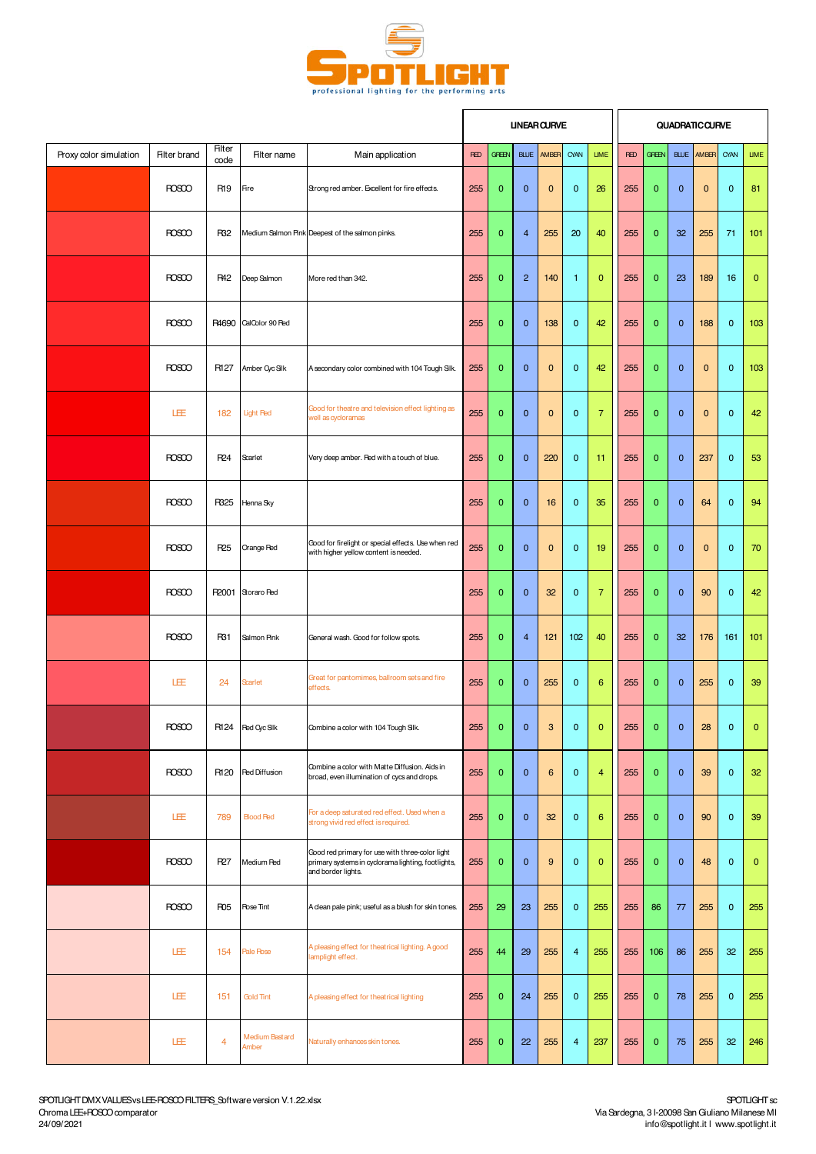

|                        |              |                       |                         |                                                                                                                             |            |                | <b>UNEAR CURVE</b> |       |                |                 |            |              |              | <b>QUADRATIC CURVE</b> |                |              |
|------------------------|--------------|-----------------------|-------------------------|-----------------------------------------------------------------------------------------------------------------------------|------------|----------------|--------------------|-------|----------------|-----------------|------------|--------------|--------------|------------------------|----------------|--------------|
| Proxy color simulation | Filter brand | <b>Filter</b><br>code | Filter name             | Main application                                                                                                            | <b>RED</b> | <b>GREEN</b>   | <b>BLUE</b>        | AMBER | CYAN           | <b>LIME</b>     | <b>RED</b> | <b>GREEN</b> | <b>BLUE</b>  | AMBER                  | CYAN           | <b>LIME</b>  |
|                        | <b>ROSCO</b> | R <sub>19</sub>       | Fire                    | Strong red amber. Excellent for fire effects.                                                                               | 255        | $\mathbf{0}$   | $\mathbf{0}$       | 0     | $\mathbf{0}$   | 26              | 255        | $\mathbf{0}$ | $\mathbf 0$  | $\mathbf 0$            | $\mathbf 0$    | 81           |
|                        | <b>ROSCO</b> | R32                   |                         | Medium Salmon Pink Deepest of the salmon pinks.                                                                             | 255        | $\mathbf{0}$   | $\overline{4}$     | 255   | 20             | 40              | 255        | $\mathbf{0}$ | 32           | 255                    | 71             | 101          |
|                        | <b>ROSCO</b> | <b>R42</b>            | Deep Salmon             | More red than 342.                                                                                                          | 255        | $\overline{0}$ | $\overline{2}$     | 140   | $\mathbf{1}$   | $\overline{0}$  | 255        | $\mathbf{0}$ | 23           | 189                    | 16             | $\mathbf 0$  |
|                        | <b>ROSCO</b> | R4690                 | CalColor 90 Fed         |                                                                                                                             | 255        | $\mathbf{0}$   | $\mathbf{0}$       | 138   | $\mathbf 0$    | 42              | 255        | $\mathbf{0}$ | $\mathbf{0}$ | 188                    | $\mathbf 0$    | 103          |
|                        | <b>ROSCO</b> | R127                  | Amber Cyc Silk          | A secondary color combined with 104 Tough Slk.                                                                              | 255        | $\overline{0}$ | $\mathbf{0}$       | 0     | $\mathbf{0}$   | 42              | 255        | $\mathbf{0}$ | $\mathbf 0$  | $\mathbf{0}$           | $\mathbf{0}$   | 103          |
|                        | LÆ           | 182                   | <b>Light Red</b>        | Good for theatre and television effect lighting as<br>well as cycloramas                                                    | 255        | $\mathbf 0$    | $\mathbf{0}$       | 0     | $\mathbf 0$    | $\overline{7}$  | 255        | $\mathbf{0}$ | $\mathbf 0$  | $\mathbf{0}$           | $\mathbf 0$    | 42           |
|                        | <b>ROSCO</b> | R24                   | Scarlet                 | Very deep amber. Fed with a touch of blue.                                                                                  | 255        | $\overline{0}$ | $\mathbf{0}$       | 220   | $\mathbf{0}$   | 11              | 255        | $\mathbf{0}$ | $\mathbf{0}$ | 237                    | $\mathbf 0$    | 53           |
|                        | <b>ROSCO</b> | R325                  | Henna Sky               |                                                                                                                             | 255        | $\mathbf 0$    | $\mathbf{0}$       | 16    | $\mathbf 0$    | 35              | 255        | $\mathbf{0}$ | $\mathbf 0$  | 64                     | $\mathbf 0$    | 94           |
|                        | <b>ROSCO</b> | R <sub>25</sub>       | Orange Red              | Good for firelight or special effects. Use when red<br>with higher yellow content is needed.                                | 255        | $\overline{0}$ | $\mathbf{0}$       | 0     | $\mathbf{0}$   | 19              | 255        | $\mathbf{0}$ | $\mathbf{0}$ | $\mathbf{0}$           | $\mathbf{0}$   | 70           |
|                        | <b>ROSCO</b> | R2001                 | Storaro Red             |                                                                                                                             | 255        | 0              | $\mathbf{0}$       | 32    | $\mathbf 0$    | $\overline{7}$  | 255        | $\mathbf{0}$ | $\mathbf{0}$ | 90                     | $\mathbf{0}$   | 42           |
|                        | <b>ROSCO</b> | R31                   | Salmon Pink             | General wash. Good for follow spots.                                                                                        | 255        | $\mathbf{0}$   | $\overline{4}$     | 121   | 102            | 40              | 255        | $\mathbf{0}$ | 32           | 176                    | 161            | 101          |
|                        | 圧            | 24                    | <b>Scarlet</b>          | Great for pantomimes, ballroom sets and fire<br>effects.                                                                    | 255        | $\mathbf{0}$   | $\mathbf{0}$       | 255   | $\mathbf 0$    | $6\phantom{1}6$ | 255        | $\mathbf{0}$ | $\mathbf 0$  | 255                    | $\mathbf 0$    | 39           |
|                        | <b>ROSCO</b> |                       | R124 Red Oyc Slk        | Combine a color with 104 Tough Slk.                                                                                         | 255        | $\overline{0}$ | $\mathbf{0}$       | 3     | $\mathbf{0}$   | $\mathbf{0}$    | 255        | $\mathbf{0}$ | $\mathbf{0}$ | 28                     | $\overline{0}$ | $\Omega$     |
|                        | <b>ROSCO</b> | R120                  | <b>Red Diffusion</b>    | Combine a color with Matte Diffusion. Aids in<br>broad, even illumination of cycs and drops.                                | 255        | $\mathbf{0}$   | $\mathbf{0}$       | 6     | $\mathbf 0$    | $\overline{4}$  | 255        | $\mathbf{0}$ | $\mathbf{0}$ | 39                     | $\mathbf{0}$   | 32           |
|                        | 圧            | 789                   | <b>Blood Red</b>        | For a deep saturated red effect. Used when a<br>strong vivid red effect is required.                                        | 255        | $\mathbf{0}$   | $\mathbf{0}$       | 32    | $\mathbf{0}$   | $6\phantom{1}6$ | 255        | $\mathbf{0}$ | $\mathbf{0}$ | 90                     | $\mathbf{0}$   | 39           |
|                        | <b>ROSCO</b> | R27                   | Medium Red              | Good red primary for use with three-color light<br>primary systems in cyclorama lighting, footlights,<br>and border lights. | 255        | $\mathbf{0}$   | $\mathbf{0}$       | $9\,$ | $\mathbf{0}$   | $\mathbf{0}$    | 255        | $\mathbf{0}$ | $\mathbf{0}$ | 48                     | $\mathbf{0}$   | $\mathbf{0}$ |
|                        | <b>ROSCO</b> | R <sub>05</sub>       | <b>Rose Tint</b>        | A clean pale pink; useful as a blush for skin tones.                                                                        | 255        | 29             | 23                 | 255   | $\mathbf 0$    | 255             | 255        | 86           | 77           | 255                    | $\mathbf{0}$   | 255          |
|                        | 圧            | 154                   | Pale Rose               | A pleasing effect for theatrical lighting. A good<br>lamplight effect.                                                      | 255        | 44             | 29                 | 255   | $\overline{4}$ | 255             | 255        | 106          | 86           | 255                    | 32             | 255          |
|                        | 圧            | 151                   | Gold Tint               | A pleasing effect for theatrical lighting                                                                                   | 255        | $\mathbf{0}$   | 24                 | 255   | $\mathbf 0$    | 255             | 255        | $\mathbf{0}$ | 78           | 255                    | $\mathbf{0}$   | 255          |
|                        | LEE          | $\overline{4}$        | Medium Bastard<br>Amber | Naturally enhances skin tones.                                                                                              | 255        | $\mathbf{0}$   | 22                 | 255   | 4              | 237             | 255        | $\mathbf{0}$ | 75           | 255                    | 32             | 246          |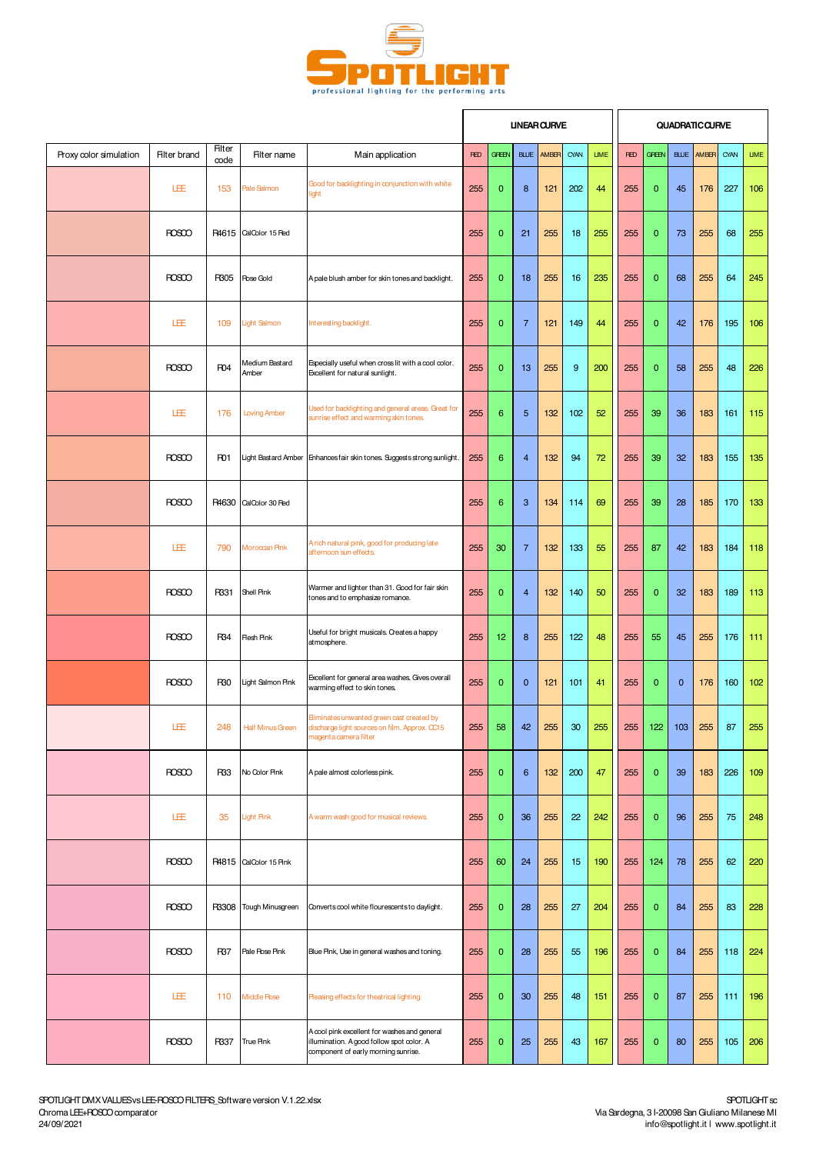

|                        |                     |                       |                         |                                                                                                                                  |            |                |                | <b>UNEAR CURVE</b> |      |             |            |              |              | <b>QUADRATIC CURVE</b> |      |             |
|------------------------|---------------------|-----------------------|-------------------------|----------------------------------------------------------------------------------------------------------------------------------|------------|----------------|----------------|--------------------|------|-------------|------------|--------------|--------------|------------------------|------|-------------|
| Proxy color simulation | <b>Filter brand</b> | <b>Filter</b><br>code | Filter name             | Main application                                                                                                                 | <b>RED</b> | <b>GREEN</b>   | <b>BLUE</b>    | AMBER              | CYAN | <b>LIME</b> | <b>RED</b> | <b>GREEN</b> | <b>BLUE</b>  | AMBER                  | CYAN | <b>LIME</b> |
|                        | LEE                 | 153                   | Pale Salmon             | Good for backlighting in conjunction with white<br>light                                                                         | 255        | $\mathbf{0}$   | 8              | 121                | 202  | 44          | 255        | $\mathbf 0$  | 45           | 176                    | 227  | 106         |
|                        | <b>ROSCO</b>        | R4615                 | CalColor 15 Fed         |                                                                                                                                  | 255        | $\mathbf{0}$   | 21             | 255                | 18   | 255         | 255        | $\mathbf{0}$ | 73           | 255                    | 68   | 255         |
|                        | <b>ROSCO</b>        | R305                  | <b>Rose Gold</b>        | A pale blush amber for skin tones and backlight.                                                                                 | 255        | $\mathbf{0}$   | 18             | 255                | 16   | 235         | 255        | $\mathbf{0}$ | 68           | 255                    | 64   | 245         |
|                        | LEE                 | 109                   | <b>Light Salmon</b>     | Interesting backlight.                                                                                                           | 255        | $\mathbf{0}$   | $\overline{7}$ | 121                | 149  | 44          | 255        | $\mathbf{0}$ | 42           | 176                    | 195  | 106         |
|                        | <b>ROSCO</b>        | F <sub>04</sub>       | Medium Bastard<br>Amber | Especially useful when cross lit with a cool color.<br>Excellent for natural sunlight.                                           | 255        | $\mathbf{0}$   | 13             | 255                | 9    | 200         | 255        | $\mathbf{0}$ | 58           | 255                    | 48   | 226         |
|                        | LEE                 | 176                   | Loving Amber            | Used for backlighting and general areas. Great for<br>sunrise effect and warming skin tones.                                     | 255        | 6              | 5              | 132                | 102  | 52          | 255        | 39           | 36           | 183                    | 161  | 115         |
|                        | <b>ROSCO</b>        | R <sub>D1</sub>       | Light Bastard Amber     | Enhances fair skin tones. Suggests strong sunlight.                                                                              | 255        | 6              | $\overline{4}$ | 132                | 94   | 72          | 255        | 39           | 32           | 183                    | 155  | 135         |
|                        | <b>ROSCO</b>        | R4630                 | CalColor 30 Fed         |                                                                                                                                  | 255        | $6\phantom{1}$ | 3              | 134                | 114  | 69          | 255        | 39           | 28           | 185                    | 170  | 133         |
|                        | LEE                 | 790                   | Moroccan Pink           | A rich natural pink, good for producing late<br>afternoon sun effects.                                                           | 255        | 30             | $\overline{7}$ | 132                | 133  | 55          | 255        | 87           | 42           | 183                    | 184  | 118         |
|                        | <b>ROSCO</b>        | R331                  | Shell Pink              | Warmer and lighter than 31. Good for fair skin<br>tones and to emphasize romance.                                                | 255        | $\mathbf{0}$   | $\overline{4}$ | 132                | 140  | 50          | 255        | $\mathbf 0$  | 32           | 183                    | 189  | 113         |
|                        | <b>ROSCO</b>        | R34                   | <b>Resh Pink</b>        | Useful for bright musicals. Creates a happy<br>atmosphere.                                                                       | 255        | 12             | 8              | 255                | 122  | 48          | 255        | 55           | 45           | 255                    | 176  | 111         |
|                        | <b>ROSCO</b>        | R30                   | Light Salmon Pink       | Excellent for general area washes. Gives overall<br>warming effect to skin tones.                                                | 255        | $\mathbf{0}$   | $\mathbf{0}$   | 121                | 101  | 41          | 255        | $\mathbf{0}$ | $\mathbf{0}$ | 176                    | 160  | 102         |
|                        | LEE                 |                       | 248 Half Minus Green    | Eiminates unwanted green cast created by<br>discharge light sources on film. Approx. CC15<br>magenta camera filter               | 255        | 58             | 42             | 255                | 30   | 255         | 255        | 122          | 103          | 255                    | 87   | 255         |
|                        | <b>ROSCO</b>        | R <sub>33</sub>       | No Color Pink           | A pale almost colorless pink.                                                                                                    | 255        | $\mathbf{0}$   | 6              | 132                | 200  | 47          | 255        | $\mathbf{0}$ | 39           | 183                    | 226  | 109         |
|                        | 圧                   | 35                    | <b>Light Pink</b>       | A warm wash good for musical reviews.                                                                                            | 255        | $\mathbf{0}$   | 36             | 255                | 22   | 242         | 255        | $\mathbf{0}$ | 96           | 255                    | 75   | 248         |
|                        | <b>ROSCO</b>        | R4815                 | CalColor 15 Pink        |                                                                                                                                  | 255        | 60             | 24             | 255                | 15   | 190         | 255        | 124          | 78           | 255                    | 62   | 220         |
|                        | <b>ROSCO</b>        | R3308                 | Tough Minusgreen        | Converts cool white flourescents to daylight.                                                                                    | 255        | $\mathbf{0}$   | 28             | 255                | 27   | 204         | 255        | $\mathbf{0}$ | 84           | 255                    | 83   | 228         |
|                        | <b>ROSCO</b>        | R37                   | Pale Rose Pink          | Blue Pink, Use in general washes and toning.                                                                                     | 255        | $\mathbf{0}$   | 28             | 255                | 55   | 196         | 255        | $\mathbf{0}$ | 84           | 255                    | 118  | 224         |
|                        | 圧                   | 110                   | <b>Middle Pose</b>      | Pleasing effects for theatrical lighting.                                                                                        | 255        | $\mathbf{0}$   | 30             | 255                | 48   | 151         | 255        | $\mathbf{0}$ | 87           | 255                    | 111  | 196         |
|                        | ROSCO               | R337                  | True Pink               | A cool pink excellent for washes and general<br>illumination. A good follow spot color. A<br>component of early morning sunrise. | 255        | $\mathbf{0}$   | 25             | 255                | 43   | 167         | 255        | $\mathbf{0}$ | 80           | 255                    | 105  | 206         |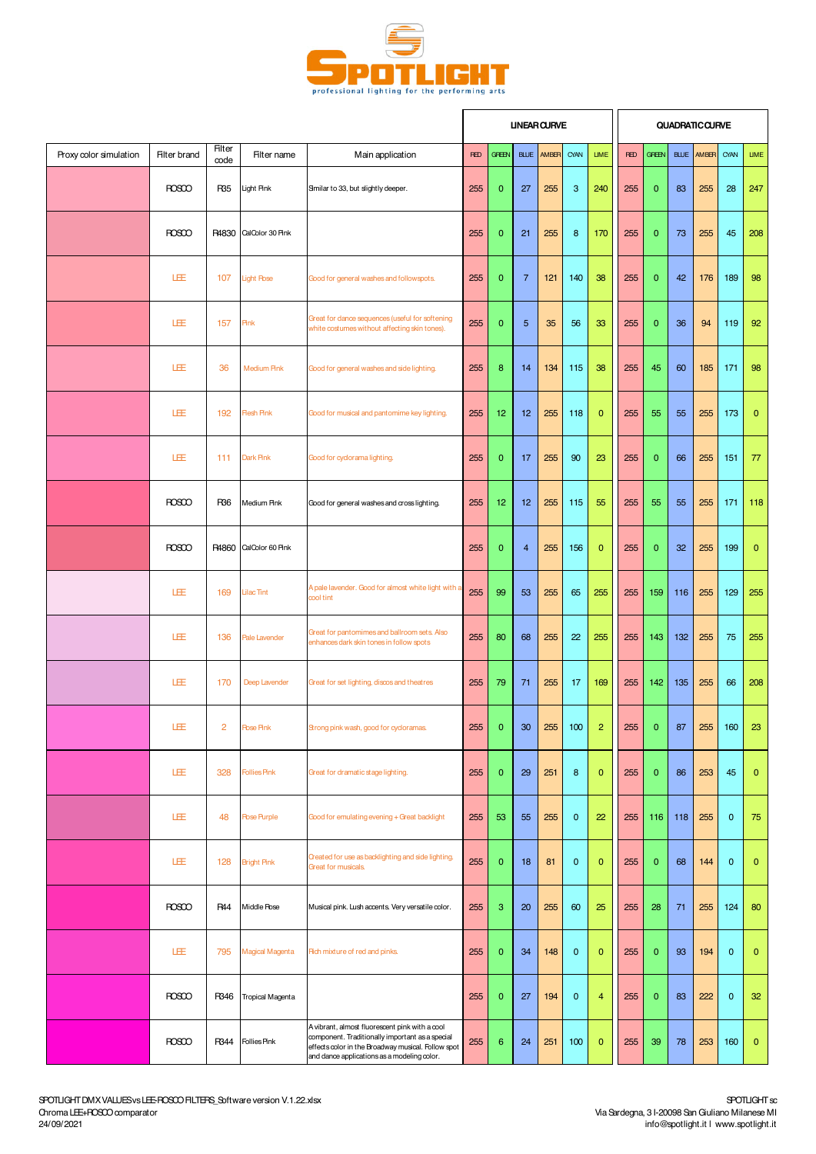

|                        |                     |                       |                         |                                                                                                                                                                                                        |            |                 |                | <b>UNEAR CURVE</b> |              |                |            |              |     | QUADRATIC CURVE   |              |              |
|------------------------|---------------------|-----------------------|-------------------------|--------------------------------------------------------------------------------------------------------------------------------------------------------------------------------------------------------|------------|-----------------|----------------|--------------------|--------------|----------------|------------|--------------|-----|-------------------|--------------|--------------|
| Proxy color simulation | <b>Filter brand</b> | <b>Filter</b><br>code | Filter name             | Main application                                                                                                                                                                                       | <b>RED</b> | <b>GREEN</b>    |                | BLUE AMBER         | CYAN         | <b>LIME</b>    | <b>RED</b> | <b>GREEN</b> |     | <b>BLUE AMBER</b> | CYAN         | <b>LIME</b>  |
|                        | <b>ROSCO</b>        | R35                   | Light Pink              | Smilar to 33, but slightly deeper.                                                                                                                                                                     | 255        | $\mathbf{0}$    | 27             | 255                | 3            | 240            | 255        | $\mathbf{0}$ | 83  | 255               | 28           | 247          |
|                        | <b>ROSCO</b>        | R4830                 | CalColor 30 Pink        |                                                                                                                                                                                                        | 255        | $\mathbf{0}$    | 21             | 255                | 8            | 170            | 255        | $\mathbf{0}$ | 73  | 255               | 45           | 208          |
|                        | LEE                 | 107                   | <b>Light Rose</b>       | Good for general washes and followspots.                                                                                                                                                               | 255        | $\mathbf{0}$    | $\overline{7}$ | 121                | 140          | 38             | 255        | $\mathbf{0}$ | 42  | 176               | 189          | 98           |
|                        | LEE                 | 157                   | <b>Pink</b>             | Great for dance sequences (useful for softening<br>white costumes without affecting skin tones).                                                                                                       | 255        | $\mathbf{0}$    | 5              | 35                 | 56           | 33             | 255        | $\mathbf{0}$ | 36  | 94                | 119          | 92           |
|                        | LEE                 | 36                    | <b>Medium Pink</b>      | Good for general washes and side lighting.                                                                                                                                                             | 255        | 8               | 14             | 134                | 115          | 38             | 255        | 45           | 60  | 185               | 171          | 98           |
|                        | LEE                 | 192                   | <b>Resh Pink</b>        | Good for musical and pantomime key lighting.                                                                                                                                                           | 255        | 12 <sub>2</sub> | 12             | 255                | 118          | $\mathbf{0}$   | 255        | 55           | 55  | 255               | 173          | $\mathbf{0}$ |
|                        | LEE                 | 111                   | Dark Pink               | Good for cyclorama lighting.                                                                                                                                                                           | 255        | $\mathbf{0}$    | 17             | 255                | 90           | 23             | 255        | $\mathbf{0}$ | 66  | 255               | 151          | 77           |
|                        | <b>ROSCO</b>        | R36                   | Medium Pink             | Good for general washes and cross lighting.                                                                                                                                                            | 255        | 12              | 12             | 255                | 115          | 55             | 255        | 55           | 55  | 255               | 171          | 118          |
|                        | <b>ROSCO</b>        | R4860                 | CalColor 60 Pink        |                                                                                                                                                                                                        | 255        | $\mathbf{0}$    | $\overline{4}$ | 255                | 156          | $\mathbf{0}$   | 255        | $\mathbf{0}$ | 32  | 255               | 199          | $\mathbf{0}$ |
|                        | LEE                 | 169                   | <b>Lilac Tint</b>       | A pale lavender. Good for almost white light with a<br>cool tint                                                                                                                                       | 255        | 99              | 53             | 255                | 65           | 255            | 255        | 159          | 116 | 255               | 129          | 255          |
|                        | 圧                   | 136                   | Pale Lavender           | Great for pantomimes and ballroom sets. Also<br>enhances dark skin tones in follow spots                                                                                                               | 255        | 80              | 68             | 255                | 22           | 255            | 255        | 143          | 132 | 255               | 75           | 255          |
|                        | LEE                 | 170                   | Deep Lavender           | Great for set lighting, discos and theatres                                                                                                                                                            | 255        | 79              | 71             | 255                | 17           | 169            | 255        | 142          | 135 | 255               | 66           | 208          |
|                        | LEE                 | $\overline{2}$        | <b>Rose Pink</b>        | Strong pink wash, good for cycloramas                                                                                                                                                                  | 255        | $\Omega$        | 30             | 255                | 100          | $\overline{2}$ | 255        | $\Omega$     | 87  |                   | 255 160      | 23           |
|                        | LEE                 | 328                   | <b>Follies Pink</b>     | Great for dramatic stage lighting.                                                                                                                                                                     | 255        | $\mathbf{0}$    | 29             | 251                | 8            | $\mathbf{0}$   | 255        | $\mathbf{0}$ | 86  | 253               | 45           | $\mathbf 0$  |
|                        | 旺                   | 48                    | <b>Rose Purple</b>      | Good for emulating evening + Great backlight                                                                                                                                                           | 255        | 53              | 55             | 255                | $\mathbf{0}$ | 22             | 255        | 116          | 118 | 255               | $\mathbf 0$  | 75           |
|                        | 圧                   | 128                   | <b>Bright Pink</b>      | Created for use as backlighting and side lighting.<br>Great for musicals.                                                                                                                              | 255        | $\mathbf{0}$    | 18             | 81                 | $\mathbf{0}$ | $\mathbf{0}$   | 255        | $\mathbf{0}$ | 68  | 144               | $\mathbf 0$  | $\mathbf 0$  |
|                        | <b>ROSCO</b>        | <b>R44</b>            | Middle Pose             | Musical pink. Lush accents. Very versatile color.                                                                                                                                                      | 255        | 3               | 20             | 255                | 60           | 25             | 255        | 28           | 71  | 255               | 124          | 80           |
|                        | 圧                   | 795                   | Magical Magenta         | Rich mixture of red and pinks.                                                                                                                                                                         | 255        | $\mathbf{0}$    | 34             | 148                | $\mathbf{0}$ | $\mathbf{0}$   | 255        | $\mathbf{0}$ | 93  | 194               | $\mathbf{0}$ | $\mathbf 0$  |
|                        | <b>ROSCO</b>        | R346                  | <b>Tropical Magenta</b> |                                                                                                                                                                                                        | 255        | $\mathbf{0}$    | 27             | 194                | $\mathbf{0}$ | 4              | 255        | $\mathbf{0}$ | 83  | 222               | $\mathbf 0$  | 32           |
|                        | <b>ROSCO</b>        | R344                  | <b>Follies Pink</b>     | A vibrant, almost fluorescent pink with a cool<br>component. Traditionally important as a special<br>effects color in the Broadway musical. Follow spot<br>and dance applications as a modeling color. | 255        | 6               | 24             | 251                | 100          | $\mathbf{0}$   | 255        | 39           | 78  | 253               | 160          | $\mathbf{0}$ |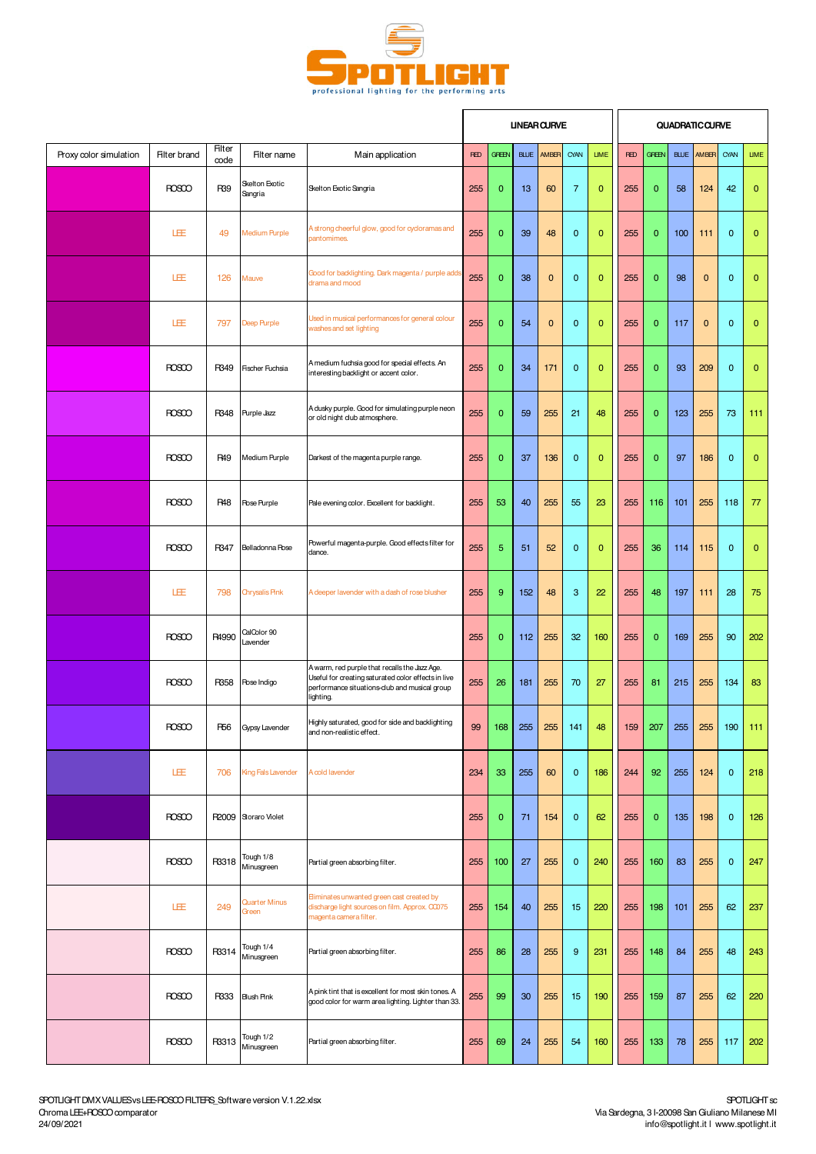

|                        |                     |                       |                               |                                                                                                                                                                    |            |              |             | <b>UNEAR CURVE</b> |                |              |            |              |             | <b>QUADRATIC CURVE</b> |              |              |
|------------------------|---------------------|-----------------------|-------------------------------|--------------------------------------------------------------------------------------------------------------------------------------------------------------------|------------|--------------|-------------|--------------------|----------------|--------------|------------|--------------|-------------|------------------------|--------------|--------------|
| Proxy color simulation | <b>Filter brand</b> | <b>Filter</b><br>code | Filter name                   | Main application                                                                                                                                                   | <b>RED</b> | <b>GREEN</b> | <b>BLUE</b> | AMBER              | CYAN           | <b>LIME</b>  | <b>RED</b> | <b>GREEN</b> | <b>BLUE</b> | AM <sub>BB</sub>       | CYAN         | <b>LIME</b>  |
|                        | <b>ROSCO</b>        | R39                   | Skelton Exotic<br>Sangria     | Skelton Exotic Sangria                                                                                                                                             | 255        | $\mathbf{0}$ | 13          | 60                 | $\overline{7}$ | $\mathbf{0}$ | 255        | $\mathbf{0}$ | 58          | 124                    | 42           | $\mathbf{0}$ |
|                        | LEE                 | 49                    | Medium Purple                 | A strong cheerful glow, good for cycloramas and<br>pantomimes.                                                                                                     | 255        | $\mathbf{0}$ | 39          | 48                 | $\mathbf{0}$   | $\mathbf{0}$ | 255        | $\mathbf{0}$ | 100         | 111                    | $\mathbf 0$  | $\bf{0}$     |
|                        | LÆ                  | 126                   | Mauve                         | Good for backlighting. Dark magenta / purple adds<br>drama and mood                                                                                                | 255        | $\mathbf 0$  | 38          | $\mathbf 0$        | $\mathbf{0}$   | $\mathbf{0}$ | 255        | 0            | 98          | $\mathbf{0}$           | $\mathbf 0$  | $\bf{0}$     |
|                        | LEE                 | 797                   | Deep Purple                   | Used in musical performances for general colour<br>washes and set lighting                                                                                         | 255        | $\mathbf 0$  | 54          | $\mathbf 0$        | $\mathbf{0}$   | $\mathbf 0$  | 255        | $\mathbf 0$  | 117         | $\mathbf{0}$           | $\mathbf 0$  | $\bf{0}$     |
|                        | <b>ROSCO</b>        | R349                  | <b>Fischer Fuchsia</b>        | A medium fuchsia good for special effects. An<br>interesting backlight or accent color.                                                                            | 255        | $\mathbf{0}$ | 34          | 171                | $\mathbf{0}$   | $\mathbf{0}$ | 255        | $\mathbf 0$  | 93          | 209                    | $\mathbf{0}$ | 0            |
|                        | <b>ROSCO</b>        | R348                  | Purple Jazz                   | A dusky purple. Good for simulating purple neon<br>or old night club atmosphere.                                                                                   | 255        | $\mathbf{0}$ | 59          | 255                | 21             | 48           | 255        | $\mathbf 0$  | 123         | 255                    | 73           | 111          |
|                        | <b>ROSCO</b>        | <b>R49</b>            | Medium Purple                 | Darkest of the magenta purple range.                                                                                                                               | 255        | $\mathbf{0}$ | 37          | 136                | $\mathbf{0}$   | $\mathbf{0}$ | 255        | $\mathbf{0}$ | 97          | 186                    | $\mathbf 0$  | $\mathbf{0}$ |
|                        | <b>ROSCO</b>        | <b>R48</b>            | Rose Purple                   | Pale evening color. Excellent for backlight.                                                                                                                       | 255        | 53           | 40          | 255                | 55             | 23           | 255        | 116          | 101         | 255                    | 118          | 77           |
|                        | <b>ROSCO</b>        | R347                  | Belladonna Pose               | Powerful magenta-purple. Good effects filter for<br>dance.                                                                                                         | 255        | 5            | 51          | 52                 | $\mathbf{0}$   | $\mathbf{0}$ | 255        | 36           | 114         | 115                    | $\mathbf 0$  | $\mathbf{0}$ |
|                        | LEE                 | 798                   | <b>Chrysalis Pink</b>         | A deeper lavender with a dash of rose blusher                                                                                                                      | 255        | 9            | 152         | 48                 | 3              | 22           | 255        | 48           | 197         | 111                    | 28           | 75           |
|                        | <b>ROSCO</b>        | R4990                 | CalColor 90<br>Lavender       |                                                                                                                                                                    | 255        | $\mathbf{0}$ | 112         | 255                | 32             | 160          | 255        | $\mathbf{0}$ | 169         | 255                    | 90           | 202          |
|                        | <b>ROSCO</b>        | R358                  | Rose Indigo                   | A warm, red purple that recalls the Jazz Age.<br>Useful for creating saturated color effects in live<br>performance situations-club and musical group<br>lighting. | 255        | 26           | 181         | 255                | 70             | 27           | 255        | 81           | 215         | 255                    | 134          | 83           |
|                        | <b>ROSCO</b>        |                       | R56 Gypsy Lavender            | Highly saturated, good for side and backlighting<br>and non-realistic effect.                                                                                      | 99         | 168          | 255         |                    | 255 141        | 48           | 159        | 207          | 255         |                        | 255 190 111  |              |
|                        | LEE                 | 706                   | <b>King Fals Lavender</b>     | A cold lavender                                                                                                                                                    | 234        | 33           | 255         | 60                 | $\mathbf{0}$   | 186          | 244        | 92           | 255         | 124                    | $\mathbf 0$  | 218          |
|                        | <b>ROSCO</b>        |                       | R2009 Storaro Violet          |                                                                                                                                                                    | 255        | $\mathbf{0}$ | 71          | 154                | $\mathbf{0}$   | 62           | 255        | $\mathbf{0}$ | 135         | 198                    | $\mathbf{0}$ | 126          |
|                        | <b>ROSCO</b>        | R3318                 | Tough 1/8<br>Minusgreen       | Partial green absorbing filter.                                                                                                                                    | 255        | 100          | 27          | 255                | $\mathbf{0}$   | 240          | 255        | 160          | 83          | 255                    | $\mathbf 0$  | 247          |
|                        | LEE                 | 249                   | <b>Quarter Minus</b><br>Green | Eliminates unwanted green cast created by<br>discharge light sources on film. Approx. CC075<br>magenta camera filter.                                              | 255        | 154          | 40          | 255                | 15             | 220          | 255        | 198          | 101         | 255                    | 62           | 237          |
|                        | <b>ROSCO</b>        | R3314                 | Tough 1/4<br>Minusgreen       | Partial green absorbing filter.                                                                                                                                    | 255        | 86           | 28          | 255                | 9              | 231          | 255        | 148          | 84          | 255                    | 48           | 243          |
|                        | <b>ROSCO</b>        | R333                  | <b>Blush Pink</b>             | A pink tint that is excellent for most skin tones. A<br>good color for warm area lighting. Lighter than 33.                                                        | 255        | 99           | 30          | 255                | 15             | 190          | 255        | 159          | 87          | 255                    | 62           | 220          |
|                        | <b>ROSCO</b>        | R3313                 | Tough 1/2<br>Minusgreen       | Partial green absorbing filter.                                                                                                                                    | 255        | 69           | 24          | 255                | 54             | 160          | 255        | 133          | 78          | 255                    | 117          | 202          |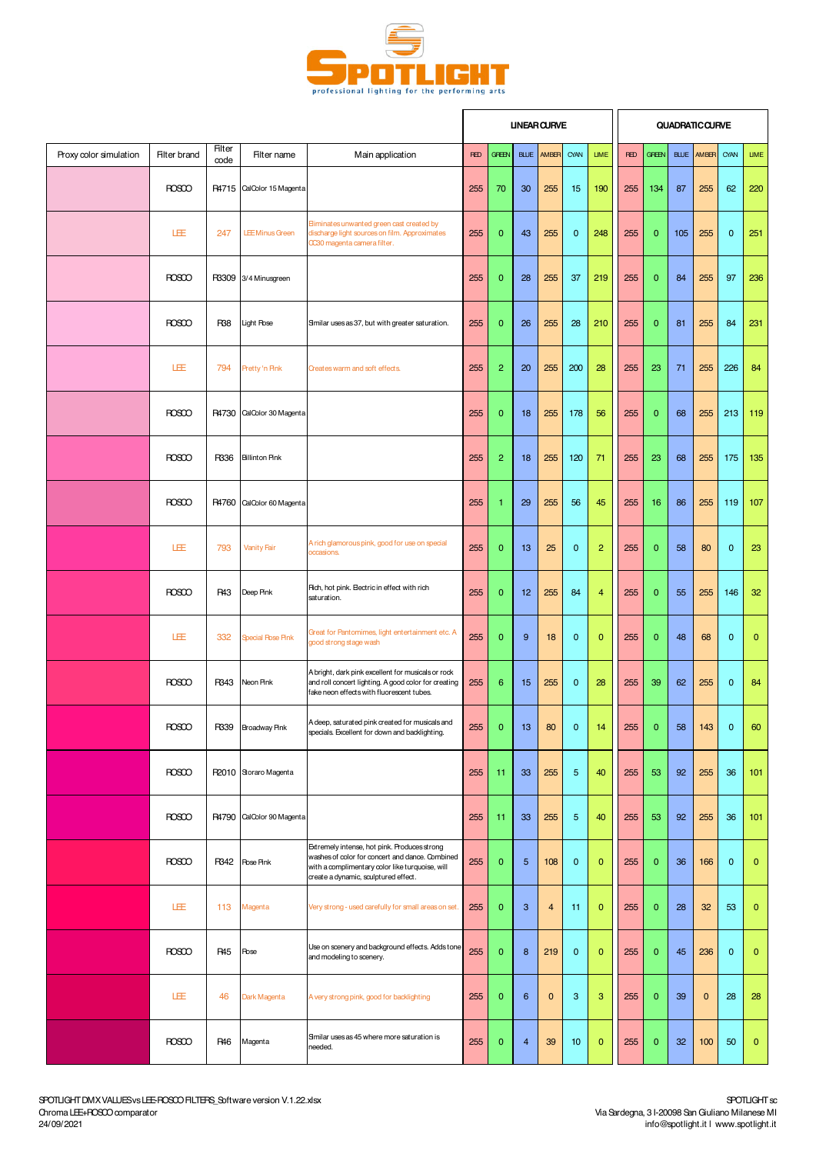

 $\mathbf{r}$ 

i r

|                        |                     |                 |                           |                                                                                                                                                                                            |            |                  |                | <b>UNEAR CURVE</b>      |                |                |            |              |             | QUADRATIC CURVE |                |              |
|------------------------|---------------------|-----------------|---------------------------|--------------------------------------------------------------------------------------------------------------------------------------------------------------------------------------------|------------|------------------|----------------|-------------------------|----------------|----------------|------------|--------------|-------------|-----------------|----------------|--------------|
| Proxy color simulation | <b>Filter brand</b> | Filter<br>code  | Filter name               | Main application                                                                                                                                                                           | <b>RED</b> | <b>GREEN</b>     | <b>BLUE</b>    | AMBER                   | CYAN           | <b>LIME</b>    | <b>RED</b> | <b>GFEEN</b> | <b>BLUE</b> | AMBER           | CYAN           | <b>LIME</b>  |
|                        | <b>ROSCO</b>        |                 | R4715 CalColor 15 Magenta |                                                                                                                                                                                            | 255        | 70               | 30             | 255                     | 15             | 190            | 255        | 134          | 87          | 255             | 62             | 220          |
|                        | LEE                 | 247             | <b>LEE Minus Green</b>    | Eliminates unwanted green cast created by<br>discharge light sources on film. Approximates<br>OC30 magenta camera filter.                                                                  | 255        | $\mathbf{0}$     | 43             | 255                     | $\mathbf 0$    | 248            | 255        | $\mathbf{0}$ | 105         | 255             | $\mathbf 0$    | 251          |
|                        | <b>ROSCO</b>        |                 | R3309 3/4 Minusgreen      |                                                                                                                                                                                            | 255        | $\mathbf{0}$     | 28             | 255                     | 37             | 219            | 255        | $\mathbf{0}$ | 84          | 255             | 97             | 236          |
|                        | <b>ROSCO</b>        | R <sub>38</sub> | Light Rose                | Similar uses as 37, but with greater saturation.                                                                                                                                           | 255        | $\mathbf{0}$     | 26             | 255                     | 28             | 210            | 255        | 0            | 81          | 255             | 84             | 231          |
|                        | LEE                 | 794             | Pretty 'n Pink            | Creates warm and soft effects.                                                                                                                                                             | 255        | $\overline{c}$   | 20             | 255                     | 200            | 28             | 255        | 23           | 71          | 255             | 226            | 84           |
|                        | <b>ROSCO</b>        | R4730           | CalColor 30 Magenta       |                                                                                                                                                                                            | 255        | $\mathbf 0$      | 18             | 255                     | 178            | 56             | 255        | $\mathbf{0}$ | 68          | 255             | 213            | 119          |
|                        | <b>ROSCO</b>        | R336            | <b>Billinton Pink</b>     |                                                                                                                                                                                            | 255        | $\overline{2}$   | 18             | 255                     | 120            | 71             | 255        | 23           | 68          | 255             | 175            | 135          |
|                        | <b>ROSCO</b>        |                 | R4760 CalColor 60 Magenta |                                                                                                                                                                                            | 255        | 1                | 29             | 255                     | 56             | 45             | 255        | 16           | 86          | 255             | 119            | 107          |
|                        | 旺                   | 793             | Vanity Fair               | A rich glamorous pink, good for use on special<br>occasions.                                                                                                                               | 255        | $\mathbf{0}$     | 13             | 25                      | $\mathbf 0$    | $\overline{c}$ | 255        | $\mathbf 0$  | 58          | 80              | $\mathbf 0$    | 23           |
|                        | <b>ROSCO</b>        | <b>R43</b>      | Deep Pink                 | Rich, hot pink. Electric in effect with rich<br>saturation.                                                                                                                                | 255        | $\mathbf{0}$     | 12             | 255                     | 84             | 4              | 255        | $\mathbf{0}$ | 55          | 255             | 146            | 32           |
|                        | LEE                 | 332             | <b>Special Rose Pink</b>  | Great for Pantomimes, light entertainment etc. A<br>good strong stage wash                                                                                                                 | 255        | $\mathbf{0}$     | 9              | 18                      | $\mathbf 0$    | $\mathbf{0}$   | 255        | $\mathbf{0}$ | 48          | 68              | $\mathbf 0$    | $\mathbf 0$  |
|                        | <b>ROSCO</b>        | R343            | Neon Pink                 | A bright, dark pink excellent for musicals or rock<br>and roll concert lighting. A good color for creating<br>fake neon effects with fluorescent tubes.                                    | 255        | $\boldsymbol{6}$ | 15             | 255                     | $\mathbf 0$    | 28             | 255        | 39           | 62          | 255             | $\mathbf 0$    | 84           |
|                        | POSO                |                 | R339 Broadway Pink        | A deep, saturated pink created for musicals and<br>specials. Excellent for down and backlighting.                                                                                          | 255        | $\overline{0}$   | 13             | 80                      | $\overline{0}$ | 14             | 255        | $\mathbf{0}$ | 58          | 143             | $\overline{0}$ | 60           |
|                        | <b>ROSCO</b>        |                 | R2010 Storaro Magenta     |                                                                                                                                                                                            | 255        | 11               | 33             | 255                     | $\overline{5}$ | 40             | 255        | 53           | 92          | 255             | 36             | 101          |
|                        | <b>ROSCO</b>        |                 | R4790 CalColor 90 Magenta |                                                                                                                                                                                            | 255        | 11               | 33             | 255                     | $\overline{5}$ | 40             | 255        | 53           | 92          | 255             | 36             | 101          |
|                        | <b>ROSCO</b>        | R342            | <b>Rose Pink</b>          | Extremely intense, hot pink. Produces strong<br>washes of color for concert and dance. Combined<br>with a complimentary color like turquoise, will<br>create a dynamic, sculptured effect. | 255        | $\mathbf{0}$     | 5              | 108                     | $\mathbf{0}$   | $\mathbf{0}$   | 255        | $\mathbf{0}$ | 36          | 166             | $\mathbf 0$    | $\mathbf 0$  |
|                        | LÆ                  | 113             | Magenta                   | Very strong - used carefully for small areas on set                                                                                                                                        | 255        | $\mathbf{0}$     | 3              | $\overline{\mathbf{4}}$ | 11             | $\mathbf{0}$   | 255        | $\mathbf{0}$ | 28          | 32              | 53             | $\mathbf{0}$ |
|                        | <b>ROSCO</b>        | <b>R45</b>      | Rose                      | Use on scenery and background effects. Adds tone<br>and modeling to scenery.                                                                                                               | 255        | $\mathbf{0}$     | 8              | 219                     | $\mathbf{0}$   | $\mathbf{0}$   | 255        | $\mathbf{0}$ | 45          | 236             | $\mathbf 0$    | $\mathbf{0}$ |
|                        | LEE                 | 46              | Dark Magenta              | A very strong pink, good for backlighting                                                                                                                                                  | 255        | $\mathbf{0}$     | 6              | $\mathbf 0$             | 3              | 3              | 255        | $\mathbf{0}$ | 39          | $\mathbf{0}$    | 28             | 28           |
|                        | <b>ROSCO</b>        | <b>R46</b>      | Magenta                   | Similar uses as 45 where more saturation is<br>needed.                                                                                                                                     | 255        | $\mathbf{0}$     | $\overline{4}$ | 39                      | 10             | $\mathbf{0}$   | 255        | $\mathbf{0}$ | 32          | 100             | 50             | $\mathbf{0}$ |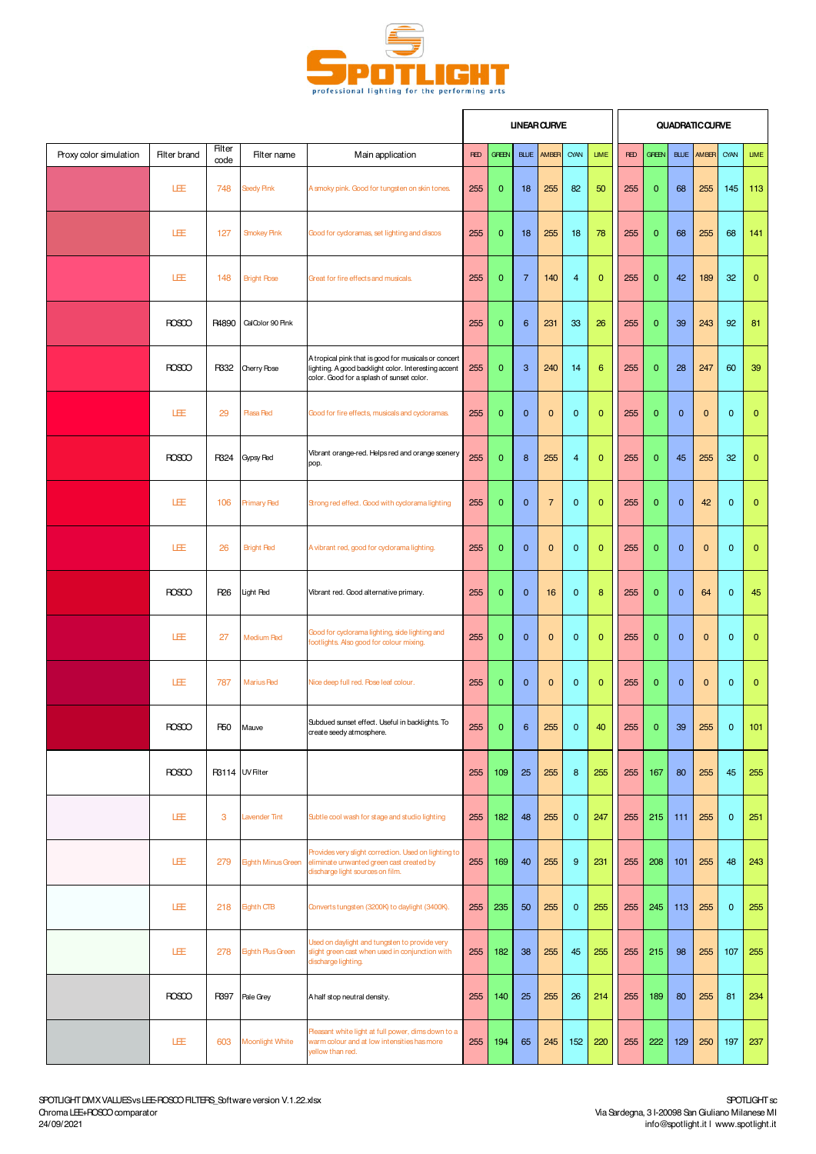

|                        |                     |                |                           |                                                                                                                                                           | <b>UNEAR CURVE</b> |              |                |                |                |                |            | QUADRATIC CURVE |              |              |              |              |  |  |
|------------------------|---------------------|----------------|---------------------------|-----------------------------------------------------------------------------------------------------------------------------------------------------------|--------------------|--------------|----------------|----------------|----------------|----------------|------------|-----------------|--------------|--------------|--------------|--------------|--|--|
| Proxy color simulation | <b>Filter brand</b> | Filter<br>code | Filter name               | Main application                                                                                                                                          | <b>RED</b>         | <b>GREEN</b> | <b>BLUE</b>    | AMBER          | CYAN           | <b>LIME</b>    | <b>RED</b> | <b>GREEN</b>    | <b>BLUE</b>  | AMBER        | CYAN         | <b>LIME</b>  |  |  |
|                        | LEE                 | 748            | Seedy Pink                | A smoky pink. Good for tungsten on skin tones.                                                                                                            | 255                | $\mathbf{0}$ | 18             | 255            | 82             | 50             | 255        | $\mathbf{0}$    | 68           | 255          | 145          | 113          |  |  |
|                        | LEE                 | 127            | <b>Snokey Pink</b>        | Good for cycloramas, set lighting and discos                                                                                                              | 255                | $\mathbf{0}$ | 18             | 255            | 18             | 78             | 255        | $\mathbf{0}$    | 68           | 255          | 68           | 141          |  |  |
|                        | LEE                 | 148            | <b>Bright Rose</b>        | Great for fire effects and musicals.                                                                                                                      | 255                | $\mathbf{0}$ | $\overline{7}$ | 140            | $\overline{4}$ | $\overline{0}$ | 255        | $\overline{0}$  | 42           | 189          | 32           | $\mathbf{0}$ |  |  |
|                        | <b>ROSCO</b>        | R4890          | CalColor 90 Pink          |                                                                                                                                                           | 255                | $\mathbf{0}$ | 6              | 231            | 33             | 26             | 255        | $\mathbf{0}$    | 39           | 243          | 92           | 81           |  |  |
|                        | <b>ROSCO</b>        | R332           | <b>Cherry Rose</b>        | A tropical pink that is good for musicals or concert<br>lighting. A good backlight color. Interesting accent<br>color. Good for a splash of sunset color. | 255                | $\mathbf{0}$ | 3              | 240            | 14             | 6              | 255        | $\mathbf{0}$    | 28           | 247          | 60           | 39           |  |  |
|                        | LEE                 | 29             | <b>Plasa Red</b>          | Good for fire effects, musicals and cycloramas.                                                                                                           | 255                | $\mathbf{0}$ | $\mathbf 0$    | $\mathbf 0$    | $\mathbf{0}$   | $\overline{0}$ | 255        | 0               | $\mathbf{0}$ | $\mathbf{0}$ | $\mathbf{0}$ | $\bf{0}$     |  |  |
|                        | <b>ROSCO</b>        | R324           | Gypsy Red                 | Vibrant orange-red. Helps red and orange scenery<br>pop.                                                                                                  | 255                | $\mathbf{0}$ | 8              | 255            | $\overline{4}$ | $\mathbf{0}$   | 255        | $\mathbf{0}$    | 45           | 255          | 32           | $\mathbf{0}$ |  |  |
|                        | 匪                   | 106            | <b>Primary Red</b>        | Strong red effect. Good with cyclorama lighting                                                                                                           | 255                | $\mathbf{0}$ | $\mathbf{0}$   | $\overline{7}$ | $\mathbf{0}$   | $\overline{0}$ | 255        | $\mathbf{0}$    | $\mathbf{0}$ | 42           | $\mathbf{0}$ | $\bf{0}$     |  |  |
|                        | LEE                 | 26             | <b>Bright Red</b>         | A vibrant red, good for cyclorama lighting.                                                                                                               | 255                | $\mathbf{0}$ | $\mathbf{0}$   | $\mathbf{0}$   | $\mathbf{0}$   | $\mathbf{0}$   | 255        | $\overline{0}$  | $\mathbf{0}$ | $\mathbf{0}$ | $\mathbf{0}$ | $\mathbf 0$  |  |  |
|                        | <b>ROSCO</b>        | R26            | Light Red                 | Vibrant red. Good alternative primary.                                                                                                                    | 255                | $\mathbf{0}$ | $\mathbf{0}$   | 16             | $\mathbf{0}$   | 8              | 255        | $\overline{0}$  | $\mathbf{0}$ | 64           | $\mathbf{0}$ | 45           |  |  |
|                        | LEE                 | 27             | Medium Red                | Good for cyclorama lighting, side lighting and<br>footlights. Also good for colour mixing.                                                                | 255                | $\mathbf{0}$ | $\mathbf{0}$   | $\mathbf{0}$   | $\mathbf{0}$   | $\mathbf{0}$   | 255        | $\mathbf{0}$    | $\mathbf{0}$ | $\mathbf{0}$ | $\mathbf{0}$ | $\mathbf{0}$ |  |  |
|                        | LEE                 | 787            | <b>Marius Red</b>         | Nice deep full red. Pose leaf colour.                                                                                                                     | 255                | $\mathbf{0}$ | $\mathbf{0}$   | $\mathbf 0$    | $\mathbf{0}$   | $\overline{0}$ | 255        | $\mathbf{0}$    | $\mathbf{0}$ | $\mathbf{0}$ | $\mathbf{0}$ | $\mathbf{0}$ |  |  |
|                        | <b>ROSCO</b>        | R50            | Mauve                     | Subdued sunset effect. Useful in backlights. To<br>create seedy atmosphere.                                                                               | 255                | $\mathbf{0}$ | 6              | 255            | $\mathbf{0}$   | 40             | 255        | $\mathbf{0}$    | 39           | 255          | $\mathbf{0}$ | 101          |  |  |
|                        | <b>ROSCO</b>        |                | R3114 UV Filter           |                                                                                                                                                           | 255                | 109          | 25             | 255            | 8              | 255            | 255        | 167             | 80           | 255          | 45           | 255          |  |  |
|                        | LEE                 | 3              | <b>Lavender Tint</b>      | Subtle cool wash for stage and studio lighting                                                                                                            | 255                | 182          | 48             | 255            | $\mathbf 0$    | 247            | 255        | 215             | 111          | 255          | $\mathbf 0$  | 251          |  |  |
|                        | 旺                   | 279            | <b>Eighth Minus Green</b> | Provides very slight correction. Used on lighting to<br>eliminate unwanted green cast created by<br>discharge light sources on film.                      | 255                | 169          | 40             | 255            | 9              | 231            | 255        | 208             | 101          | 255          | 48           | 243          |  |  |
|                        | LEE                 | 218            | <b>Eighth CTB</b>         | Convertstungsten (3200K) to daylight (3400K).                                                                                                             | 255                | 235          | 50             | 255            | $\mathbf 0$    | 255            | 255        | 245             | 113          | 255          | $\mathbf 0$  | 255          |  |  |
|                        | LEE                 | 278            | <b>Eighth Plus Green</b>  | Used on daylight and tungsten to provide very<br>slight green cast when used in conjunction with<br>discharge lighting.                                   | 255                | 182          | 38             | 255            | 45             | 255            | 255        | 215             | 98           | 255          | 107          | 255          |  |  |
|                        | <b>ROSCO</b>        | R397           | Pale Grey                 | A half stop neutral density.                                                                                                                              | 255                | 140          | 25             | 255            | 26             | 214            | 255        | 189             | 80           | 255          | 81           | 234          |  |  |
|                        | LEE                 | 603            | <b>Moonlight White</b>    | Pleasant white light at full power, dims down to a<br>warm colour and at low intensities has more<br>yellow than red.                                     | 255                | 194          | 65             | 245            | 152            | 220            | 255        | 222             | 129          | 250          | 197          | 237          |  |  |